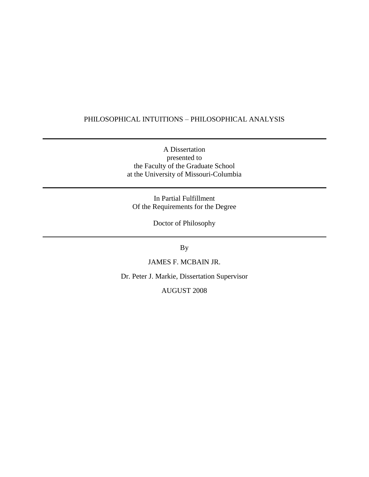## PHILOSOPHICAL INTUITIONS – PHILOSOPHICAL ANALYSIS

A Dissertation presented to the Faculty of the Graduate School at the University of Missouri-Columbia

In Partial Fulfillment Of the Requirements for the Degree

Doctor of Philosophy

By

JAMES F. MCBAIN JR.

Dr. Peter J. Markie, Dissertation Supervisor

AUGUST 2008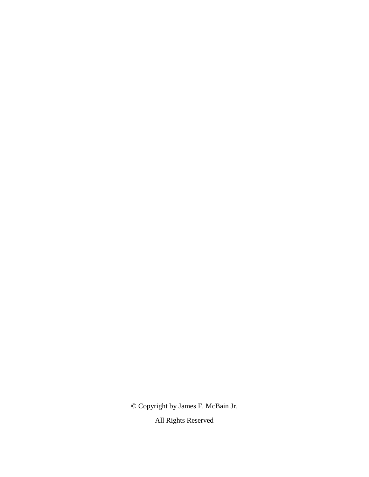© Copyright by James F. McBain Jr.

All Rights Reserved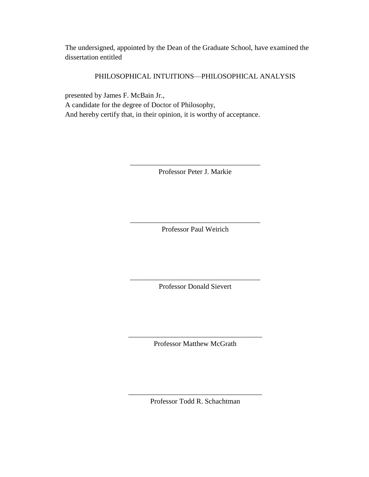The undersigned, appointed by the Dean of the Graduate School, have examined the dissertation entitled

## PHILOSOPHICAL INTUITIONS—PHILOSOPHICAL ANALYSIS

presented by James F. McBain Jr., A candidate for the degree of Doctor of Philosophy, And hereby certify that, in their opinion, it is worthy of acceptance.

> \_\_\_\_\_\_\_\_\_\_\_\_\_\_\_\_\_\_\_\_\_\_\_\_\_\_\_\_\_\_\_\_\_\_\_\_ Professor Peter J. Markie

> \_\_\_\_\_\_\_\_\_\_\_\_\_\_\_\_\_\_\_\_\_\_\_\_\_\_\_\_\_\_\_\_\_\_\_\_ Professor Paul Weirich

> \_\_\_\_\_\_\_\_\_\_\_\_\_\_\_\_\_\_\_\_\_\_\_\_\_\_\_\_\_\_\_\_\_\_\_\_ Professor Donald Sievert

\_\_\_\_\_\_\_\_\_\_\_\_\_\_\_\_\_\_\_\_\_\_\_\_\_\_\_\_\_\_\_\_\_\_\_\_\_ Professor Matthew McGrath

\_\_\_\_\_\_\_\_\_\_\_\_\_\_\_\_\_\_\_\_\_\_\_\_\_\_\_\_\_\_\_\_\_\_\_\_\_ Professor Todd R. Schachtman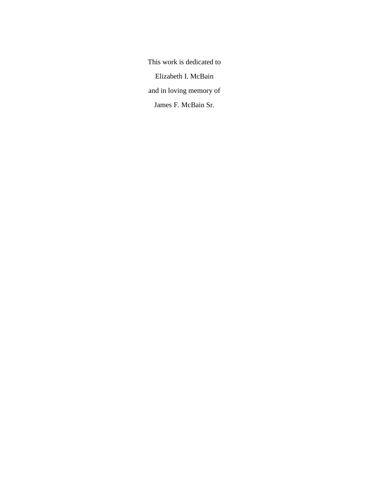This work is dedicated to Elizabeth I. McBain and in loving memory of James F. McBain Sr.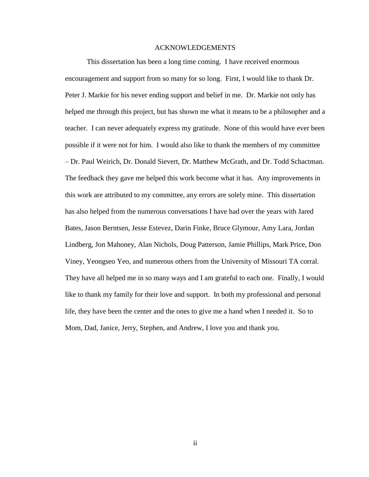## ACKNOWLEDGEMENTS

This dissertation has been a long time coming. I have received enormous encouragement and support from so many for so long. First, I would like to thank Dr. Peter J. Markie for his never ending support and belief in me. Dr. Markie not only has helped me through this project, but has shown me what it means to be a philosopher and a teacher. I can never adequately express my gratitude. None of this would have ever been possible if it were not for him. I would also like to thank the members of my committee – Dr. Paul Weirich, Dr. Donald Sievert, Dr. Matthew McGrath, and Dr. Todd Schactman. The feedback they gave me helped this work become what it has. Any improvements in this work are attributed to my committee, any errors are solely mine. This dissertation has also helped from the numerous conversations I have had over the years with Jared Bates, Jason Berntsen, Jesse Estevez, Darin Finke, Bruce Glymour, Amy Lara, Jordan Lindberg, Jon Mahoney, Alan Nichols, Doug Patterson, Jamie Phillips, Mark Price, Don Viney, Yeongseo Yeo, and numerous others from the University of Missouri TA corral. They have all helped me in so many ways and I am grateful to each one. Finally, I would like to thank my family for their love and support. In both my professional and personal life, they have been the center and the ones to give me a hand when I needed it. So to Mom, Dad, Janice, Jerry, Stephen, and Andrew, I love you and thank you.

ii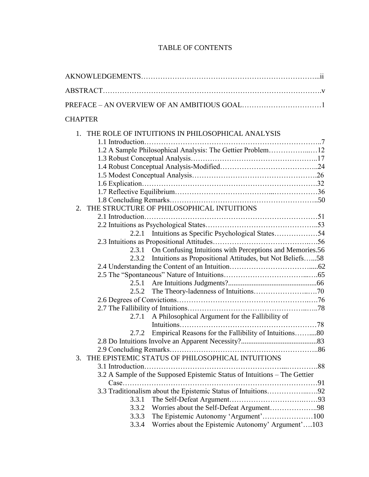# TABLE OF CONTENTS

| <b>CHAPTER</b>                                                            |  |
|---------------------------------------------------------------------------|--|
| 1. THE ROLE OF INTUITIONS IN PHILOSOPHICAL ANALYSIS                       |  |
|                                                                           |  |
| 1.2 A Sample Philosophical Analysis: The Gettier Problem12                |  |
|                                                                           |  |
|                                                                           |  |
|                                                                           |  |
|                                                                           |  |
|                                                                           |  |
|                                                                           |  |
| THE STRUCTURE OF PHILOSOPHICAL INTUITIONS<br>2                            |  |
|                                                                           |  |
|                                                                           |  |
|                                                                           |  |
|                                                                           |  |
| 2.3.1 On Confusing Intuitions with Perceptions and Memories.56            |  |
| 2.3.2 Intuitions as Propositional Attitudes, but Not Beliefs58            |  |
|                                                                           |  |
|                                                                           |  |
|                                                                           |  |
|                                                                           |  |
|                                                                           |  |
| A Philosophical Argument for the Fallibility of<br>2.7.1                  |  |
|                                                                           |  |
| Empirical Reasons for the Fallibility of Intuitions80<br>2.7.2            |  |
|                                                                           |  |
|                                                                           |  |
| THE EPISTEMIC STATUS OF PHILOSOPHICAL INTUITIONS<br>3.                    |  |
|                                                                           |  |
| 3.2 A Sample of the Supposed Epistemic Status of Intuitions - The Gettier |  |
|                                                                           |  |
| 3.3 Traditionalism about the Epistemic Status of Intuitions92             |  |
| 3.3.1                                                                     |  |
| Worries about the Self-Defeat Argument98<br>3.3.2                         |  |
| The Epistemic Autonomy 'Argument'100<br>3.3.3                             |  |
| Worries about the Epistemic Autonomy' Argument'103<br>3.3.4               |  |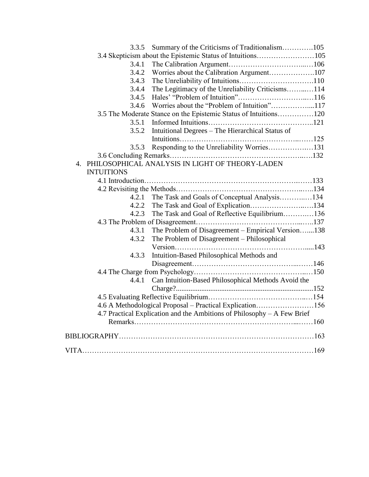| 3.3.5             | Summary of the Criticisms of Traditionalism105                          |  |
|-------------------|-------------------------------------------------------------------------|--|
|                   |                                                                         |  |
| 3.4.1             |                                                                         |  |
| 3.4.2             | Worries about the Calibration Argument107                               |  |
| 3.4.3             |                                                                         |  |
| 3.4.4             | The Legitimacy of the Unreliability Criticisms114                       |  |
| 3.4.5             |                                                                         |  |
| 3.4.6             | Worries about the "Problem of Intuition"117                             |  |
|                   | 3.5 The Moderate Stance on the Epistemic Status of Intuitions120        |  |
| 3.5.1             |                                                                         |  |
| 3.5.2             | Intuitional Degrees – The Hierarchical Status of                        |  |
|                   |                                                                         |  |
| 3.5.3             | Responding to the Unreliability Worries131                              |  |
|                   |                                                                         |  |
|                   | 4. PHILOSOPHICAL ANALYSIS IN LIGHT OF THEORY-LADEN                      |  |
| <b>INTUITIONS</b> |                                                                         |  |
|                   |                                                                         |  |
|                   |                                                                         |  |
|                   | 4.2.1 The Task and Goals of Conceptual Analysis134                      |  |
| 4.2.2             | The Task and Goal of Explication134                                     |  |
| 4.2.3             | The Task and Goal of Reflective Equilibrium136                          |  |
|                   |                                                                         |  |
| 4.3.1             | The Problem of Disagreement - Empirical Version138                      |  |
| 4.3.2             | The Problem of Disagreement – Philosophical                             |  |
|                   |                                                                         |  |
| 4.3.3             | Intuition-Based Philosophical Methods and                               |  |
|                   |                                                                         |  |
|                   |                                                                         |  |
| 4.4.1             | Can Intuition-Based Philosophical Methods Avoid the                     |  |
|                   |                                                                         |  |
|                   |                                                                         |  |
|                   | 4.6 A Methodological Proposal - Practical Explication156                |  |
|                   | 4.7 Practical Explication and the Ambitions of Philosophy - A Few Brief |  |
|                   |                                                                         |  |
|                   |                                                                         |  |
|                   |                                                                         |  |
|                   |                                                                         |  |
|                   |                                                                         |  |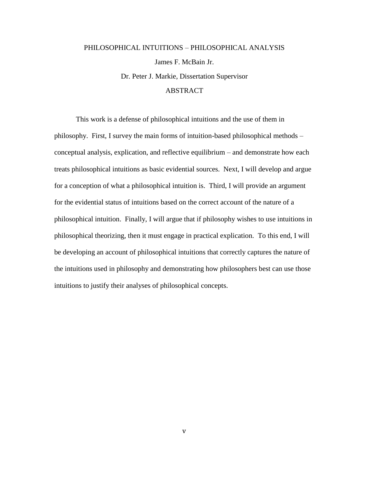# PHILOSOPHICAL INTUITIONS – PHILOSOPHICAL ANALYSIS James F. McBain Jr. Dr. Peter J. Markie, Dissertation Supervisor

## ABSTRACT

This work is a defense of philosophical intuitions and the use of them in philosophy. First, I survey the main forms of intuition-based philosophical methods – conceptual analysis, explication, and reflective equilibrium – and demonstrate how each treats philosophical intuitions as basic evidential sources. Next, I will develop and argue for a conception of what a philosophical intuition is. Third, I will provide an argument for the evidential status of intuitions based on the correct account of the nature of a philosophical intuition. Finally, I will argue that if philosophy wishes to use intuitions in philosophical theorizing, then it must engage in practical explication. To this end, I will be developing an account of philosophical intuitions that correctly captures the nature of the intuitions used in philosophy and demonstrating how philosophers best can use those intuitions to justify their analyses of philosophical concepts.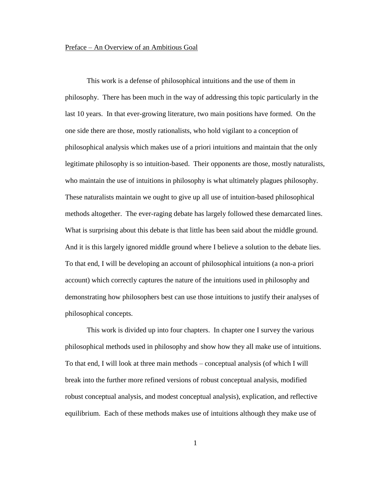#### Preface – An Overview of an Ambitious Goal

This work is a defense of philosophical intuitions and the use of them in philosophy. There has been much in the way of addressing this topic particularly in the last 10 years. In that ever-growing literature, two main positions have formed. On the one side there are those, mostly rationalists, who hold vigilant to a conception of philosophical analysis which makes use of a priori intuitions and maintain that the only legitimate philosophy is so intuition-based. Their opponents are those, mostly naturalists, who maintain the use of intuitions in philosophy is what ultimately plagues philosophy. These naturalists maintain we ought to give up all use of intuition-based philosophical methods altogether. The ever-raging debate has largely followed these demarcated lines. What is surprising about this debate is that little has been said about the middle ground. And it is this largely ignored middle ground where I believe a solution to the debate lies. To that end, I will be developing an account of philosophical intuitions (a non-a priori account) which correctly captures the nature of the intuitions used in philosophy and demonstrating how philosophers best can use those intuitions to justify their analyses of philosophical concepts.

This work is divided up into four chapters. In chapter one I survey the various philosophical methods used in philosophy and show how they all make use of intuitions. To that end, I will look at three main methods – conceptual analysis (of which I will break into the further more refined versions of robust conceptual analysis, modified robust conceptual analysis, and modest conceptual analysis), explication, and reflective equilibrium. Each of these methods makes use of intuitions although they make use of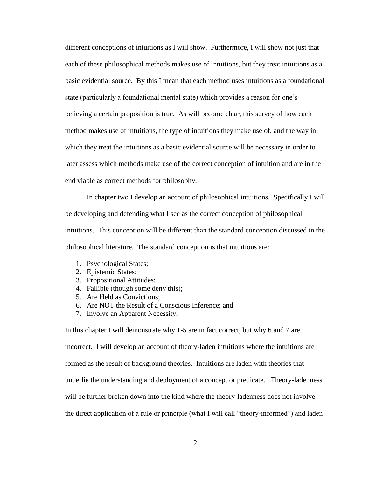different conceptions of intuitions as I will show. Furthermore, I will show not just that each of these philosophical methods makes use of intuitions, but they treat intuitions as a basic evidential source. By this I mean that each method uses intuitions as a foundational state (particularly a foundational mental state) which provides a reason for one"s believing a certain proposition is true. As will become clear, this survey of how each method makes use of intuitions, the type of intuitions they make use of, and the way in which they treat the intuitions as a basic evidential source will be necessary in order to later assess which methods make use of the correct conception of intuition and are in the end viable as correct methods for philosophy.

In chapter two I develop an account of philosophical intuitions. Specifically I will be developing and defending what I see as the correct conception of philosophical intuitions. This conception will be different than the standard conception discussed in the philosophical literature. The standard conception is that intuitions are:

- 1. Psychological States;
- 2. Epistemic States;
- 3. Propositional Attitudes;
- 4. Fallible (though some deny this);
- 5. Are Held as Convictions;
- 6. Are NOT the Result of a Conscious Inference; and
- 7. Involve an Apparent Necessity.

In this chapter I will demonstrate why 1-5 are in fact correct, but why 6 and 7 are incorrect. I will develop an account of theory-laden intuitions where the intuitions are formed as the result of background theories. Intuitions are laden with theories that underlie the understanding and deployment of a concept or predicate. Theory-ladenness will be further broken down into the kind where the theory-ladenness does not involve the direct application of a rule or principle (what I will call "theory-informed") and laden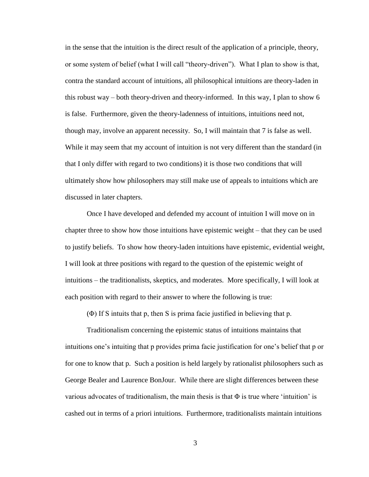in the sense that the intuition is the direct result of the application of a principle, theory, or some system of belief (what I will call "theory-driven"). What I plan to show is that, contra the standard account of intuitions, all philosophical intuitions are theory-laden in this robust way – both theory-driven and theory-informed. In this way, I plan to show 6 is false. Furthermore, given the theory-ladenness of intuitions, intuitions need not, though may, involve an apparent necessity. So, I will maintain that 7 is false as well. While it may seem that my account of intuition is not very different than the standard (in that I only differ with regard to two conditions) it is those two conditions that will ultimately show how philosophers may still make use of appeals to intuitions which are discussed in later chapters.

Once I have developed and defended my account of intuition I will move on in chapter three to show how those intuitions have epistemic weight – that they can be used to justify beliefs. To show how theory-laden intuitions have epistemic, evidential weight, I will look at three positions with regard to the question of the epistemic weight of intuitions – the traditionalists, skeptics, and moderates. More specifically, I will look at each position with regard to their answer to where the following is true:

(Φ) If S intuits that p, then S is prima facie justified in believing that p.

Traditionalism concerning the epistemic status of intuitions maintains that intuitions one"s intuiting that p provides prima facie justification for one"s belief that p or for one to know that p. Such a position is held largely by rationalist philosophers such as George Bealer and Laurence BonJour. While there are slight differences between these various advocates of traditionalism, the main thesis is that  $\Phi$  is true where 'intuition' is cashed out in terms of a priori intuitions. Furthermore, traditionalists maintain intuitions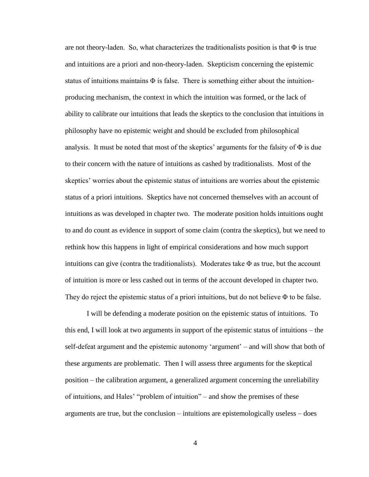are not theory-laden. So, what characterizes the traditionalists position is that  $\Phi$  is true and intuitions are a priori and non-theory-laden. Skepticism concerning the epistemic status of intuitions maintains  $\Phi$  is false. There is something either about the intuitionproducing mechanism, the context in which the intuition was formed, or the lack of ability to calibrate our intuitions that leads the skeptics to the conclusion that intuitions in philosophy have no epistemic weight and should be excluded from philosophical analysis. It must be noted that most of the skeptics' arguments for the falsity of  $\Phi$  is due to their concern with the nature of intuitions as cashed by traditionalists. Most of the skeptics" worries about the epistemic status of intuitions are worries about the epistemic status of a priori intuitions. Skeptics have not concerned themselves with an account of intuitions as was developed in chapter two. The moderate position holds intuitions ought to and do count as evidence in support of some claim (contra the skeptics), but we need to rethink how this happens in light of empirical considerations and how much support intuitions can give (contra the traditionalists). Moderates take  $\Phi$  as true, but the account of intuition is more or less cashed out in terms of the account developed in chapter two. They do reject the epistemic status of a priori intuitions, but do not believe  $\Phi$  to be false.

I will be defending a moderate position on the epistemic status of intuitions. To this end, I will look at two arguments in support of the epistemic status of intuitions – the self-defeat argument and the epistemic autonomy "argument" – and will show that both of these arguments are problematic. Then I will assess three arguments for the skeptical position – the calibration argument, a generalized argument concerning the unreliability of intuitions, and Hales" "problem of intuition" – and show the premises of these arguments are true, but the conclusion – intuitions are epistemologically useless – does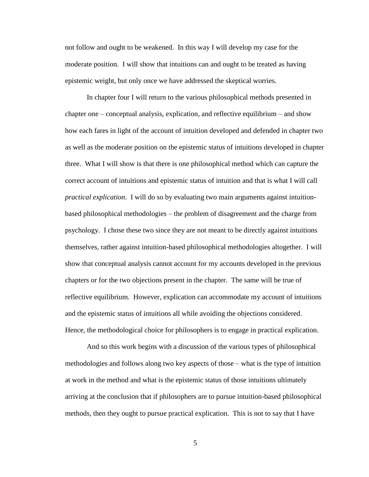not follow and ought to be weakened. In this way I will develop my case for the moderate position. I will show that intuitions can and ought to be treated as having epistemic weight, but only once we have addressed the skeptical worries.

In chapter four I will return to the various philosophical methods presented in chapter one – conceptual analysis, explication, and reflective equilibrium – and show how each fares in light of the account of intuition developed and defended in chapter two as well as the moderate position on the epistemic status of intuitions developed in chapter three. What I will show is that there is one philosophical method which can capture the correct account of intuitions and epistemic status of intuition and that is what I will call *practical explication*. I will do so by evaluating two main arguments against intuitionbased philosophical methodologies – the problem of disagreement and the charge from psychology. I chose these two since they are not meant to be directly against intuitions themselves, rather against intuition-based philosophical methodologies altogether. I will show that conceptual analysis cannot account for my accounts developed in the previous chapters or for the two objections present in the chapter. The same will be true of reflective equilibrium. However, explication can accommodate my account of intuitions and the epistemic status of intuitions all while avoiding the objections considered. Hence, the methodological choice for philosophers is to engage in practical explication.

And so this work begins with a discussion of the various types of philosophical methodologies and follows along two key aspects of those – what is the type of intuition at work in the method and what is the epistemic status of those intuitions ultimately arriving at the conclusion that if philosophers are to pursue intuition-based philosophical methods, then they ought to pursue practical explication. This is not to say that I have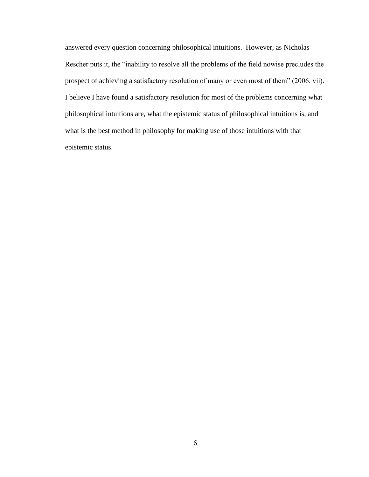answered every question concerning philosophical intuitions. However, as Nicholas Rescher puts it, the "inability to resolve all the problems of the field nowise precludes the prospect of achieving a satisfactory resolution of many or even most of them" (2006, vii). I believe I have found a satisfactory resolution for most of the problems concerning what philosophical intuitions are, what the epistemic status of philosophical intuitions is, and what is the best method in philosophy for making use of those intuitions with that epistemic status.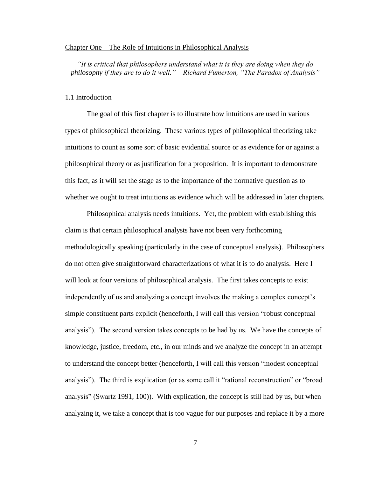#### Chapter One – The Role of Intuitions in Philosophical Analysis

*"It is critical that philosophers understand what it is they are doing when they do philosophy if they are to do it well." – Richard Fumerton, "The Paradox of Analysis"*

#### 1.1 Introduction

The goal of this first chapter is to illustrate how intuitions are used in various types of philosophical theorizing. These various types of philosophical theorizing take intuitions to count as some sort of basic evidential source or as evidence for or against a philosophical theory or as justification for a proposition. It is important to demonstrate this fact, as it will set the stage as to the importance of the normative question as to whether we ought to treat intuitions as evidence which will be addressed in later chapters.

Philosophical analysis needs intuitions. Yet, the problem with establishing this claim is that certain philosophical analysts have not been very forthcoming methodologically speaking (particularly in the case of conceptual analysis). Philosophers do not often give straightforward characterizations of what it is to do analysis. Here I will look at four versions of philosophical analysis. The first takes concepts to exist independently of us and analyzing a concept involves the making a complex concept"s simple constituent parts explicit (henceforth, I will call this version "robust conceptual analysis"). The second version takes concepts to be had by us. We have the concepts of knowledge, justice, freedom, etc., in our minds and we analyze the concept in an attempt to understand the concept better (henceforth, I will call this version "modest conceptual analysis"). The third is explication (or as some call it "rational reconstruction" or "broad analysis" (Swartz 1991, 100)). With explication, the concept is still had by us, but when analyzing it, we take a concept that is too vague for our purposes and replace it by a more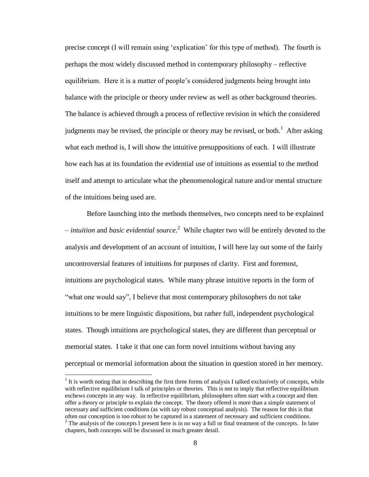precise concept (I will remain using "explication" for this type of method). The fourth is perhaps the most widely discussed method in contemporary philosophy – reflective equilibrium. Here it is a matter of people"s considered judgments being brought into balance with the principle or theory under review as well as other background theories. The balance is achieved through a process of reflective revision in which the considered judgments may be revised, the principle or theory may be revised, or both.<sup>1</sup> After asking what each method is, I will show the intuitive presuppositions of each. I will illustrate how each has at its foundation the evidential use of intuitions as essential to the method itself and attempt to articulate what the phenomenological nature and/or mental structure of the intuitions being used are.

Before launching into the methods themselves, two concepts need to be explained – *intuition* and *basic evidential source*. 2 While chapter two will be entirely devoted to the analysis and development of an account of intuition, I will here lay out some of the fairly uncontroversial features of intuitions for purposes of clarity. First and foremost, intuitions are psychological states. While many phrase intuitive reports in the form of "what one would say". I believe that most contemporary philosophers do not take intuitions to be mere linguistic dispositions, but rather full, independent psychological states. Though intuitions are psychological states, they are different than perceptual or memorial states. I take it that one can form novel intuitions without having any perceptual or memorial information about the situation in question stored in her memory.

 $1$  It is worth noting that in describing the first three forms of analysis I talked exclusively of concepts, while with reflective equilibrium I talk of principles or theories. This is not to imply that reflective equilibrium eschews concepts in any way. In reflective equilibrium, philosophers often start with a concept and then offer a theory or principle to explain the concept. The theory offered is more than a simple statement of necessary and sufficient conditions (as with say robust conceptual analysis). The reason for this is that often our conception is too robust to be captured in a statement of necessary and sufficient conditions.

 $2$  The analysis of the concepts I present here is in no way a full or final treatment of the concepts. In later chapters, both concepts will be discussed in much greater detail.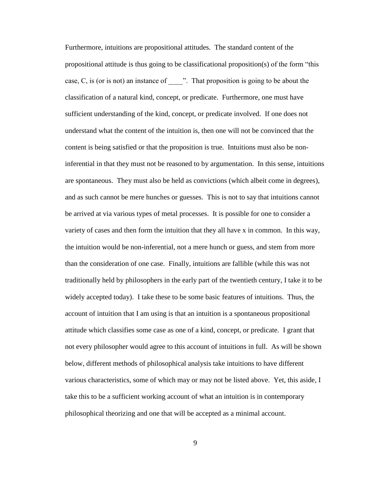Furthermore, intuitions are propositional attitudes. The standard content of the propositional attitude is thus going to be classificational proposition(s) of the form "this case, C, is (or is not) an instance of  $\blacksquare$ . That proposition is going to be about the classification of a natural kind, concept, or predicate. Furthermore, one must have sufficient understanding of the kind, concept, or predicate involved. If one does not understand what the content of the intuition is, then one will not be convinced that the content is being satisfied or that the proposition is true. Intuitions must also be noninferential in that they must not be reasoned to by argumentation. In this sense, intuitions are spontaneous. They must also be held as convictions (which albeit come in degrees), and as such cannot be mere hunches or guesses. This is not to say that intuitions cannot be arrived at via various types of metal processes. It is possible for one to consider a variety of cases and then form the intuition that they all have x in common. In this way, the intuition would be non-inferential, not a mere hunch or guess, and stem from more than the consideration of one case. Finally, intuitions are fallible (while this was not traditionally held by philosophers in the early part of the twentieth century, I take it to be widely accepted today). I take these to be some basic features of intuitions. Thus, the account of intuition that I am using is that an intuition is a spontaneous propositional attitude which classifies some case as one of a kind, concept, or predicate. I grant that not every philosopher would agree to this account of intuitions in full. As will be shown below, different methods of philosophical analysis take intuitions to have different various characteristics, some of which may or may not be listed above. Yet, this aside, I take this to be a sufficient working account of what an intuition is in contemporary philosophical theorizing and one that will be accepted as a minimal account.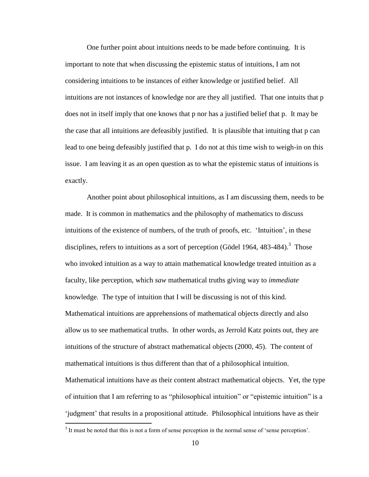One further point about intuitions needs to be made before continuing. It is important to note that when discussing the epistemic status of intuitions, I am not considering intuitions to be instances of either knowledge or justified belief. All intuitions are not instances of knowledge nor are they all justified. That one intuits that p does not in itself imply that one knows that p nor has a justified belief that p. It may be the case that all intuitions are defeasibly justified. It is plausible that intuiting that p can lead to one being defeasibly justified that p. I do not at this time wish to weigh-in on this issue. I am leaving it as an open question as to what the epistemic status of intuitions is exactly.

Another point about philosophical intuitions, as I am discussing them, needs to be made. It is common in mathematics and the philosophy of mathematics to discuss intuitions of the existence of numbers, of the truth of proofs, etc. "Intuition", in these disciplines, refers to intuitions as a sort of perception (Gödel 1964, 483-484).<sup>3</sup> Those who invoked intuition as a way to attain mathematical knowledge treated intuition as a faculty, like perception, which *saw* mathematical truths giving way to *immediate* knowledge. The type of intuition that I will be discussing is not of this kind. Mathematical intuitions are apprehensions of mathematical objects directly and also allow us to see mathematical truths. In other words, as Jerrold Katz points out, they are intuitions of the structure of abstract mathematical objects (2000, 45). The content of mathematical intuitions is thus different than that of a philosophical intuition. Mathematical intuitions have as their content abstract mathematical objects. Yet, the type of intuition that I am referring to as "philosophical intuition" or "epistemic intuition" is a 'judgment' that results in a propositional attitude. Philosophical intuitions have as their

 $3$  It must be noted that this is not a form of sense perception in the normal sense of 'sense perception'.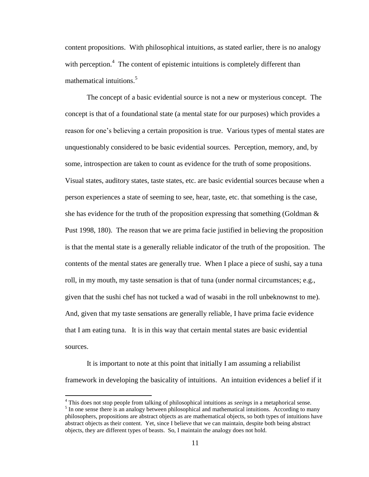content propositions. With philosophical intuitions, as stated earlier, there is no analogy with perception.<sup>4</sup> The content of epistemic intuitions is completely different than mathematical intuitions.<sup>5</sup>

The concept of a basic evidential source is not a new or mysterious concept. The concept is that of a foundational state (a mental state for our purposes) which provides a reason for one"s believing a certain proposition is true. Various types of mental states are unquestionably considered to be basic evidential sources. Perception, memory, and, by some, introspection are taken to count as evidence for the truth of some propositions. Visual states, auditory states, taste states, etc. are basic evidential sources because when a person experiences a state of seeming to see, hear, taste, etc. that something is the case, she has evidence for the truth of the proposition expressing that something (Goldman  $\&$ Pust 1998, 180). The reason that we are prima facie justified in believing the proposition is that the mental state is a generally reliable indicator of the truth of the proposition. The contents of the mental states are generally true. When I place a piece of sushi, say a tuna roll, in my mouth, my taste sensation is that of tuna (under normal circumstances; e.g., given that the sushi chef has not tucked a wad of wasabi in the roll unbeknownst to me). And, given that my taste sensations are generally reliable, I have prima facie evidence that I am eating tuna. It is in this way that certain mental states are basic evidential sources.

It is important to note at this point that initially I am assuming a reliabilist framework in developing the basicality of intuitions. An intuition evidences a belief if it

<sup>4</sup> This does not stop people from talking of philosophical intuitions as *seeings* in a metaphorical sense. <sup>5</sup> In one sense there is an analogy between philosophical and mathematical intuitions. According to many philosophers, propositions are abstract objects as are mathematical objects, so both types of intuitions have abstract objects as their content. Yet, since I believe that we can maintain, despite both being abstract objects, they are different types of beasts. So, I maintain the analogy does not hold.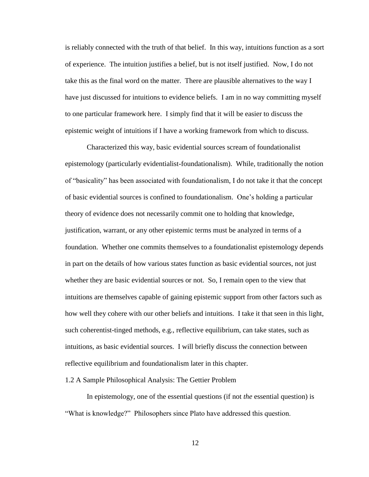is reliably connected with the truth of that belief. In this way, intuitions function as a sort of experience. The intuition justifies a belief, but is not itself justified. Now, I do not take this as the final word on the matter. There are plausible alternatives to the way I have just discussed for intuitions to evidence beliefs. I am in no way committing myself to one particular framework here. I simply find that it will be easier to discuss the epistemic weight of intuitions if I have a working framework from which to discuss.

Characterized this way, basic evidential sources scream of foundationalist epistemology (particularly evidentialist-foundationalism). While, traditionally the notion of "basicality" has been associated with foundationalism, I do not take it that the concept of basic evidential sources is confined to foundationalism. One"s holding a particular theory of evidence does not necessarily commit one to holding that knowledge, justification, warrant, or any other epistemic terms must be analyzed in terms of a foundation. Whether one commits themselves to a foundationalist epistemology depends in part on the details of how various states function as basic evidential sources, not just whether they are basic evidential sources or not. So, I remain open to the view that intuitions are themselves capable of gaining epistemic support from other factors such as how well they cohere with our other beliefs and intuitions. I take it that seen in this light, such coherentist-tinged methods, e.g., reflective equilibrium, can take states, such as intuitions, as basic evidential sources. I will briefly discuss the connection between reflective equilibrium and foundationalism later in this chapter.

#### 1.2 A Sample Philosophical Analysis: The Gettier Problem

In epistemology, one of the essential questions (if not *the* essential question) is "What is knowledge?" Philosophers since Plato have addressed this question.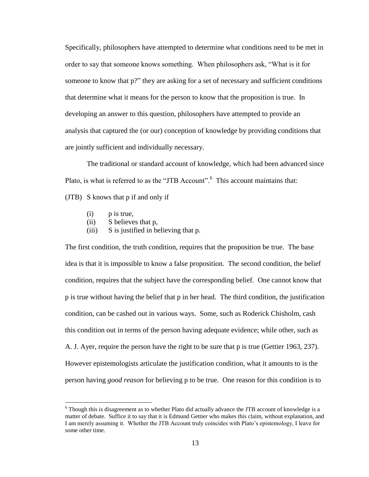Specifically, philosophers have attempted to determine what conditions need to be met in order to say that someone knows something. When philosophers ask, "What is it for someone to know that p?" they are asking for a set of necessary and sufficient conditions that determine what it means for the person to know that the proposition is true. In developing an answer to this question, philosophers have attempted to provide an analysis that captured the (or our) conception of knowledge by providing conditions that are jointly sufficient and individually necessary.

The traditional or standard account of knowledge, which had been advanced since Plato, is what is referred to as the "JTB Account".<sup>6</sup> This account maintains that:

(JTB) S knows that p if and only if

(i) p is true,

 $\overline{a}$ 

- (ii) S believes that p,
- (iii) S is justified in believing that p.

The first condition, the truth condition, requires that the proposition be true. The base idea is that it is impossible to know a false proposition. The second condition, the belief condition, requires that the subject have the corresponding belief. One cannot know that p is true without having the belief that p in her head. The third condition, the justification condition, can be cashed out in various ways. Some, such as Roderick Chisholm, cash this condition out in terms of the person having adequate evidence; while other, such as A. J. Ayer, require the person have the right to be sure that p is true (Gettier 1963, 237). However epistemologists articulate the justification condition, what it amounts to is the person having *good reason* for believing p to be true. One reason for this condition is to

<sup>&</sup>lt;sup>6</sup> Though this is disagreement as to whether Plato did actually advance the JTB account of knowledge is a matter of debate. Suffice it to say that it is Edmund Gettier who makes this claim, without explanation, and I am merely assuming it. Whether the JTB Account truly coincides with Plato"s epistemology, I leave for some other time.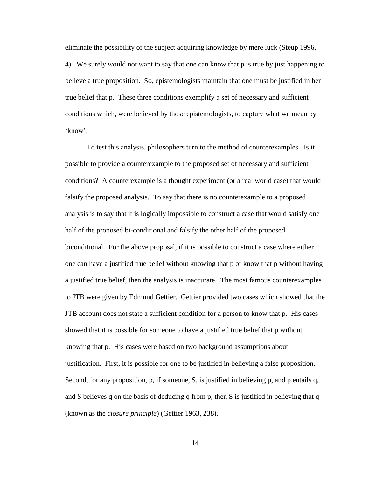eliminate the possibility of the subject acquiring knowledge by mere luck (Steup 1996, 4). We surely would not want to say that one can know that p is true by just happening to believe a true proposition. So, epistemologists maintain that one must be justified in her true belief that p. These three conditions exemplify a set of necessary and sufficient conditions which, were believed by those epistemologists, to capture what we mean by 'know'

To test this analysis, philosophers turn to the method of counterexamples. Is it possible to provide a counterexample to the proposed set of necessary and sufficient conditions? A counterexample is a thought experiment (or a real world case) that would falsify the proposed analysis. To say that there is no counterexample to a proposed analysis is to say that it is logically impossible to construct a case that would satisfy one half of the proposed bi-conditional and falsify the other half of the proposed biconditional. For the above proposal, if it is possible to construct a case where either one can have a justified true belief without knowing that p or know that p without having a justified true belief, then the analysis is inaccurate. The most famous counterexamples to JTB were given by Edmund Gettier. Gettier provided two cases which showed that the JTB account does not state a sufficient condition for a person to know that p. His cases showed that it is possible for someone to have a justified true belief that p without knowing that p. His cases were based on two background assumptions about justification. First, it is possible for one to be justified in believing a false proposition. Second, for any proposition, p, if someone, S, is justified in believing p, and p entails q, and S believes q on the basis of deducing q from p, then S is justified in believing that q (known as the *closure principle*) (Gettier 1963, 238).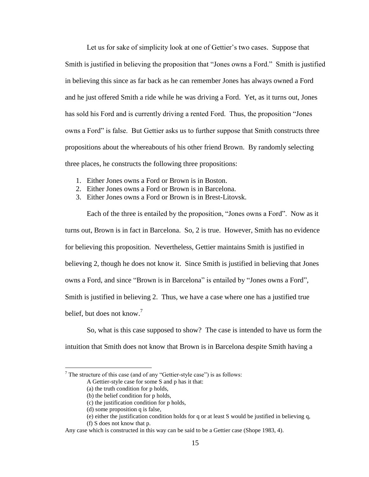Let us for sake of simplicity look at one of Gettier's two cases. Suppose that Smith is justified in believing the proposition that "Jones owns a Ford." Smith is justified in believing this since as far back as he can remember Jones has always owned a Ford and he just offered Smith a ride while he was driving a Ford. Yet, as it turns out, Jones has sold his Ford and is currently driving a rented Ford. Thus, the proposition "Jones owns a Ford" is false. But Gettier asks us to further suppose that Smith constructs three propositions about the whereabouts of his other friend Brown. By randomly selecting three places, he constructs the following three propositions:

- 1. Either Jones owns a Ford or Brown is in Boston.
- 2. Either Jones owns a Ford or Brown is in Barcelona.
- 3. Either Jones owns a Ford or Brown is in Brest-Litovsk.

Each of the three is entailed by the proposition, "Jones owns a Ford". Now as it turns out, Brown is in fact in Barcelona. So, 2 is true. However, Smith has no evidence for believing this proposition. Nevertheless, Gettier maintains Smith is justified in believing 2, though he does not know it. Since Smith is justified in believing that Jones owns a Ford, and since "Brown is in Barcelona" is entailed by "Jones owns a Ford", Smith is justified in believing 2. Thus, we have a case where one has a justified true belief, but does not know.<sup>7</sup>

So, what is this case supposed to show? The case is intended to have us form the intuition that Smith does not know that Brown is in Barcelona despite Smith having a

<sup>&</sup>lt;sup>7</sup> The structure of this case (and of any "Gettier-style case") is as follows:

A Gettier-style case for some S and p has it that:

<sup>(</sup>a) the truth condition for p holds,

<sup>(</sup>b) the belief condition for p holds,

<sup>(</sup>c) the justification condition for p holds,

<sup>(</sup>d) some proposition q is false,

<sup>(</sup>e) either the justification condition holds for q or at least S would be justified in believing q,

<sup>(</sup>f) S does not know that p.

Any case which is constructed in this way can be said to be a Gettier case (Shope 1983, 4).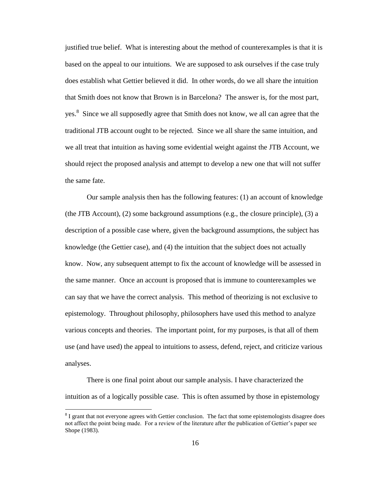justified true belief. What is interesting about the method of counterexamples is that it is based on the appeal to our intuitions. We are supposed to ask ourselves if the case truly does establish what Gettier believed it did. In other words, do we all share the intuition that Smith does not know that Brown is in Barcelona? The answer is, for the most part, yes.<sup>8</sup> Since we all supposedly agree that Smith does not know, we all can agree that the traditional JTB account ought to be rejected. Since we all share the same intuition, and we all treat that intuition as having some evidential weight against the JTB Account, we should reject the proposed analysis and attempt to develop a new one that will not suffer the same fate.

Our sample analysis then has the following features: (1) an account of knowledge (the JTB Account), (2) some background assumptions (e.g., the closure principle), (3) a description of a possible case where, given the background assumptions, the subject has knowledge (the Gettier case), and (4) the intuition that the subject does not actually know. Now, any subsequent attempt to fix the account of knowledge will be assessed in the same manner. Once an account is proposed that is immune to counterexamples we can say that we have the correct analysis. This method of theorizing is not exclusive to epistemology. Throughout philosophy, philosophers have used this method to analyze various concepts and theories. The important point, for my purposes, is that all of them use (and have used) the appeal to intuitions to assess, defend, reject, and criticize various analyses.

There is one final point about our sample analysis. I have characterized the intuition as of a logically possible case. This is often assumed by those in epistemology

<sup>&</sup>lt;sup>8</sup> I grant that not everyone agrees with Gettier conclusion. The fact that some epistemologists disagree does not affect the point being made. For a review of the literature after the publication of Gettier's paper see Shope (1983).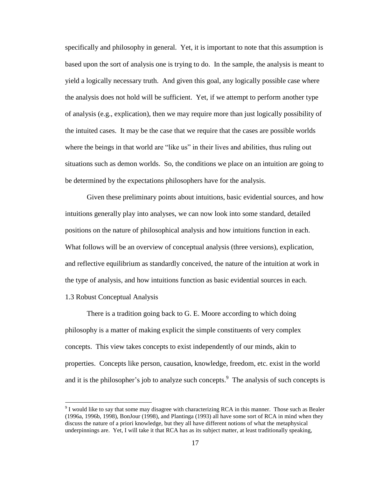specifically and philosophy in general. Yet, it is important to note that this assumption is based upon the sort of analysis one is trying to do. In the sample, the analysis is meant to yield a logically necessary truth. And given this goal, any logically possible case where the analysis does not hold will be sufficient. Yet, if we attempt to perform another type of analysis (e.g., explication), then we may require more than just logically possibility of the intuited cases. It may be the case that we require that the cases are possible worlds where the beings in that world are "like us" in their lives and abilities, thus ruling out situations such as demon worlds. So, the conditions we place on an intuition are going to be determined by the expectations philosophers have for the analysis.

Given these preliminary points about intuitions, basic evidential sources, and how intuitions generally play into analyses, we can now look into some standard, detailed positions on the nature of philosophical analysis and how intuitions function in each. What follows will be an overview of conceptual analysis (three versions), explication, and reflective equilibrium as standardly conceived, the nature of the intuition at work in the type of analysis, and how intuitions function as basic evidential sources in each. 1.3 Robust Conceptual Analysis

There is a tradition going back to G. E. Moore according to which doing philosophy is a matter of making explicit the simple constituents of very complex concepts. This view takes concepts to exist independently of our minds, akin to properties. Concepts like person, causation, knowledge, freedom, etc. exist in the world and it is the philosopher's job to analyze such concepts. $\degree$  The analysis of such concepts is

 $9^9$  I would like to say that some may disagree with characterizing RCA in this manner. Those such as Bealer (1996a, 1996b, 1998), BonJour (1998), and Plantinga (1993) all have some sort of RCA in mind when they discuss the nature of a priori knowledge, but they all have different notions of what the metaphysical underpinnings are. Yet, I will take it that RCA has as its subject matter, at least traditionally speaking,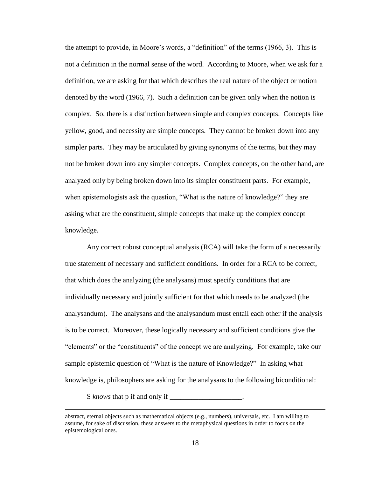the attempt to provide, in Moore"s words, a "definition" of the terms (1966, 3). This is not a definition in the normal sense of the word. According to Moore, when we ask for a definition, we are asking for that which describes the real nature of the object or notion denoted by the word (1966, 7). Such a definition can be given only when the notion is complex. So, there is a distinction between simple and complex concepts. Concepts like yellow, good, and necessity are simple concepts. They cannot be broken down into any simpler parts. They may be articulated by giving synonyms of the terms, but they may not be broken down into any simpler concepts. Complex concepts, on the other hand, are analyzed only by being broken down into its simpler constituent parts. For example, when epistemologists ask the question, "What is the nature of knowledge?" they are asking what are the constituent, simple concepts that make up the complex concept knowledge.

Any correct robust conceptual analysis (RCA) will take the form of a necessarily true statement of necessary and sufficient conditions. In order for a RCA to be correct, that which does the analyzing (the analysans) must specify conditions that are individually necessary and jointly sufficient for that which needs to be analyzed (the analysandum). The analysans and the analysandum must entail each other if the analysis is to be correct. Moreover, these logically necessary and sufficient conditions give the "elements" or the "constituents" of the concept we are analyzing. For example, take our sample epistemic question of "What is the nature of Knowledge?" In asking what knowledge is, philosophers are asking for the analysans to the following biconditional:

S *knows* that p if and only if \_\_\_\_\_\_\_\_\_\_\_\_\_\_\_\_\_\_\_\_.

abstract, eternal objects such as mathematical objects (e.g., numbers), universals, etc. I am willing to assume, for sake of discussion, these answers to the metaphysical questions in order to focus on the epistemological ones.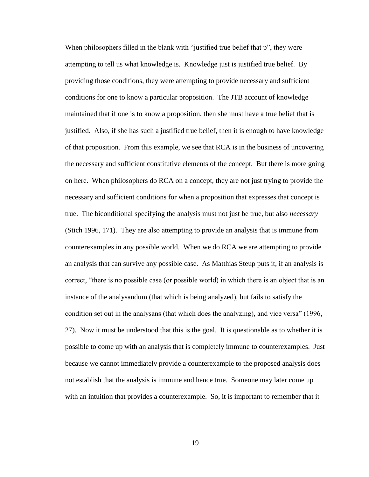When philosophers filled in the blank with "justified true belief that p", they were attempting to tell us what knowledge is. Knowledge just is justified true belief. By providing those conditions, they were attempting to provide necessary and sufficient conditions for one to know a particular proposition. The JTB account of knowledge maintained that if one is to know a proposition, then she must have a true belief that is justified. Also, if she has such a justified true belief, then it is enough to have knowledge of that proposition. From this example, we see that RCA is in the business of uncovering the necessary and sufficient constitutive elements of the concept. But there is more going on here. When philosophers do RCA on a concept, they are not just trying to provide the necessary and sufficient conditions for when a proposition that expresses that concept is true. The biconditional specifying the analysis must not just be true, but also *necessary* (Stich 1996, 171). They are also attempting to provide an analysis that is immune from counterexamples in any possible world. When we do RCA we are attempting to provide an analysis that can survive any possible case. As Matthias Steup puts it, if an analysis is correct, "there is no possible case (or possible world) in which there is an object that is an instance of the analysandum (that which is being analyzed), but fails to satisfy the condition set out in the analysans (that which does the analyzing), and vice versa" (1996, 27). Now it must be understood that this is the goal. It is questionable as to whether it is possible to come up with an analysis that is completely immune to counterexamples. Just because we cannot immediately provide a counterexample to the proposed analysis does not establish that the analysis is immune and hence true. Someone may later come up with an intuition that provides a counterexample. So, it is important to remember that it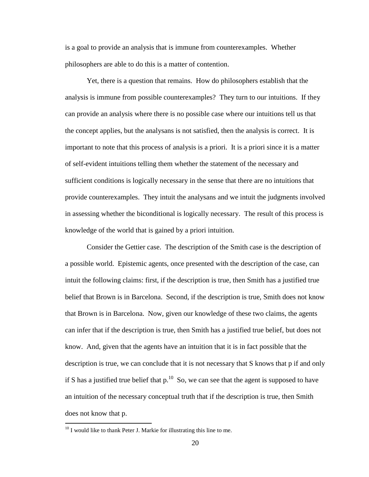is a goal to provide an analysis that is immune from counterexamples. Whether philosophers are able to do this is a matter of contention.

Yet, there is a question that remains. How do philosophers establish that the analysis is immune from possible counterexamples? They turn to our intuitions. If they can provide an analysis where there is no possible case where our intuitions tell us that the concept applies, but the analysans is not satisfied, then the analysis is correct. It is important to note that this process of analysis is a priori. It is a priori since it is a matter of self-evident intuitions telling them whether the statement of the necessary and sufficient conditions is logically necessary in the sense that there are no intuitions that provide counterexamples. They intuit the analysans and we intuit the judgments involved in assessing whether the biconditional is logically necessary. The result of this process is knowledge of the world that is gained by a priori intuition.

Consider the Gettier case. The description of the Smith case is the description of a possible world. Epistemic agents, once presented with the description of the case, can intuit the following claims: first, if the description is true, then Smith has a justified true belief that Brown is in Barcelona. Second, if the description is true, Smith does not know that Brown is in Barcelona. Now, given our knowledge of these two claims, the agents can infer that if the description is true, then Smith has a justified true belief, but does not know. And, given that the agents have an intuition that it is in fact possible that the description is true, we can conclude that it is not necessary that S knows that p if and only if S has a justified true belief that  $p^{10}$  So, we can see that the agent is supposed to have an intuition of the necessary conceptual truth that if the description is true, then Smith does not know that p.

 $10$  I would like to thank Peter J. Markie for illustrating this line to me.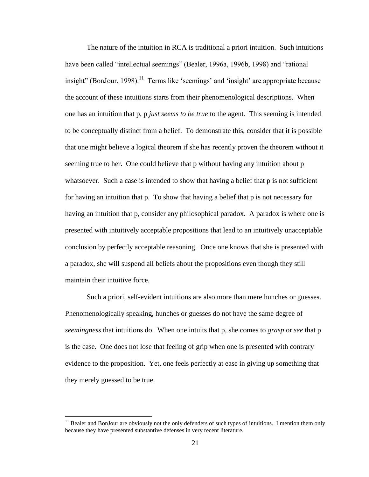The nature of the intuition in RCA is traditional a priori intuition. Such intuitions have been called "intellectual seemings" (Bealer, 1996a, 1996b, 1998) and "rational insight" (BonJour, 1998).<sup>11</sup> Terms like 'seemings' and 'insight' are appropriate because the account of these intuitions starts from their phenomenological descriptions. When one has an intuition that p, p *just seems to be true* to the agent. This seeming is intended to be conceptually distinct from a belief. To demonstrate this, consider that it is possible that one might believe a logical theorem if she has recently proven the theorem without it seeming true to her. One could believe that p without having any intuition about p whatsoever. Such a case is intended to show that having a belief that p is not sufficient for having an intuition that p. To show that having a belief that p is not necessary for having an intuition that p, consider any philosophical paradox. A paradox is where one is presented with intuitively acceptable propositions that lead to an intuitively unacceptable conclusion by perfectly acceptable reasoning. Once one knows that she is presented with a paradox, she will suspend all beliefs about the propositions even though they still maintain their intuitive force.

Such a priori, self-evident intuitions are also more than mere hunches or guesses. Phenomenologically speaking, hunches or guesses do not have the same degree of *seemingness* that intuitions do. When one intuits that p, she comes to *grasp* or *see* that p is the case. One does not lose that feeling of grip when one is presented with contrary evidence to the proposition. Yet, one feels perfectly at ease in giving up something that they merely guessed to be true.

 $11$  Bealer and BonJour are obviously not the only defenders of such types of intuitions. I mention them only because they have presented substantive defenses in very recent literature.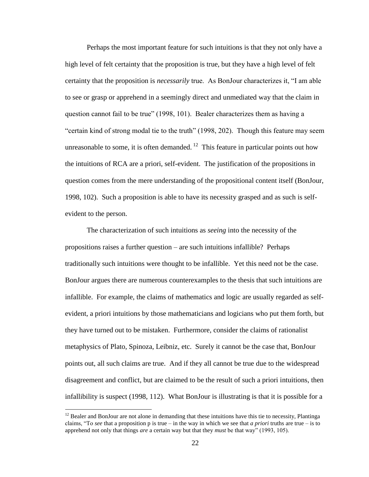Perhaps the most important feature for such intuitions is that they not only have a high level of felt certainty that the proposition is true, but they have a high level of felt certainty that the proposition is *necessarily* true. As BonJour characterizes it, "I am able to see or grasp or apprehend in a seemingly direct and unmediated way that the claim in question cannot fail to be true" (1998, 101). Bealer characterizes them as having a "certain kind of strong modal tie to the truth" (1998, 202). Though this feature may seem unreasonable to some, it is often demanded.  $12$  This feature in particular points out how the intuitions of RCA are a priori, self-evident. The justification of the propositions in question comes from the mere understanding of the propositional content itself (BonJour, 1998, 102). Such a proposition is able to have its necessity grasped and as such is selfevident to the person.

The characterization of such intuitions as *seeing* into the necessity of the propositions raises a further question – are such intuitions infallible? Perhaps traditionally such intuitions were thought to be infallible. Yet this need not be the case. BonJour argues there are numerous counterexamples to the thesis that such intuitions are infallible. For example, the claims of mathematics and logic are usually regarded as selfevident, a priori intuitions by those mathematicians and logicians who put them forth, but they have turned out to be mistaken. Furthermore, consider the claims of rationalist metaphysics of Plato, Spinoza, Leibniz, etc. Surely it cannot be the case that, BonJour points out, all such claims are true. And if they all cannot be true due to the widespread disagreement and conflict, but are claimed to be the result of such a priori intuitions, then infallibility is suspect (1998, 112). What BonJour is illustrating is that it is possible for a

<sup>&</sup>lt;sup>12</sup> Bealer and BonJour are not alone in demanding that these intuitions have this tie to necessity, Plantinga claims, "To *see* that a proposition p is true – in the way in which we see that *a priori* truths are true – is to apprehend not only that things *are* a certain way but that they *must* be that way" (1993, 105).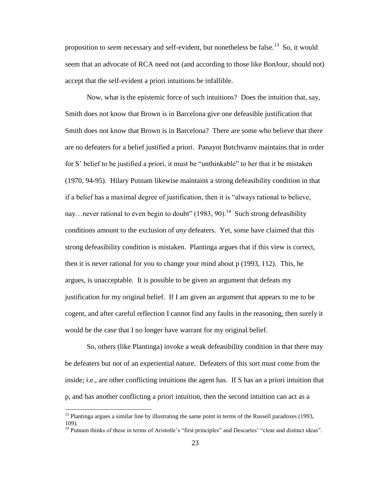proposition to *seem* necessary and self-evident, but nonetheless be false.<sup>13</sup> So, it would seem that an advocate of RCA need not (and according to those like BonJour, should not) accept that the self-evident a priori intuitions be infallible.

Now, what is the epistemic force of such intuitions? Does the intuition that, say, Smith does not know that Brown is in Barcelona give one defeasible justification that Smith does not know that Brown is in Barcelona? There are some who believe that there are no defeaters for a belief justified a priori. Panayot Butchvarov maintains that in order for S" belief to be justified a priori, it must be "unthinkable" to her that it be mistaken (1970, 94-95). Hilary Putnam likewise maintains a strong defeasibility condition in that if a belief has a maximal degree of justification, then it is "always rational to believe, nay...never rational to even begin to doubt"  $(1983, 90)$ .<sup>14</sup> Such strong defeasibility conditions amount to the exclusion of *any* defeaters. Yet, some have claimed that this strong defeasibility condition is mistaken. Plantinga argues that if this view is correct, then it is never rational for you to change your mind about p (1993, 112). This, he argues, is unacceptable. It is possible to be given an argument that defeats my justification for my original belief. If I am given an argument that appears to me to be cogent, and after careful reflection I cannot find any faults in the reasoning, then surely it would be the case that I no longer have warrant for my original belief.

So, others (like Plantinga) invoke a weak defeasibility condition in that there may be defeaters but not of an experiential nature. Defeaters of this sort must come from the inside; i.e., are other conflicting intuitions the agent has. If S has an a priori intuition that p, and has another conflicting a priori intuition, then the second intuition can act as a

 $13$  Plantinga argues a similar line by illustrating the same point in terms of the Russell paradoxes (1993, 109).

<sup>&</sup>lt;sup>14</sup> Putnam thinks of these in terms of Aristotle's "first principles" and Descartes' "clear and distinct ideas".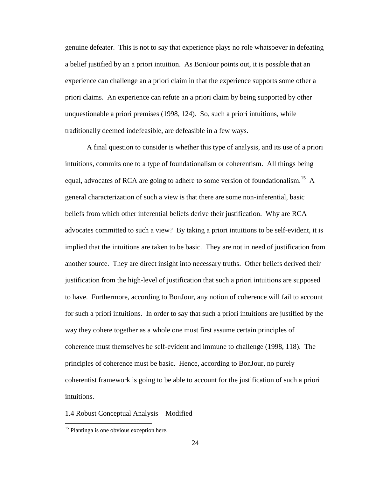genuine defeater. This is not to say that experience plays no role whatsoever in defeating a belief justified by an a priori intuition. As BonJour points out, it is possible that an experience can challenge an a priori claim in that the experience supports some other a priori claims. An experience can refute an a priori claim by being supported by other unquestionable a priori premises (1998, 124). So, such a priori intuitions, while traditionally deemed indefeasible, are defeasible in a few ways.

A final question to consider is whether this type of analysis, and its use of a priori intuitions, commits one to a type of foundationalism or coherentism. All things being equal, advocates of RCA are going to adhere to some version of foundationalism.<sup>15</sup> A general characterization of such a view is that there are some non-inferential, basic beliefs from which other inferential beliefs derive their justification. Why are RCA advocates committed to such a view? By taking a priori intuitions to be self-evident, it is implied that the intuitions are taken to be basic. They are not in need of justification from another source. They are direct insight into necessary truths. Other beliefs derived their justification from the high-level of justification that such a priori intuitions are supposed to have. Furthermore, according to BonJour, any notion of coherence will fail to account for such a priori intuitions. In order to say that such a priori intuitions are justified by the way they cohere together as a whole one must first assume certain principles of coherence must themselves be self-evident and immune to challenge (1998, 118). The principles of coherence must be basic. Hence, according to BonJour, no purely coherentist framework is going to be able to account for the justification of such a priori intuitions.

1.4 Robust Conceptual Analysis – Modified

<sup>&</sup>lt;sup>15</sup> Plantinga is one obvious exception here.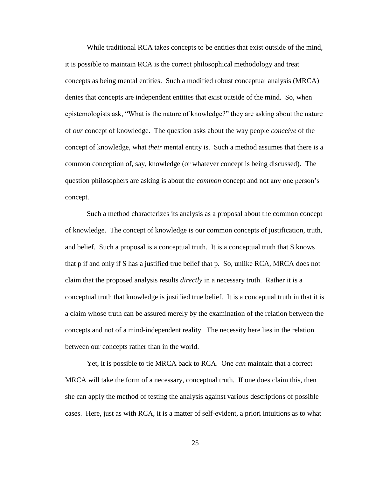While traditional RCA takes concepts to be entities that exist outside of the mind, it is possible to maintain RCA is the correct philosophical methodology and treat concepts as being mental entities. Such a modified robust conceptual analysis (MRCA) denies that concepts are independent entities that exist outside of the mind. So, when epistemologists ask, "What is the nature of knowledge?" they are asking about the nature of *our* concept of knowledge. The question asks about the way people *conceive* of the concept of knowledge, what *their* mental entity is. Such a method assumes that there is a common conception of, say, knowledge (or whatever concept is being discussed). The question philosophers are asking is about the *common* concept and not any one person"s concept.

Such a method characterizes its analysis as a proposal about the common concept of knowledge. The concept of knowledge is our common concepts of justification, truth, and belief. Such a proposal is a conceptual truth. It is a conceptual truth that S knows that p if and only if S has a justified true belief that p. So, unlike RCA, MRCA does not claim that the proposed analysis results *directly* in a necessary truth. Rather it is a conceptual truth that knowledge is justified true belief. It is a conceptual truth in that it is a claim whose truth can be assured merely by the examination of the relation between the concepts and not of a mind-independent reality. The necessity here lies in the relation between our concepts rather than in the world.

Yet, it is possible to tie MRCA back to RCA. One *can* maintain that a correct MRCA will take the form of a necessary, conceptual truth. If one does claim this, then she can apply the method of testing the analysis against various descriptions of possible cases. Here, just as with RCA, it is a matter of self-evident, a priori intuitions as to what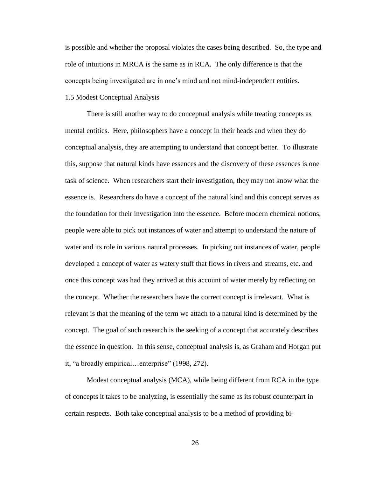is possible and whether the proposal violates the cases being described. So, the type and role of intuitions in MRCA is the same as in RCA. The only difference is that the concepts being investigated are in one"s mind and not mind-independent entities. 1.5 Modest Conceptual Analysis

There is still another way to do conceptual analysis while treating concepts as mental entities. Here, philosophers have a concept in their heads and when they do conceptual analysis, they are attempting to understand that concept better. To illustrate this, suppose that natural kinds have essences and the discovery of these essences is one task of science. When researchers start their investigation, they may not know what the essence is. Researchers do have a concept of the natural kind and this concept serves as the foundation for their investigation into the essence. Before modern chemical notions, people were able to pick out instances of water and attempt to understand the nature of water and its role in various natural processes. In picking out instances of water, people developed a concept of water as watery stuff that flows in rivers and streams, etc. and once this concept was had they arrived at this account of water merely by reflecting on the concept. Whether the researchers have the correct concept is irrelevant. What is relevant is that the meaning of the term we attach to a natural kind is determined by the concept. The goal of such research is the seeking of a concept that accurately describes the essence in question. In this sense, conceptual analysis is, as Graham and Horgan put it, "a broadly empirical…enterprise" (1998, 272).

Modest conceptual analysis (MCA), while being different from RCA in the type of concepts it takes to be analyzing, is essentially the same as its robust counterpart in certain respects. Both take conceptual analysis to be a method of providing bi-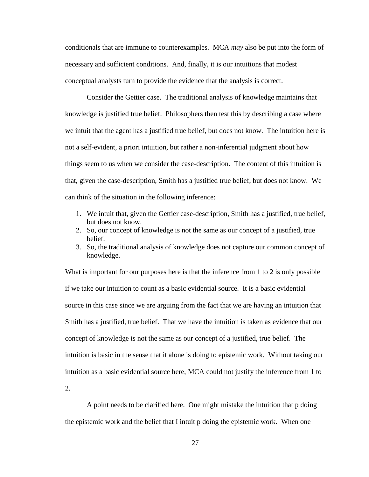conditionals that are immune to counterexamples. MCA *may* also be put into the form of necessary and sufficient conditions. And, finally, it is our intuitions that modest conceptual analysts turn to provide the evidence that the analysis is correct.

Consider the Gettier case. The traditional analysis of knowledge maintains that knowledge is justified true belief. Philosophers then test this by describing a case where we intuit that the agent has a justified true belief, but does not know. The intuition here is not a self-evident, a priori intuition, but rather a non-inferential judgment about how things seem to us when we consider the case-description. The content of this intuition is that, given the case-description, Smith has a justified true belief, but does not know. We can think of the situation in the following inference:

- 1. We intuit that, given the Gettier case-description, Smith has a justified, true belief, but does not know.
- 2. So, our concept of knowledge is not the same as our concept of a justified, true belief.
- 3. So, the traditional analysis of knowledge does not capture our common concept of knowledge.

What is important for our purposes here is that the inference from 1 to 2 is only possible if we take our intuition to count as a basic evidential source. It is a basic evidential source in this case since we are arguing from the fact that we are having an intuition that Smith has a justified, true belief. That we have the intuition is taken as evidence that our concept of knowledge is not the same as our concept of a justified, true belief. The intuition is basic in the sense that it alone is doing to epistemic work. Without taking our intuition as a basic evidential source here, MCA could not justify the inference from 1 to

2.

A point needs to be clarified here. One might mistake the intuition that p doing the epistemic work and the belief that I intuit p doing the epistemic work. When one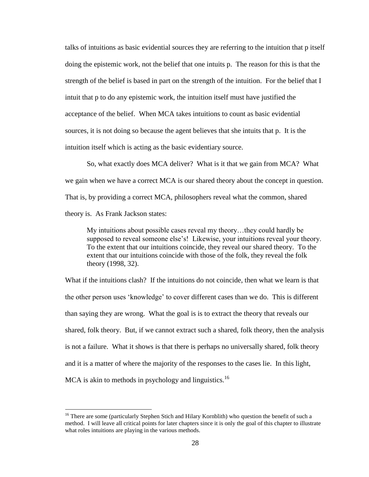talks of intuitions as basic evidential sources they are referring to the intuition that p itself doing the epistemic work, not the belief that one intuits p. The reason for this is that the strength of the belief is based in part on the strength of the intuition. For the belief that I intuit that p to do any epistemic work, the intuition itself must have justified the acceptance of the belief. When MCA takes intuitions to count as basic evidential sources, it is not doing so because the agent believes that she intuits that p. It is the intuition itself which is acting as the basic evidentiary source.

So, what exactly does MCA deliver? What is it that we gain from MCA? What we gain when we have a correct MCA is our shared theory about the concept in question. That is, by providing a correct MCA, philosophers reveal what the common, shared theory is. As Frank Jackson states:

My intuitions about possible cases reveal my theory…they could hardly be supposed to reveal someone else's! Likewise, your intuitions reveal your theory. To the extent that our intuitions coincide, they reveal our shared theory. To the extent that our intuitions coincide with those of the folk, they reveal the folk theory (1998, 32).

What if the intuitions clash? If the intuitions do not coincide, then what we learn is that the other person uses "knowledge" to cover different cases than we do. This is different than saying they are wrong. What the goal is is to extract the theory that reveals our shared, folk theory. But, if we cannot extract such a shared, folk theory, then the analysis is not a failure. What it shows is that there is perhaps no universally shared, folk theory and it is a matter of where the majority of the responses to the cases lie. In this light, MCA is akin to methods in psychology and linguistics.<sup>16</sup>

<sup>&</sup>lt;sup>16</sup> There are some (particularly Stephen Stich and Hilary Kornblith) who question the benefit of such a method. I will leave all critical points for later chapters since it is only the goal of this chapter to illustrate what roles intuitions are playing in the various methods.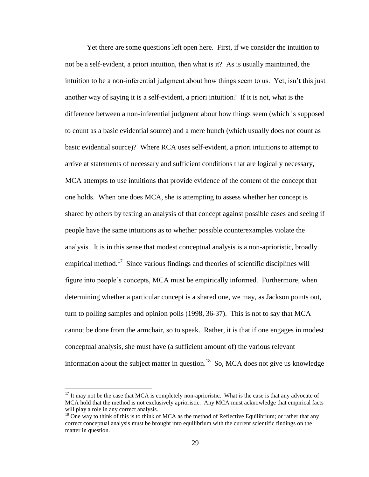Yet there are some questions left open here. First, if we consider the intuition to not be a self-evident, a priori intuition, then what is it? As is usually maintained, the intuition to be a non-inferential judgment about how things seem to us. Yet, isn"t this just another way of saying it is a self-evident, a priori intuition? If it is not, what is the difference between a non-inferential judgment about how things seem (which is supposed to count as a basic evidential source) and a mere hunch (which usually does not count as basic evidential source)? Where RCA uses self-evident, a priori intuitions to attempt to arrive at statements of necessary and sufficient conditions that are logically necessary, MCA attempts to use intuitions that provide evidence of the content of the concept that one holds. When one does MCA, she is attempting to assess whether her concept is shared by others by testing an analysis of that concept against possible cases and seeing if people have the same intuitions as to whether possible counterexamples violate the analysis. It is in this sense that modest conceptual analysis is a non-aprioristic, broadly empirical method.<sup>17</sup> Since various findings and theories of scientific disciplines will figure into people's concepts, MCA must be empirically informed. Furthermore, when determining whether a particular concept is a shared one, we may, as Jackson points out, turn to polling samples and opinion polls (1998, 36-37). This is not to say that MCA cannot be done from the armchair, so to speak. Rather, it is that if one engages in modest conceptual analysis, she must have (a sufficient amount of) the various relevant information about the subject matter in question.<sup>18</sup> So, MCA does not give us knowledge

 $17$  It may not be the case that MCA is completely non-aprioristic. What is the case is that any advocate of MCA hold that the method is not exclusively aprioristic. Any MCA must acknowledge that empirical facts will play a role in any correct analysis.

 $18$  One way to think of this is to think of MCA as the method of Reflective Equilibrium; or rather that any correct conceptual analysis must be brought into equilibrium with the current scientific findings on the matter in question.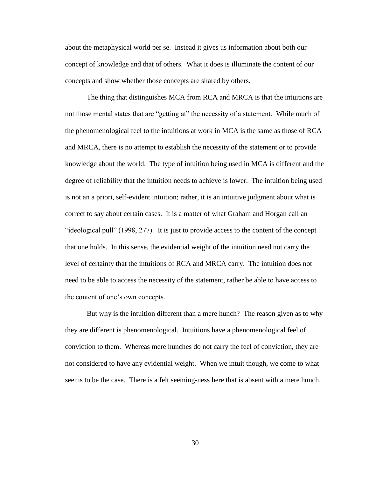about the metaphysical world per se. Instead it gives us information about both our concept of knowledge and that of others. What it does is illuminate the content of our concepts and show whether those concepts are shared by others.

The thing that distinguishes MCA from RCA and MRCA is that the intuitions are not those mental states that are "getting at" the necessity of a statement. While much of the phenomenological feel to the intuitions at work in MCA is the same as those of RCA and MRCA, there is no attempt to establish the necessity of the statement or to provide knowledge about the world. The type of intuition being used in MCA is different and the degree of reliability that the intuition needs to achieve is lower. The intuition being used is not an a priori, self-evident intuition; rather, it is an intuitive judgment about what is correct to say about certain cases. It is a matter of what Graham and Horgan call an "ideological pull" (1998, 277). It is just to provide access to the content of the concept that one holds. In this sense, the evidential weight of the intuition need not carry the level of certainty that the intuitions of RCA and MRCA carry. The intuition does not need to be able to access the necessity of the statement, rather be able to have access to the content of one"s own concepts.

But why is the intuition different than a mere hunch? The reason given as to why they are different is phenomenological. Intuitions have a phenomenological feel of conviction to them. Whereas mere hunches do not carry the feel of conviction, they are not considered to have any evidential weight. When we intuit though, we come to what seems to be the case. There is a felt seeming-ness here that is absent with a mere hunch.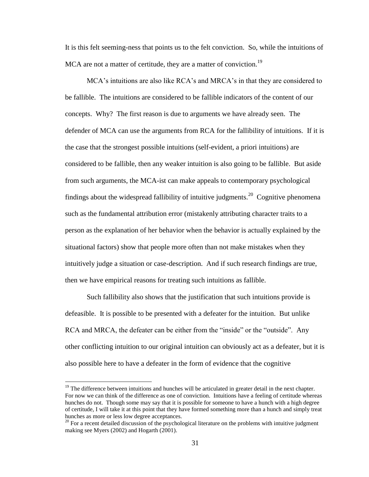It is this felt seeming-ness that points us to the felt conviction. So, while the intuitions of MCA are not a matter of certitude, they are a matter of conviction.<sup>19</sup>

MCA"s intuitions are also like RCA"s and MRCA"s in that they are considered to be fallible. The intuitions are considered to be fallible indicators of the content of our concepts. Why? The first reason is due to arguments we have already seen. The defender of MCA can use the arguments from RCA for the fallibility of intuitions. If it is the case that the strongest possible intuitions (self-evident, a priori intuitions) are considered to be fallible, then any weaker intuition is also going to be fallible. But aside from such arguments, the MCA-ist can make appeals to contemporary psychological findings about the widespread fallibility of intuitive judgments.<sup>20</sup> Cognitive phenomena such as the fundamental attribution error (mistakenly attributing character traits to a person as the explanation of her behavior when the behavior is actually explained by the situational factors) show that people more often than not make mistakes when they intuitively judge a situation or case-description. And if such research findings are true, then we have empirical reasons for treating such intuitions as fallible.

Such fallibility also shows that the justification that such intuitions provide is defeasible. It is possible to be presented with a defeater for the intuition. But unlike RCA and MRCA, the defeater can be either from the "inside" or the "outside". Any other conflicting intuition to our original intuition can obviously act as a defeater, but it is also possible here to have a defeater in the form of evidence that the cognitive

<sup>&</sup>lt;sup>19</sup> The difference between intuitions and hunches will be articulated in greater detail in the next chapter. For now we can think of the difference as one of conviction. Intuitions have a feeling of certitude whereas hunches do not. Though some may say that it is possible for someone to have a hunch with a high degree of certitude, I will take it at this point that they have formed something more than a hunch and simply treat hunches as more or less low degree acceptances.

 $20$  For a recent detailed discussion of the psychological literature on the problems with intuitive judgment making see Myers (2002) and Hogarth (2001).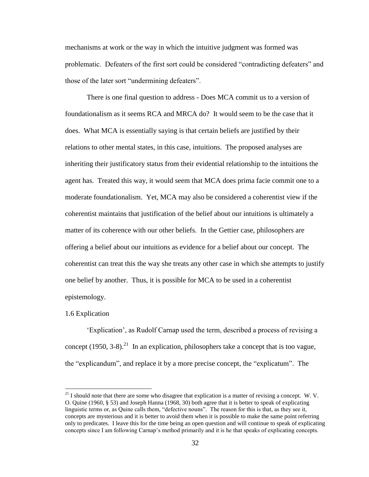mechanisms at work or the way in which the intuitive judgment was formed was problematic. Defeaters of the first sort could be considered "contradicting defeaters" and those of the later sort "undermining defeaters".

There is one final question to address - Does MCA commit us to a version of foundationalism as it seems RCA and MRCA do? It would seem to be the case that it does. What MCA is essentially saying is that certain beliefs are justified by their relations to other mental states, in this case, intuitions. The proposed analyses are inheriting their justificatory status from their evidential relationship to the intuitions the agent has. Treated this way, it would seem that MCA does prima facie commit one to a moderate foundationalism. Yet, MCA may also be considered a coherentist view if the coherentist maintains that justification of the belief about our intuitions is ultimately a matter of its coherence with our other beliefs. In the Gettier case, philosophers are offering a belief about our intuitions as evidence for a belief about our concept. The coherentist can treat this the way she treats any other case in which she attempts to justify one belief by another. Thus, it is possible for MCA to be used in a coherentist epistemology.

### 1.6 Explication

 $\overline{a}$ 

"Explication", as Rudolf Carnap used the term, described a process of revising a concept (1950, 3-8).<sup>21</sup> In an explication, philosophers take a concept that is too vague, the "explicandum", and replace it by a more precise concept, the "explicatum". The

 $^{21}$  I should note that there are some who disagree that explication is a matter of revising a concept. W. V. O. Quine (1960, § 53) and Joseph Hanna (1968, 30) both agree that it is better to speak of explicating linguistic terms or, as Quine calls them, "defective nouns". The reason for this is that, as they see it, concepts are mysterious and it is better to avoid them when it is possible to make the same point referring only to predicates. I leave this for the time being an open question and will continue to speak of explicating concepts since I am following Carnap"s method primarily and it is he that speaks of explicating concepts.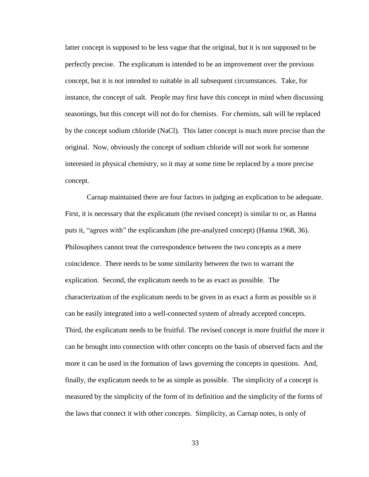latter concept is supposed to be less vague that the original, but it is not supposed to be perfectly precise. The explicatum is intended to be an improvement over the previous concept, but it is not intended to suitable in all subsequent circumstances. Take, for instance, the concept of salt. People may first have this concept in mind when discussing seasonings, but this concept will not do for chemists. For chemists, salt will be replaced by the concept sodium chloride (NaCl). This latter concept is much more precise than the original. Now, obviously the concept of sodium chloride will not work for someone interested in physical chemistry, so it may at some time be replaced by a more precise concept.

Carnap maintained there are four factors in judging an explication to be adequate. First, it is necessary that the explicatum (the revised concept) is similar to or, as Hanna puts it, "agrees with" the explicandum (the pre-analyzed concept) (Hanna 1968, 36). Philosophers cannot treat the correspondence between the two concepts as a mere coincidence. There needs to be some similarity between the two to warrant the explication. Second, the explicatum needs to be as exact as possible. The characterization of the explicatum needs to be given in as exact a form as possible so it can be easily integrated into a well-connected system of already accepted concepts. Third, the explicatum needs to be fruitful. The revised concept is more fruitful the more it can be brought into connection with other concepts on the basis of observed facts and the more it can be used in the formation of laws governing the concepts in questions. And, finally, the explicatum needs to be as simple as possible. The simplicity of a concept is measured by the simplicity of the form of its definition and the simplicity of the forms of the laws that connect it with other concepts. Simplicity, as Carnap notes, is only of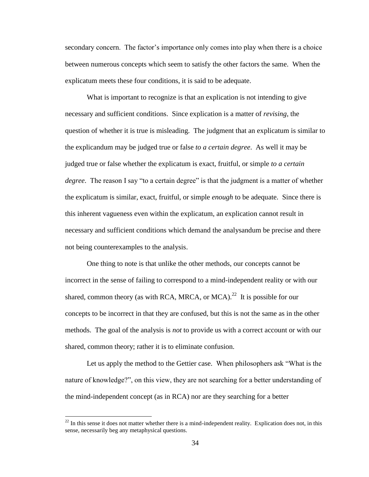secondary concern. The factor"s importance only comes into play when there is a choice between numerous concepts which seem to satisfy the other factors the same. When the explicatum meets these four conditions, it is said to be adequate.

What is important to recognize is that an explication is not intending to give necessary and sufficient conditions. Since explication is a matter of *revising*, the question of whether it is true is misleading. The judgment that an explicatum is similar to the explicandum may be judged true or false *to a certain degree*. As well it may be judged true or false whether the explicatum is exact, fruitful, or simple *to a certain degree*. The reason I say "to a certain degree" is that the judgment is a matter of whether the explicatum is similar, exact, fruitful, or simple *enough* to be adequate. Since there is this inherent vagueness even within the explicatum, an explication cannot result in necessary and sufficient conditions which demand the analysandum be precise and there not being counterexamples to the analysis.

One thing to note is that unlike the other methods, our concepts cannot be incorrect in the sense of failing to correspond to a mind-independent reality or with our shared, common theory (as with RCA, MRCA, or MCA).<sup>22</sup> It is possible for our concepts to be incorrect in that they are confused, but this is not the same as in the other methods. The goal of the analysis is *not* to provide us with a correct account or with our shared, common theory; rather it is to eliminate confusion.

Let us apply the method to the Gettier case. When philosophers ask "What is the nature of knowledge?", on this view, they are not searching for a better understanding of the mind-independent concept (as in RCA) nor are they searching for a better

 $^{22}$  In this sense it does not matter whether there is a mind-independent reality. Explication does not, in this sense, necessarily beg any metaphysical questions.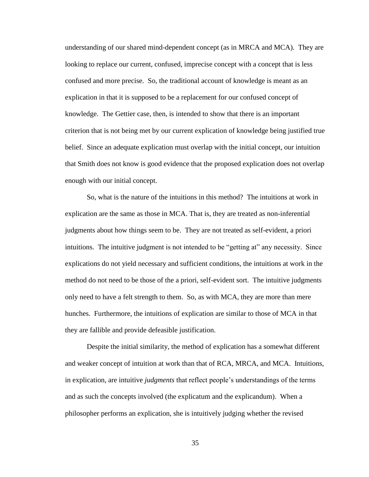understanding of our shared mind-dependent concept (as in MRCA and MCA). They are looking to replace our current, confused, imprecise concept with a concept that is less confused and more precise. So, the traditional account of knowledge is meant as an explication in that it is supposed to be a replacement for our confused concept of knowledge. The Gettier case, then, is intended to show that there is an important criterion that is not being met by our current explication of knowledge being justified true belief. Since an adequate explication must overlap with the initial concept, our intuition that Smith does not know is good evidence that the proposed explication does not overlap enough with our initial concept.

So, what is the nature of the intuitions in this method? The intuitions at work in explication are the same as those in MCA. That is, they are treated as non-inferential judgments about how things seem to be. They are not treated as self-evident, a priori intuitions. The intuitive judgment is not intended to be "getting at" any necessity. Since explications do not yield necessary and sufficient conditions, the intuitions at work in the method do not need to be those of the a priori, self-evident sort. The intuitive judgments only need to have a felt strength to them. So, as with MCA, they are more than mere hunches. Furthermore, the intuitions of explication are similar to those of MCA in that they are fallible and provide defeasible justification.

Despite the initial similarity, the method of explication has a somewhat different and weaker concept of intuition at work than that of RCA, MRCA, and MCA. Intuitions, in explication, are intuitive *judgments* that reflect people"s understandings of the terms and as such the concepts involved (the explicatum and the explicandum). When a philosopher performs an explication, she is intuitively judging whether the revised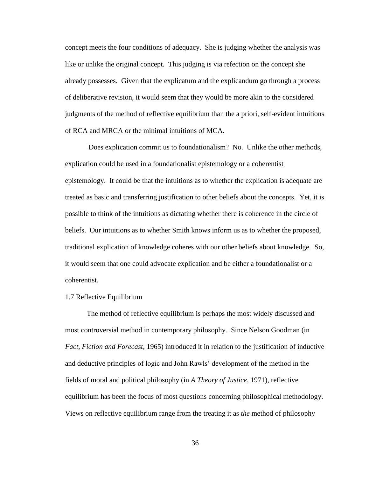concept meets the four conditions of adequacy. She is judging whether the analysis was like or unlike the original concept. This judging is via refection on the concept she already possesses. Given that the explicatum and the explicandum go through a process of deliberative revision, it would seem that they would be more akin to the considered judgments of the method of reflective equilibrium than the a priori, self-evident intuitions of RCA and MRCA or the minimal intuitions of MCA.

Does explication commit us to foundationalism? No. Unlike the other methods, explication could be used in a foundationalist epistemology or a coherentist epistemology. It could be that the intuitions as to whether the explication is adequate are treated as basic and transferring justification to other beliefs about the concepts. Yet, it is possible to think of the intuitions as dictating whether there is coherence in the circle of beliefs. Our intuitions as to whether Smith knows inform us as to whether the proposed, traditional explication of knowledge coheres with our other beliefs about knowledge. So, it would seem that one could advocate explication and be either a foundationalist or a coherentist.

## 1.7 Reflective Equilibrium

The method of reflective equilibrium is perhaps the most widely discussed and most controversial method in contemporary philosophy. Since Nelson Goodman (in *Fact, Fiction and Forecast*, 1965) introduced it in relation to the justification of inductive and deductive principles of logic and John Rawls" development of the method in the fields of moral and political philosophy (in *A Theory of Justice*, 1971), reflective equilibrium has been the focus of most questions concerning philosophical methodology. Views on reflective equilibrium range from the treating it as *the* method of philosophy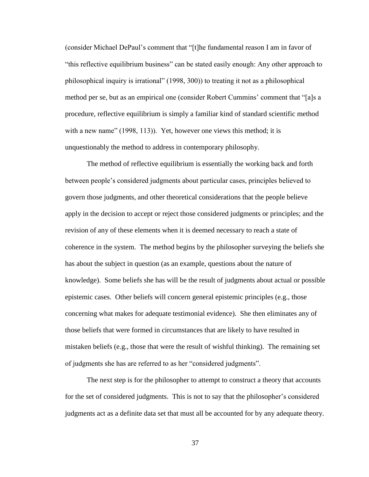(consider Michael DePaul"s comment that "[t]he fundamental reason I am in favor of "this reflective equilibrium business" can be stated easily enough: Any other approach to philosophical inquiry is irrational" (1998, 300)) to treating it not as a philosophical method per se, but as an empirical one (consider Robert Cummins" comment that "[a]s a procedure, reflective equilibrium is simply a familiar kind of standard scientific method with a new name" (1998, 113)). Yet, however one views this method; it is unquestionably the method to address in contemporary philosophy.

The method of reflective equilibrium is essentially the working back and forth between people"s considered judgments about particular cases, principles believed to govern those judgments, and other theoretical considerations that the people believe apply in the decision to accept or reject those considered judgments or principles; and the revision of any of these elements when it is deemed necessary to reach a state of coherence in the system. The method begins by the philosopher surveying the beliefs she has about the subject in question (as an example, questions about the nature of knowledge). Some beliefs she has will be the result of judgments about actual or possible epistemic cases. Other beliefs will concern general epistemic principles (e.g., those concerning what makes for adequate testimonial evidence). She then eliminates any of those beliefs that were formed in circumstances that are likely to have resulted in mistaken beliefs (e.g., those that were the result of wishful thinking). The remaining set of judgments she has are referred to as her "considered judgments".

The next step is for the philosopher to attempt to construct a theory that accounts for the set of considered judgments. This is not to say that the philosopher's considered judgments act as a definite data set that must all be accounted for by any adequate theory.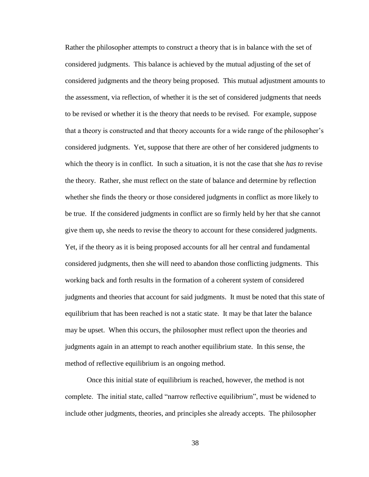Rather the philosopher attempts to construct a theory that is in balance with the set of considered judgments. This balance is achieved by the mutual adjusting of the set of considered judgments and the theory being proposed. This mutual adjustment amounts to the assessment, via reflection, of whether it is the set of considered judgments that needs to be revised or whether it is the theory that needs to be revised. For example, suppose that a theory is constructed and that theory accounts for a wide range of the philosopher"s considered judgments. Yet, suppose that there are other of her considered judgments to which the theory is in conflict. In such a situation, it is not the case that she *has to* revise the theory. Rather, she must reflect on the state of balance and determine by reflection whether she finds the theory or those considered judgments in conflict as more likely to be true. If the considered judgments in conflict are so firmly held by her that she cannot give them up, she needs to revise the theory to account for these considered judgments. Yet, if the theory as it is being proposed accounts for all her central and fundamental considered judgments, then she will need to abandon those conflicting judgments. This working back and forth results in the formation of a coherent system of considered judgments and theories that account for said judgments. It must be noted that this state of equilibrium that has been reached is not a static state. It may be that later the balance may be upset. When this occurs, the philosopher must reflect upon the theories and judgments again in an attempt to reach another equilibrium state. In this sense, the method of reflective equilibrium is an ongoing method.

Once this initial state of equilibrium is reached, however, the method is not complete. The initial state, called "narrow reflective equilibrium", must be widened to include other judgments, theories, and principles she already accepts. The philosopher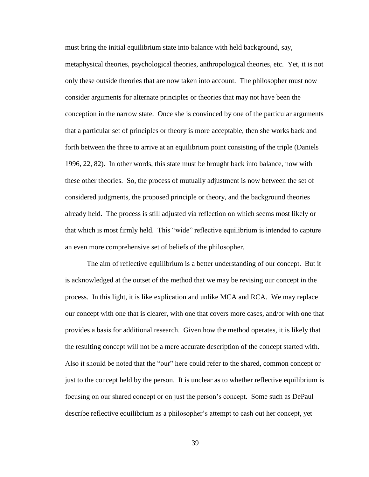must bring the initial equilibrium state into balance with held background, say, metaphysical theories, psychological theories, anthropological theories, etc. Yet, it is not only these outside theories that are now taken into account. The philosopher must now consider arguments for alternate principles or theories that may not have been the conception in the narrow state. Once she is convinced by one of the particular arguments that a particular set of principles or theory is more acceptable, then she works back and forth between the three to arrive at an equilibrium point consisting of the triple (Daniels 1996, 22, 82). In other words, this state must be brought back into balance, now with these other theories. So, the process of mutually adjustment is now between the set of considered judgments, the proposed principle or theory, and the background theories already held. The process is still adjusted via reflection on which seems most likely or that which is most firmly held. This "wide" reflective equilibrium is intended to capture an even more comprehensive set of beliefs of the philosopher.

The aim of reflective equilibrium is a better understanding of our concept. But it is acknowledged at the outset of the method that we may be revising our concept in the process. In this light, it is like explication and unlike MCA and RCA. We may replace our concept with one that is clearer, with one that covers more cases, and/or with one that provides a basis for additional research. Given how the method operates, it is likely that the resulting concept will not be a mere accurate description of the concept started with. Also it should be noted that the "our" here could refer to the shared, common concept or just to the concept held by the person. It is unclear as to whether reflective equilibrium is focusing on our shared concept or on just the person"s concept. Some such as DePaul describe reflective equilibrium as a philosopher"s attempt to cash out her concept, yet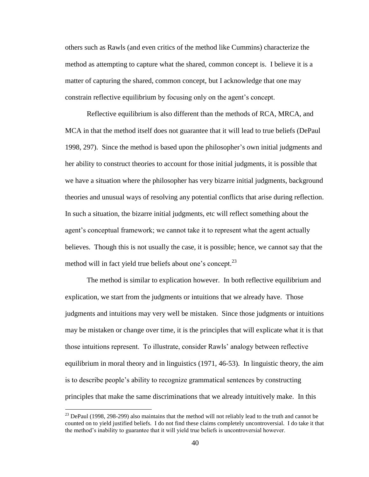others such as Rawls (and even critics of the method like Cummins) characterize the method as attempting to capture what the shared, common concept is. I believe it is a matter of capturing the shared, common concept, but I acknowledge that one may constrain reflective equilibrium by focusing only on the agent"s concept.

Reflective equilibrium is also different than the methods of RCA, MRCA, and MCA in that the method itself does not guarantee that it will lead to true beliefs (DePaul 1998, 297). Since the method is based upon the philosopher"s own initial judgments and her ability to construct theories to account for those initial judgments, it is possible that we have a situation where the philosopher has very bizarre initial judgments, background theories and unusual ways of resolving any potential conflicts that arise during reflection. In such a situation, the bizarre initial judgments, etc will reflect something about the agent's conceptual framework; we cannot take it to represent what the agent actually believes. Though this is not usually the case, it is possible; hence, we cannot say that the method will in fact yield true beliefs about one's concept.<sup>23</sup>

The method is similar to explication however. In both reflective equilibrium and explication, we start from the judgments or intuitions that we already have. Those judgments and intuitions may very well be mistaken. Since those judgments or intuitions may be mistaken or change over time, it is the principles that will explicate what it is that those intuitions represent. To illustrate, consider Rawls" analogy between reflective equilibrium in moral theory and in linguistics (1971, 46-53). In linguistic theory, the aim is to describe people"s ability to recognize grammatical sentences by constructing principles that make the same discriminations that we already intuitively make. In this

 $^{23}$  DePaul (1998, 298-299) also maintains that the method will not reliably lead to the truth and cannot be counted on to yield justified beliefs. I do not find these claims completely uncontroversial. I do take it that the method"s inability to guarantee that it will yield true beliefs is uncontroversial however.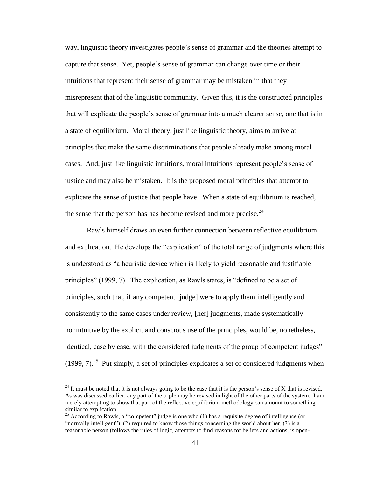way, linguistic theory investigates people"s sense of grammar and the theories attempt to capture that sense. Yet, people"s sense of grammar can change over time or their intuitions that represent their sense of grammar may be mistaken in that they misrepresent that of the linguistic community. Given this, it is the constructed principles that will explicate the people"s sense of grammar into a much clearer sense, one that is in a state of equilibrium. Moral theory, just like linguistic theory, aims to arrive at principles that make the same discriminations that people already make among moral cases. And, just like linguistic intuitions, moral intuitions represent people"s sense of justice and may also be mistaken. It is the proposed moral principles that attempt to explicate the sense of justice that people have. When a state of equilibrium is reached, the sense that the person has has become revised and more precise. $24$ 

Rawls himself draws an even further connection between reflective equilibrium and explication. He develops the "explication" of the total range of judgments where this is understood as "a heuristic device which is likely to yield reasonable and justifiable principles" (1999, 7). The explication, as Rawls states, is "defined to be a set of principles, such that, if any competent [judge] were to apply them intelligently and consistently to the same cases under review, [her] judgments, made systematically nonintuitive by the explicit and conscious use of the principles, would be, nonetheless, identical, case by case, with the considered judgments of the group of competent judges"  $(1999, 7)$ .<sup>25</sup> Put simply, a set of principles explicates a set of considered judgments when

<sup>&</sup>lt;sup>24</sup> It must be noted that it is not always going to be the case that it is the person's sense of X that is revised. As was discussed earlier, any part of the triple may be revised in light of the other parts of the system. I am merely attempting to show that part of the reflective equilibrium methodology can amount to something similar to explication.

<sup>&</sup>lt;sup>25</sup> According to Rawls, a "competent" judge is one who (1) has a requisite degree of intelligence (or "normally intelligent"), (2) required to know those things concerning the world about her, (3) is a reasonable person (follows the rules of logic, attempts to find reasons for beliefs and actions, is open-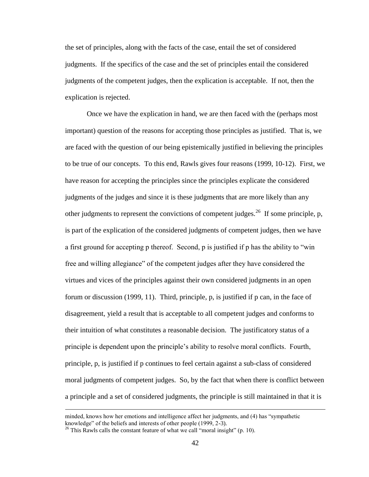the set of principles, along with the facts of the case, entail the set of considered judgments. If the specifics of the case and the set of principles entail the considered judgments of the competent judges, then the explication is acceptable. If not, then the explication is rejected.

Once we have the explication in hand, we are then faced with the (perhaps most important) question of the reasons for accepting those principles as justified. That is, we are faced with the question of our being epistemically justified in believing the principles to be true of our concepts. To this end, Rawls gives four reasons (1999, 10-12). First, we have reason for accepting the principles since the principles explicate the considered judgments of the judges and since it is these judgments that are more likely than any other judgments to represent the convictions of competent judges.<sup>26</sup> If some principle, p, is part of the explication of the considered judgments of competent judges, then we have a first ground for accepting p thereof. Second, p is justified if p has the ability to "win free and willing allegiance" of the competent judges after they have considered the virtues and vices of the principles against their own considered judgments in an open forum or discussion (1999, 11). Third, principle, p, is justified if p can, in the face of disagreement, yield a result that is acceptable to all competent judges and conforms to their intuition of what constitutes a reasonable decision. The justificatory status of a principle is dependent upon the principle"s ability to resolve moral conflicts. Fourth, principle, p, is justified if p continues to feel certain against a sub-class of considered moral judgments of competent judges. So, by the fact that when there is conflict between a principle and a set of considered judgments, the principle is still maintained in that it is

minded, knows how her emotions and intelligence affect her judgments, and (4) has "sympathetic knowledge" of the beliefs and interests of other people (1999, 2-3).

 $^{26}$  This Rawls calls the constant feature of what we call "moral insight" (p. 10).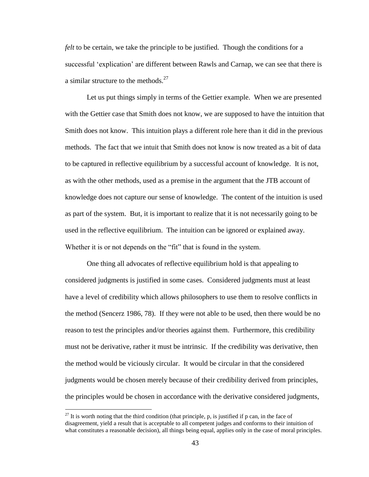*felt* to be certain, we take the principle to be justified. Though the conditions for a successful 'explication' are different between Rawls and Carnap, we can see that there is a similar structure to the methods. $27$ 

Let us put things simply in terms of the Gettier example. When we are presented with the Gettier case that Smith does not know, we are supposed to have the intuition that Smith does not know. This intuition plays a different role here than it did in the previous methods. The fact that we intuit that Smith does not know is now treated as a bit of data to be captured in reflective equilibrium by a successful account of knowledge. It is not, as with the other methods, used as a premise in the argument that the JTB account of knowledge does not capture our sense of knowledge. The content of the intuition is used as part of the system. But, it is important to realize that it is not necessarily going to be used in the reflective equilibrium. The intuition can be ignored or explained away. Whether it is or not depends on the "fit" that is found in the system.

One thing all advocates of reflective equilibrium hold is that appealing to considered judgments is justified in some cases. Considered judgments must at least have a level of credibility which allows philosophers to use them to resolve conflicts in the method (Sencerz 1986, 78). If they were not able to be used, then there would be no reason to test the principles and/or theories against them. Furthermore, this credibility must not be derivative, rather it must be intrinsic. If the credibility was derivative, then the method would be viciously circular. It would be circular in that the considered judgments would be chosen merely because of their credibility derived from principles, the principles would be chosen in accordance with the derivative considered judgments,

<sup>&</sup>lt;sup>27</sup> It is worth noting that the third condition (that principle, p, is justified if p can, in the face of disagreement, yield a result that is acceptable to all competent judges and conforms to their intuition of what constitutes a reasonable decision), all things being equal, applies only in the case of moral principles.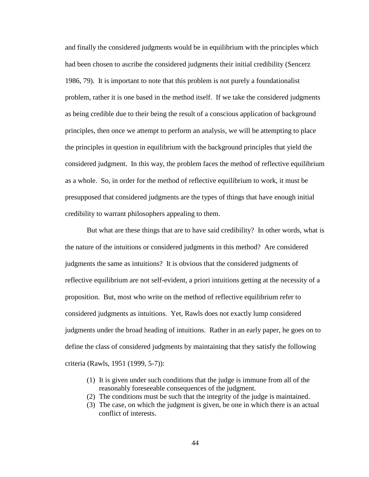and finally the considered judgments would be in equilibrium with the principles which had been chosen to ascribe the considered judgments their initial credibility (Sencerz 1986, 79). It is important to note that this problem is not purely a foundationalist problem, rather it is one based in the method itself. If we take the considered judgments as being credible due to their being the result of a conscious application of background principles, then once we attempt to perform an analysis, we will be attempting to place the principles in question in equilibrium with the background principles that yield the considered judgment. In this way, the problem faces the method of reflective equilibrium as a whole. So, in order for the method of reflective equilibrium to work, it must be presupposed that considered judgments are the types of things that have enough initial credibility to warrant philosophers appealing to them.

But what are these things that are to have said credibility? In other words, what is the nature of the intuitions or considered judgments in this method? Are considered judgments the same as intuitions? It is obvious that the considered judgments of reflective equilibrium are not self-evident, a priori intuitions getting at the necessity of a proposition. But, most who write on the method of reflective equilibrium refer to considered judgments as intuitions. Yet, Rawls does not exactly lump considered judgments under the broad heading of intuitions. Rather in an early paper, he goes on to define the class of considered judgments by maintaining that they satisfy the following criteria (Rawls, 1951 (1999, 5-7)):

- (1) It is given under such conditions that the judge is immune from all of the reasonably foreseeable consequences of the judgment.
- (2) The conditions must be such that the integrity of the judge is maintained.
- (3) The case, on which the judgment is given, be one in which there is an actual conflict of interests.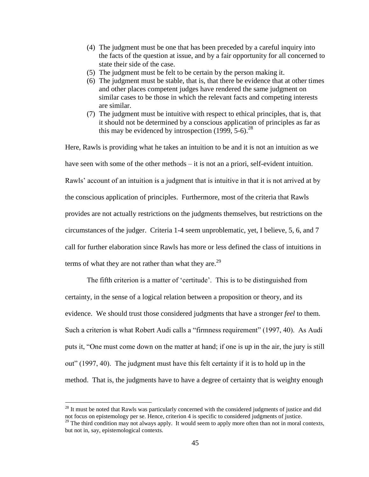- (4) The judgment must be one that has been preceded by a careful inquiry into the facts of the question at issue, and by a fair opportunity for all concerned to state their side of the case.
- (5) The judgment must be felt to be certain by the person making it.
- (6) The judgment must be stable, that is, that there be evidence that at other times and other places competent judges have rendered the same judgment on similar cases to be those in which the relevant facts and competing interests are similar.
- (7) The judgment must be intuitive with respect to ethical principles, that is, that it should not be determined by a conscious application of principles as far as this may be evidenced by introspection  $(1999, 5-6)^{28}$

Here, Rawls is providing what he takes an intuition to be and it is not an intuition as we have seen with some of the other methods – it is not an a priori, self-evident intuition. Rawls" account of an intuition is a judgment that is intuitive in that it is not arrived at by the conscious application of principles. Furthermore, most of the criteria that Rawls provides are not actually restrictions on the judgments themselves, but restrictions on the circumstances of the judger. Criteria 1-4 seem unproblematic, yet, I believe, 5, 6, and 7 call for further elaboration since Rawls has more or less defined the class of intuitions in terms of what they are not rather than what they are. $^{29}$ 

The fifth criterion is a matter of 'certitude'. This is to be distinguished from certainty, in the sense of a logical relation between a proposition or theory, and its evidence. We should trust those considered judgments that have a stronger *feel* to them. Such a criterion is what Robert Audi calls a "firmness requirement" (1997, 40). As Audi puts it, "One must come down on the matter at hand; if one is up in the air, the jury is still out" (1997, 40). The judgment must have this felt certainty if it is to hold up in the method. That is, the judgments have to have a degree of certainty that is weighty enough

 $2<sup>28</sup>$  It must be noted that Rawls was particularly concerned with the considered judgments of justice and did not focus on epistemology per se. Hence, criterion 4 is specific to considered judgments of justice.

<sup>&</sup>lt;sup>29</sup> The third condition may not always apply. It would seem to apply more often than not in moral contexts, but not in, say, epistemological contexts.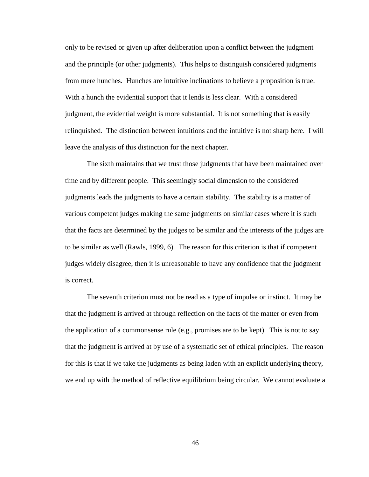only to be revised or given up after deliberation upon a conflict between the judgment and the principle (or other judgments). This helps to distinguish considered judgments from mere hunches. Hunches are intuitive inclinations to believe a proposition is true. With a hunch the evidential support that it lends is less clear. With a considered judgment, the evidential weight is more substantial. It is not something that is easily relinquished. The distinction between intuitions and the intuitive is not sharp here. I will leave the analysis of this distinction for the next chapter.

The sixth maintains that we trust those judgments that have been maintained over time and by different people. This seemingly social dimension to the considered judgments leads the judgments to have a certain stability. The stability is a matter of various competent judges making the same judgments on similar cases where it is such that the facts are determined by the judges to be similar and the interests of the judges are to be similar as well (Rawls, 1999, 6). The reason for this criterion is that if competent judges widely disagree, then it is unreasonable to have any confidence that the judgment is correct.

The seventh criterion must not be read as a type of impulse or instinct. It may be that the judgment is arrived at through reflection on the facts of the matter or even from the application of a commonsense rule (e.g., promises are to be kept). This is not to say that the judgment is arrived at by use of a systematic set of ethical principles. The reason for this is that if we take the judgments as being laden with an explicit underlying theory, we end up with the method of reflective equilibrium being circular. We cannot evaluate a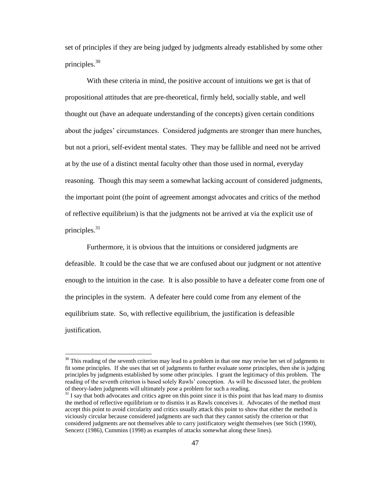set of principles if they are being judged by judgments already established by some other principles.<sup>30</sup>

With these criteria in mind, the positive account of intuitions we get is that of propositional attitudes that are pre-theoretical, firmly held, socially stable, and well thought out (have an adequate understanding of the concepts) given certain conditions about the judges' circumstances. Considered judgments are stronger than mere hunches, but not a priori, self-evident mental states. They may be fallible and need not be arrived at by the use of a distinct mental faculty other than those used in normal, everyday reasoning. Though this may seem a somewhat lacking account of considered judgments, the important point (the point of agreement amongst advocates and critics of the method of reflective equilibrium) is that the judgments not be arrived at via the explicit use of principles. $31$ 

Furthermore, it is obvious that the intuitions or considered judgments are defeasible. It could be the case that we are confused about our judgment or not attentive enough to the intuition in the case. It is also possible to have a defeater come from one of the principles in the system. A defeater here could come from any element of the equilibrium state. So, with reflective equilibrium, the justification is defeasible justification.

 $30$  This reading of the seventh criterion may lead to a problem in that one may revise her set of judgments to fit some principles. If she uses that set of judgments to further evaluate some principles, then she is judging principles by judgments established by some other principles. I grant the legitimacy of this problem. The reading of the seventh criterion is based solely Rawls" conception. As will be discussed later, the problem of theory-laden judgments will ultimately pose a problem for such a reading.

 $31$  I say that both advocates and critics agree on this point since it is this point that has lead many to dismiss the method of reflective equilibrium or to dismiss it as Rawls conceives it. Advocates of the method must accept this point to avoid circularity and critics usually attack this point to show that either the method is viciously circular because considered judgments are such that they cannot satisfy the criterion or that considered judgments are not themselves able to carry justificatory weight themselves (see Stich (1990), Sencerz (1986), Cummins (1998) as examples of attacks somewhat along these lines).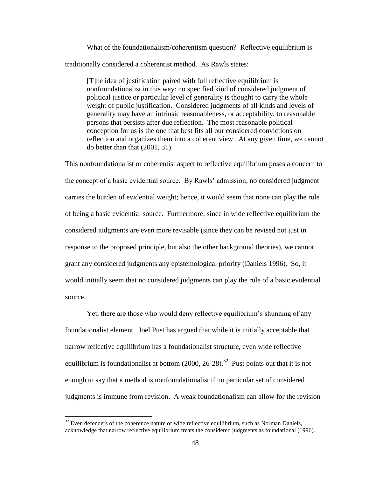What of the foundationalism/coherentism question? Reflective equilibrium is traditionally considered a coherentist method. As Rawls states:

[T]he idea of justification paired with full reflective equilibrium is nonfoundationalist in this way: no specified kind of considered judgment of political justice or particular level of generality is thought to carry the whole weight of public justification. Considered judgments of all kinds and levels of generality may have an intrinsic reasonableness, or acceptability, to reasonable persons that persists after due reflection. The most reasonable political conception for us is the one that best fits all our considered convictions on reflection and organizes them into a coherent view. At any given time, we cannot do better than that (2001, 31).

This nonfoundationalist or coherentist aspect to reflective equilibrium poses a concern to the concept of a basic evidential source. By Rawls" admission, no considered judgment carries the burden of evidential weight; hence, it would seem that none can play the role of being a basic evidential source. Furthermore, since in wide reflective equilibrium the considered judgments are even more revisable (since they can be revised not just in response to the proposed principle, but also the other background theories), we cannot grant any considered judgments any epistemological priority (Daniels 1996). So, it would initially seem that no considered judgments can play the role of a basic evidential source.

Yet, there are those who would deny reflective equilibrium's shunning of any foundationalist element. Joel Pust has argued that while it is initially acceptable that narrow reflective equilibrium has a foundationalist structure, even wide reflective equilibrium is foundationalist at bottom  $(2000, 26-28).$ <sup>32</sup> Pust points out that it is not enough to say that a method is nonfoundationalist if no particular set of considered judgments is immune from revision. A weak foundationalism can allow for the revision

 $32$  Even defenders of the coherence nature of wide reflective equilibrium, such as Norman Daniels, acknowledge that narrow reflective equilibrium treats the considered judgments as foundational (1996).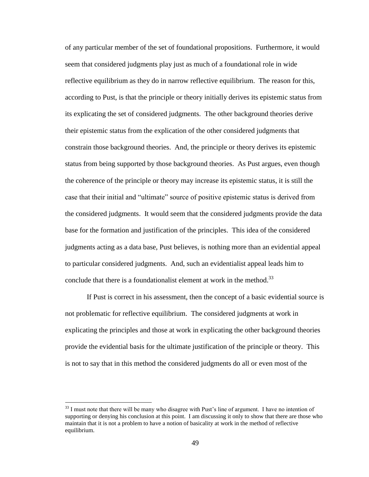of any particular member of the set of foundational propositions. Furthermore, it would seem that considered judgments play just as much of a foundational role in wide reflective equilibrium as they do in narrow reflective equilibrium. The reason for this, according to Pust, is that the principle or theory initially derives its epistemic status from its explicating the set of considered judgments. The other background theories derive their epistemic status from the explication of the other considered judgments that constrain those background theories. And, the principle or theory derives its epistemic status from being supported by those background theories. As Pust argues, even though the coherence of the principle or theory may increase its epistemic status, it is still the case that their initial and "ultimate" source of positive epistemic status is derived from the considered judgments. It would seem that the considered judgments provide the data base for the formation and justification of the principles. This idea of the considered judgments acting as a data base, Pust believes, is nothing more than an evidential appeal to particular considered judgments. And, such an evidentialist appeal leads him to conclude that there is a foundationalist element at work in the method.<sup>33</sup>

If Pust is correct in his assessment, then the concept of a basic evidential source is not problematic for reflective equilibrium. The considered judgments at work in explicating the principles and those at work in explicating the other background theories provide the evidential basis for the ultimate justification of the principle or theory. This is not to say that in this method the considered judgments do all or even most of the

<sup>&</sup>lt;sup>33</sup> I must note that there will be many who disagree with Pust's line of argument. I have no intention of supporting or denying his conclusion at this point. I am discussing it only to show that there are those who maintain that it is not a problem to have a notion of basicality at work in the method of reflective equilibrium.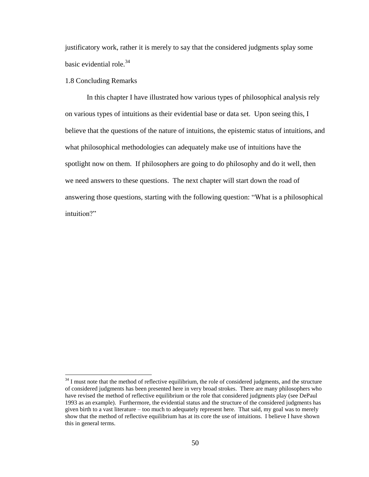justificatory work, rather it is merely to say that the considered judgments splay some basic evidential role.<sup>34</sup>

# 1.8 Concluding Remarks

 $\overline{a}$ 

In this chapter I have illustrated how various types of philosophical analysis rely on various types of intuitions as their evidential base or data set. Upon seeing this, I believe that the questions of the nature of intuitions, the epistemic status of intuitions, and what philosophical methodologies can adequately make use of intuitions have the spotlight now on them. If philosophers are going to do philosophy and do it well, then we need answers to these questions. The next chapter will start down the road of answering those questions, starting with the following question: "What is a philosophical intuition?"

 $34$  I must note that the method of reflective equilibrium, the role of considered judgments, and the structure of considered judgments has been presented here in very broad strokes. There are many philosophers who have revised the method of reflective equilibrium or the role that considered judgments play (see DePaul 1993 as an example). Furthermore, the evidential status and the structure of the considered judgments has given birth to a vast literature – too much to adequately represent here. That said, my goal was to merely show that the method of reflective equilibrium has at its core the use of intuitions. I believe I have shown this in general terms.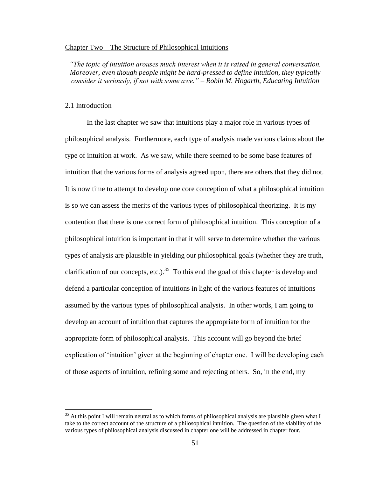### Chapter Two – The Structure of Philosophical Intuitions

*"The topic of intuition arouses much interest when it is raised in general conversation. Moreover, even though people might be hard-pressed to define intuition, they typically consider it seriously, if not with some awe." – Robin M. Hogarth, Educating Intuition*

## 2.1 Introduction

 $\overline{a}$ 

In the last chapter we saw that intuitions play a major role in various types of philosophical analysis. Furthermore, each type of analysis made various claims about the type of intuition at work. As we saw, while there seemed to be some base features of intuition that the various forms of analysis agreed upon, there are others that they did not. It is now time to attempt to develop one core conception of what a philosophical intuition is so we can assess the merits of the various types of philosophical theorizing. It is my contention that there is one correct form of philosophical intuition. This conception of a philosophical intuition is important in that it will serve to determine whether the various types of analysis are plausible in yielding our philosophical goals (whether they are truth, clarification of our concepts, etc.).<sup>35</sup> To this end the goal of this chapter is develop and defend a particular conception of intuitions in light of the various features of intuitions assumed by the various types of philosophical analysis. In other words, I am going to develop an account of intuition that captures the appropriate form of intuition for the appropriate form of philosophical analysis. This account will go beyond the brief explication of "intuition" given at the beginning of chapter one. I will be developing each of those aspects of intuition, refining some and rejecting others. So, in the end, my

 $35$  At this point I will remain neutral as to which forms of philosophical analysis are plausible given what I take to the correct account of the structure of a philosophical intuition. The question of the viability of the various types of philosophical analysis discussed in chapter one will be addressed in chapter four.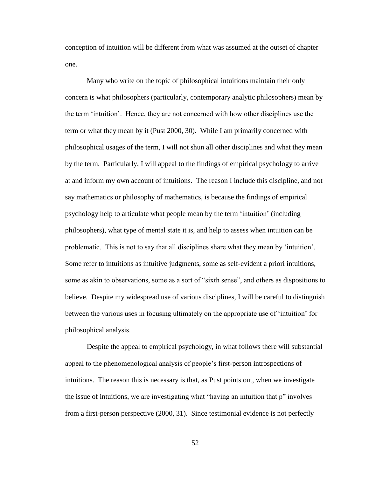conception of intuition will be different from what was assumed at the outset of chapter one.

Many who write on the topic of philosophical intuitions maintain their only concern is what philosophers (particularly, contemporary analytic philosophers) mean by the term "intuition". Hence, they are not concerned with how other disciplines use the term or what they mean by it (Pust 2000, 30). While I am primarily concerned with philosophical usages of the term, I will not shun all other disciplines and what they mean by the term. Particularly, I will appeal to the findings of empirical psychology to arrive at and inform my own account of intuitions. The reason I include this discipline, and not say mathematics or philosophy of mathematics, is because the findings of empirical psychology help to articulate what people mean by the term "intuition" (including philosophers), what type of mental state it is, and help to assess when intuition can be problematic. This is not to say that all disciplines share what they mean by "intuition". Some refer to intuitions as intuitive judgments, some as self-evident a priori intuitions, some as akin to observations, some as a sort of "sixth sense", and others as dispositions to believe. Despite my widespread use of various disciplines, I will be careful to distinguish between the various uses in focusing ultimately on the appropriate use of "intuition" for philosophical analysis.

Despite the appeal to empirical psychology, in what follows there will substantial appeal to the phenomenological analysis of people"s first-person introspections of intuitions. The reason this is necessary is that, as Pust points out, when we investigate the issue of intuitions, we are investigating what "having an intuition that p" involves from a first-person perspective (2000, 31). Since testimonial evidence is not perfectly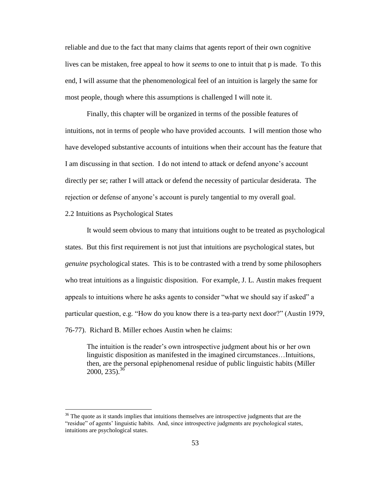reliable and due to the fact that many claims that agents report of their own cognitive lives can be mistaken, free appeal to how it *seems* to one to intuit that p is made. To this end, I will assume that the phenomenological feel of an intuition is largely the same for most people, though where this assumptions is challenged I will note it.

Finally, this chapter will be organized in terms of the possible features of intuitions, not in terms of people who have provided accounts. I will mention those who have developed substantive accounts of intuitions when their account has the feature that I am discussing in that section. I do not intend to attack or defend anyone"s account directly per se; rather I will attack or defend the necessity of particular desiderata. The rejection or defense of anyone"s account is purely tangential to my overall goal.

2.2 Intuitions as Psychological States

 $\overline{a}$ 

It would seem obvious to many that intuitions ought to be treated as psychological states. But this first requirement is not just that intuitions are psychological states, but *genuine* psychological states. This is to be contrasted with a trend by some philosophers who treat intuitions as a linguistic disposition. For example, J. L. Austin makes frequent appeals to intuitions where he asks agents to consider "what we should say if asked" a particular question, e.g. "How do you know there is a tea-party next door?" (Austin 1979, 76-77). Richard B. Miller echoes Austin when he claims:

The intuition is the reader"s own introspective judgment about his or her own linguistic disposition as manifested in the imagined circumstances…Intuitions, then, are the personal epiphenomenal residue of public linguistic habits (Miller  $2000, 235$ <sup>36</sup>

 $36$  The quote as it stands implies that intuitions themselves are introspective judgments that are the "residue" of agents" linguistic habits. And, since introspective judgments are psychological states, intuitions are psychological states.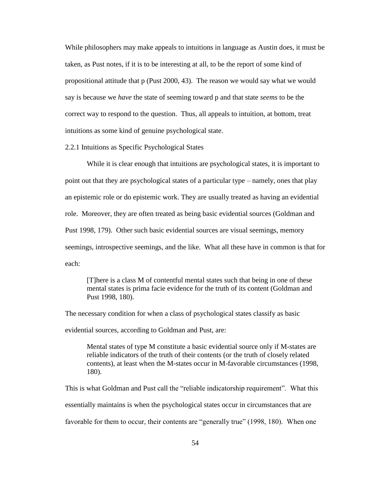While philosophers may make appeals to intuitions in language as Austin does, it must be taken, as Pust notes, if it is to be interesting at all, to be the report of some kind of propositional attitude that p (Pust 2000, 43). The reason we would say what we would say is because we *have* the state of seeming toward p and that state *seems* to be the correct way to respond to the question. Thus, all appeals to intuition, at bottom, treat intuitions as some kind of genuine psychological state.

2.2.1 Intuitions as Specific Psychological States

While it is clear enough that intuitions are psychological states, it is important to point out that they are psychological states of a particular type – namely, ones that play an epistemic role or do epistemic work. They are usually treated as having an evidential role. Moreover, they are often treated as being basic evidential sources (Goldman and Pust 1998, 179). Other such basic evidential sources are visual seemings, memory seemings, introspective seemings, and the like. What all these have in common is that for each:

[T]here is a class M of contentful mental states such that being in one of these mental states is prima facie evidence for the truth of its content (Goldman and Pust 1998, 180).

The necessary condition for when a class of psychological states classify as basic

evidential sources, according to Goldman and Pust, are:

Mental states of type M constitute a basic evidential source only if M-states are reliable indicators of the truth of their contents (or the truth of closely related contents), at least when the M-states occur in M-favorable circumstances (1998, 180).

This is what Goldman and Pust call the "reliable indicatorship requirement". What this essentially maintains is when the psychological states occur in circumstances that are favorable for them to occur, their contents are "generally true" (1998, 180). When one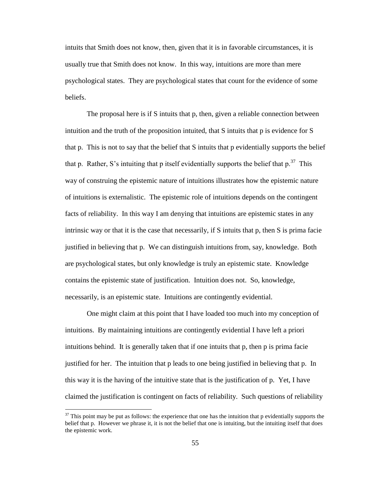intuits that Smith does not know, then, given that it is in favorable circumstances, it is usually true that Smith does not know. In this way, intuitions are more than mere psychological states. They are psychological states that count for the evidence of some beliefs.

The proposal here is if S intuits that p, then, given a reliable connection between intuition and the truth of the proposition intuited, that  $S$  intuits that  $p$  is evidence for  $S$ that p. This is not to say that the belief that S intuits that p evidentially supports the belief that p. Rather, S's intuiting that p itself evidentially supports the belief that  $p^{37}$  This way of construing the epistemic nature of intuitions illustrates how the epistemic nature of intuitions is externalistic. The epistemic role of intuitions depends on the contingent facts of reliability. In this way I am denying that intuitions are epistemic states in any intrinsic way or that it is the case that necessarily, if S intuits that p, then S is prima facie justified in believing that p. We can distinguish intuitions from, say, knowledge. Both are psychological states, but only knowledge is truly an epistemic state. Knowledge contains the epistemic state of justification. Intuition does not. So, knowledge, necessarily, is an epistemic state. Intuitions are contingently evidential.

One might claim at this point that I have loaded too much into my conception of intuitions. By maintaining intuitions are contingently evidential I have left a priori intuitions behind. It is generally taken that if one intuits that p, then p is prima facie justified for her. The intuition that p leads to one being justified in believing that p. In this way it is the having of the intuitive state that is the justification of p. Yet, I have claimed the justification is contingent on facts of reliability. Such questions of reliability

 $37$  This point may be put as follows: the experience that one has the intuition that p evidentially supports the belief that p. However we phrase it, it is not the belief that one is intuiting, but the intuiting itself that does the epistemic work.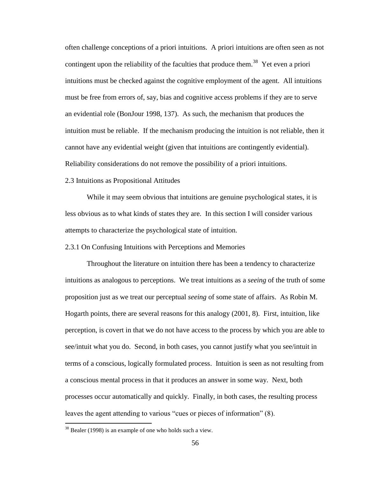often challenge conceptions of a priori intuitions. A priori intuitions are often seen as not contingent upon the reliability of the faculties that produce them.<sup>38</sup> Yet even a priori intuitions must be checked against the cognitive employment of the agent. All intuitions must be free from errors of, say, bias and cognitive access problems if they are to serve an evidential role (BonJour 1998, 137). As such, the mechanism that produces the intuition must be reliable. If the mechanism producing the intuition is not reliable, then it cannot have any evidential weight (given that intuitions are contingently evidential). Reliability considerations do not remove the possibility of a priori intuitions.

# 2.3 Intuitions as Propositional Attitudes

While it may seem obvious that intuitions are genuine psychological states, it is less obvious as to what kinds of states they are. In this section I will consider various attempts to characterize the psychological state of intuition.

2.3.1 On Confusing Intuitions with Perceptions and Memories

Throughout the literature on intuition there has been a tendency to characterize intuitions as analogous to perceptions. We treat intuitions as a *seeing* of the truth of some proposition just as we treat our perceptual *seeing* of some state of affairs. As Robin M. Hogarth points, there are several reasons for this analogy (2001, 8). First, intuition, like perception, is covert in that we do not have access to the process by which you are able to see/intuit what you do. Second, in both cases, you cannot justify what you see/intuit in terms of a conscious, logically formulated process. Intuition is seen as not resulting from a conscious mental process in that it produces an answer in some way. Next, both processes occur automatically and quickly. Finally, in both cases, the resulting process leaves the agent attending to various "cues or pieces of information" (8).

 $38$  Bealer (1998) is an example of one who holds such a view.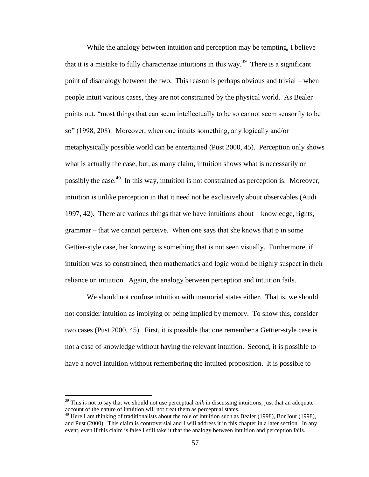While the analogy between intuition and perception may be tempting, I believe that it is a mistake to fully characterize intuitions in this way.<sup>39</sup> There is a significant point of disanalogy between the two. This reason is perhaps obvious and trivial – when people intuit various cases, they are not constrained by the physical world. As Bealer points out, "most things that can seem intellectually to be so cannot seem sensorily to be so" (1998, 208). Moreover, when one intuits something, any logically and/or metaphysically possible world can be entertained (Pust 2000, 45). Perception only shows what is actually the case, but, as many claim, intuition shows what is necessarily or possibly the case.<sup>40</sup> In this way, intuition is not constrained as perception is. Moreover, intuition is unlike perception in that it need not be exclusively about observables (Audi 1997, 42). There are various things that we have intuitions about – knowledge, rights, grammar – that we cannot perceive. When one says that she knows that p in some Gettier-style case, her knowing is something that is not seen visually. Furthermore, if intuition was so constrained, then mathematics and logic would be highly suspect in their reliance on intuition. Again, the analogy between perception and intuition fails.

We should not confuse intuition with memorial states either. That is, we should not consider intuition as implying or being implied by memory. To show this, consider two cases (Pust 2000, 45). First, it is possible that one remember a Gettier-style case is not a case of knowledge without having the relevant intuition. Second, it is possible to have a novel intuition without remembering the intuited proposition. It is possible to

<sup>&</sup>lt;sup>39</sup> This is not to say that we should not use perceptual *talk* in discussing intuitions, just that an adequate account of the nature of intuition will not treat them as perceptual states.

 $^{40}$  Here I am thinking of traditionalists about the role of intuition such as Bealer (1998), BonJour (1998), and Pust (2000). This claim is controversial and I will address it in this chapter in a later section. In any event, even if this claim is false I still take it that the analogy between intuition and perception fails.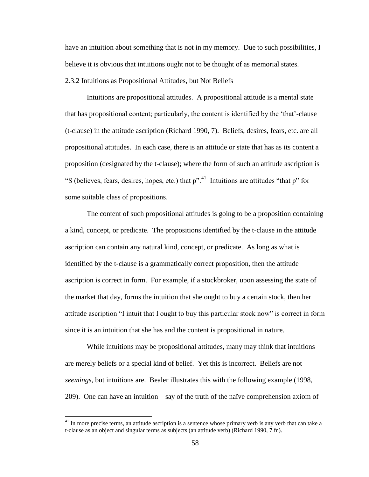have an intuition about something that is not in my memory. Due to such possibilities, I believe it is obvious that intuitions ought not to be thought of as memorial states.

2.3.2 Intuitions as Propositional Attitudes, but Not Beliefs

Intuitions are propositional attitudes. A propositional attitude is a mental state that has propositional content; particularly, the content is identified by the "that"-clause (t-clause) in the attitude ascription (Richard 1990, 7). Beliefs, desires, fears, etc. are all propositional attitudes. In each case, there is an attitude or state that has as its content a proposition (designated by the t-clause); where the form of such an attitude ascription is "S (believes, fears, desires, hopes, etc.) that  $p''$ .<sup>41</sup> Intuitions are attitudes "that  $p''$  for some suitable class of propositions.

The content of such propositional attitudes is going to be a proposition containing a kind, concept, or predicate. The propositions identified by the t-clause in the attitude ascription can contain any natural kind, concept, or predicate. As long as what is identified by the t-clause is a grammatically correct proposition, then the attitude ascription is correct in form. For example, if a stockbroker, upon assessing the state of the market that day, forms the intuition that she ought to buy a certain stock, then her attitude ascription "I intuit that I ought to buy this particular stock now" is correct in form since it is an intuition that she has and the content is propositional in nature.

While intuitions may be propositional attitudes, many may think that intuitions are merely beliefs or a special kind of belief. Yet this is incorrect. Beliefs are not *seemings*, but intuitions are. Bealer illustrates this with the following example (1998, 209). One can have an intuition – say of the truth of the naïve comprehension axiom of

 $41$  In more precise terms, an attitude ascription is a sentence whose primary verb is any verb that can take a t-clause as an object and singular terms as subjects (an attitude verb) (Richard 1990, 7 fn).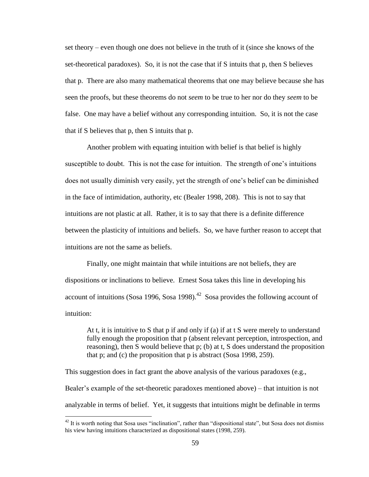set theory – even though one does not believe in the truth of it (since she knows of the set-theoretical paradoxes). So, it is not the case that if S intuits that p, then S believes that p. There are also many mathematical theorems that one may believe because she has seen the proofs, but these theorems do not *seem* to be true to her nor do they *seem* to be false. One may have a belief without any corresponding intuition. So, it is not the case that if S believes that p, then S intuits that p.

Another problem with equating intuition with belief is that belief is highly susceptible to doubt. This is not the case for intuition. The strength of one"s intuitions does not usually diminish very easily, yet the strength of one"s belief can be diminished in the face of intimidation, authority, etc (Bealer 1998, 208). This is not to say that intuitions are not plastic at all. Rather, it is to say that there is a definite difference between the plasticity of intuitions and beliefs. So, we have further reason to accept that intuitions are not the same as beliefs.

Finally, one might maintain that while intuitions are not beliefs, they are dispositions or inclinations to believe. Ernest Sosa takes this line in developing his account of intuitions (Sosa 1996, Sosa 1998).<sup>42</sup> Sosa provides the following account of intuition:

At t, it is intuitive to S that p if and only if (a) if at t S were merely to understand fully enough the proposition that p (absent relevant perception, introspection, and reasoning), then S would believe that p; (b) at t, S does understand the proposition that p; and (c) the proposition that p is abstract (Sosa 1998, 259).

This suggestion does in fact grant the above analysis of the various paradoxes (e.g., Bealer"s example of the set-theoretic paradoxes mentioned above) – that intuition is not analyzable in terms of belief. Yet, it suggests that intuitions might be definable in terms

 $42$  It is worth noting that Sosa uses "inclination", rather than "dispositional state", but Sosa does not dismiss his view having intuitions characterized as dispositional states (1998, 259).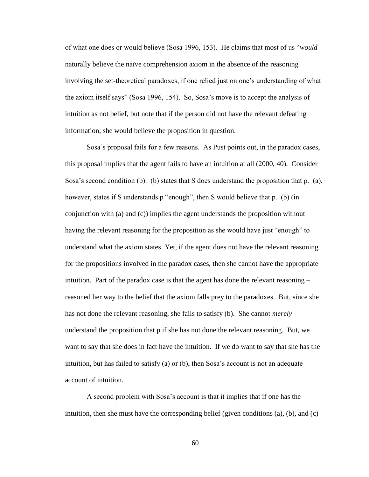of what one does or would believe (Sosa 1996, 153). He claims that most of us "*would* naturally believe the naïve comprehension axiom in the absence of the reasoning involving the set-theoretical paradoxes, if one relied just on one"s understanding of what the axiom itself says" (Sosa 1996, 154). So, Sosa"s move is to accept the analysis of intuition as not belief, but note that if the person did not have the relevant defeating information, she would believe the proposition in question.

Sosa"s proposal fails for a few reasons. As Pust points out, in the paradox cases, this proposal implies that the agent fails to have an intuition at all (2000, 40). Consider Sosa's second condition (b). (b) states that S does understand the proposition that p. (a), however, states if S understands p "enough", then S would believe that p. (b) (in conjunction with (a) and (c)) implies the agent understands the proposition without having the relevant reasoning for the proposition as she would have just "enough" to understand what the axiom states. Yet, if the agent does not have the relevant reasoning for the propositions involved in the paradox cases, then she cannot have the appropriate intuition. Part of the paradox case is that the agent has done the relevant reasoning – reasoned her way to the belief that the axiom falls prey to the paradoxes. But, since she has not done the relevant reasoning, she fails to satisfy (b). She cannot *merely* understand the proposition that p if she has not done the relevant reasoning. But, we want to say that she does in fact have the intuition. If we do want to say that she has the intuition, but has failed to satisfy (a) or (b), then Sosa's account is not an adequate account of intuition.

A second problem with Sosa"s account is that it implies that if one has the intuition, then she must have the corresponding belief (given conditions  $(a)$ ,  $(b)$ , and  $(c)$ )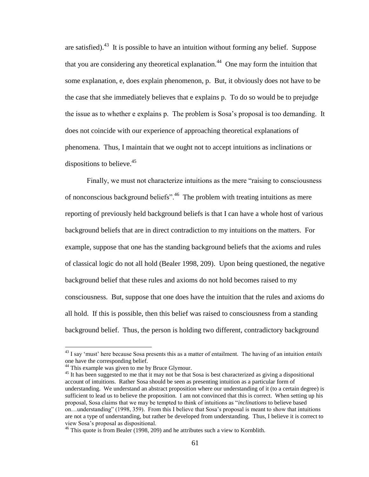are satisfied).<sup>43</sup> It is possible to have an intuition without forming any belief. Suppose that you are considering any theoretical explanation.<sup>44</sup> One may form the intuition that some explanation, e, does explain phenomenon, p. But, it obviously does not have to be the case that she immediately believes that e explains p. To do so would be to prejudge the issue as to whether e explains p. The problem is Sosa"s proposal is too demanding. It does not coincide with our experience of approaching theoretical explanations of phenomena. Thus, I maintain that we ought not to accept intuitions as inclinations or dispositions to believe. $45$ 

Finally, we must not characterize intuitions as the mere "raising to consciousness of nonconscious background beliefs".<sup>46</sup> The problem with treating intuitions as mere reporting of previously held background beliefs is that I can have a whole host of various background beliefs that are in direct contradiction to my intuitions on the matters. For example, suppose that one has the standing background beliefs that the axioms and rules of classical logic do not all hold (Bealer 1998, 209). Upon being questioned, the negative background belief that these rules and axioms do not hold becomes raised to my consciousness. But, suppose that one does have the intuition that the rules and axioms do all hold. If this is possible, then this belief was raised to consciousness from a standing background belief. Thus, the person is holding two different, contradictory background

<sup>43</sup> I say "must" here because Sosa presents this as a matter of entailment. The having of an intuition *entails* one have the corresponding belief.

<sup>&</sup>lt;sup>44</sup> This example was given to me by Bruce Glymour.

<sup>&</sup>lt;sup>45</sup> It has been suggested to me that it may not be that Sosa is best characterized as giving a dispositional account of intuitions. Rather Sosa should be seen as presenting intuition as a particular form of understanding. We understand an abstract proposition where our understanding of it (to a certain degree) is sufficient to lead us to believe the proposition. I am not convinced that this is correct. When setting up his proposal, Sosa claims that we may be tempted to think of intuitions as "*inclinations* to believe based on…understanding" (1998, 359). From this I believe that Sosa"s proposal is meant to show that intuitions are not a type of understanding, but rather be developed from understanding. Thus, I believe it is correct to view Sosa"s proposal as dispositional.

 $46$  This quote is from Bealer (1998, 209) and he attributes such a view to Kornblith.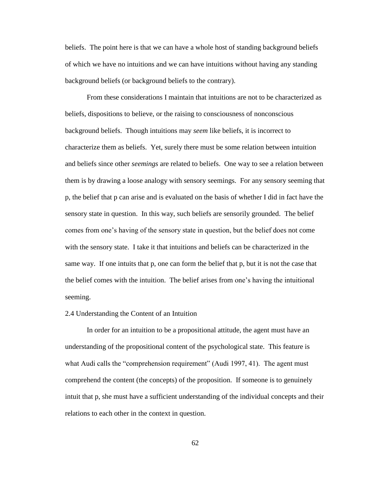beliefs. The point here is that we can have a whole host of standing background beliefs of which we have no intuitions and we can have intuitions without having any standing background beliefs (or background beliefs to the contrary).

From these considerations I maintain that intuitions are not to be characterized as beliefs, dispositions to believe, or the raising to consciousness of nonconscious background beliefs. Though intuitions may *seem* like beliefs, it is incorrect to characterize them as beliefs. Yet, surely there must be some relation between intuition and beliefs since other *seemings* are related to beliefs. One way to see a relation between them is by drawing a loose analogy with sensory seemings. For any sensory seeming that p, the belief that p can arise and is evaluated on the basis of whether I did in fact have the sensory state in question. In this way, such beliefs are sensorily grounded. The belief comes from one"s having of the sensory state in question, but the belief does not come with the sensory state. I take it that intuitions and beliefs can be characterized in the same way. If one intuits that p, one can form the belief that p, but it is not the case that the belief comes with the intuition. The belief arises from one"s having the intuitional seeming.

#### 2.4 Understanding the Content of an Intuition

In order for an intuition to be a propositional attitude, the agent must have an understanding of the propositional content of the psychological state. This feature is what Audi calls the "comprehension requirement" (Audi 1997, 41). The agent must comprehend the content (the concepts) of the proposition. If someone is to genuinely intuit that p, she must have a sufficient understanding of the individual concepts and their relations to each other in the context in question.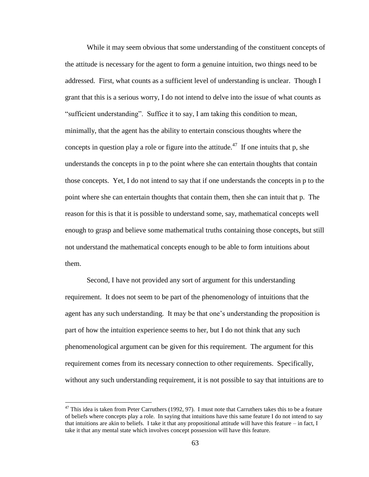While it may seem obvious that some understanding of the constituent concepts of the attitude is necessary for the agent to form a genuine intuition, two things need to be addressed. First, what counts as a sufficient level of understanding is unclear. Though I grant that this is a serious worry, I do not intend to delve into the issue of what counts as "sufficient understanding". Suffice it to say, I am taking this condition to mean, minimally, that the agent has the ability to entertain conscious thoughts where the concepts in question play a role or figure into the attitude.<sup>47</sup> If one intuits that p, she understands the concepts in p to the point where she can entertain thoughts that contain those concepts. Yet, I do not intend to say that if one understands the concepts in p to the point where she can entertain thoughts that contain them, then she can intuit that p. The reason for this is that it is possible to understand some, say, mathematical concepts well enough to grasp and believe some mathematical truths containing those concepts, but still not understand the mathematical concepts enough to be able to form intuitions about them.

Second, I have not provided any sort of argument for this understanding requirement. It does not seem to be part of the phenomenology of intuitions that the agent has any such understanding. It may be that one"s understanding the proposition is part of how the intuition experience seems to her, but I do not think that any such phenomenological argument can be given for this requirement. The argument for this requirement comes from its necessary connection to other requirements. Specifically, without any such understanding requirement, it is not possible to say that intuitions are to

 $47$  This idea is taken from Peter Carruthers (1992, 97). I must note that Carruthers takes this to be a feature of beliefs where concepts play a role. In saying that intuitions have this same feature I do not intend to say that intuitions are akin to beliefs. I take it that any propositional attitude will have this feature – in fact, I take it that any mental state which involves concept possession will have this feature.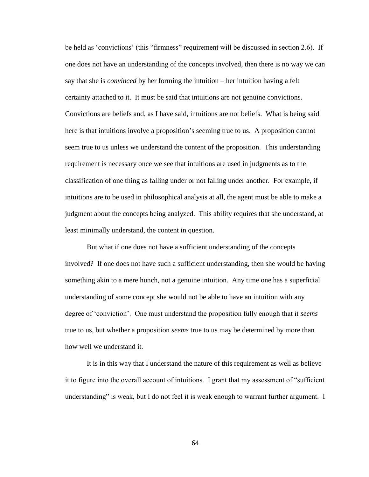be held as 'convictions' (this "firmness" requirement will be discussed in section 2.6). If one does not have an understanding of the concepts involved, then there is no way we can say that she is *convinced* by her forming the intuition – her intuition having a felt certainty attached to it. It must be said that intuitions are not genuine convictions. Convictions are beliefs and, as I have said, intuitions are not beliefs. What is being said here is that intuitions involve a proposition's seeming true to us. A proposition cannot seem true to us unless we understand the content of the proposition. This understanding requirement is necessary once we see that intuitions are used in judgments as to the classification of one thing as falling under or not falling under another. For example, if intuitions are to be used in philosophical analysis at all, the agent must be able to make a judgment about the concepts being analyzed. This ability requires that she understand, at least minimally understand, the content in question.

But what if one does not have a sufficient understanding of the concepts involved? If one does not have such a sufficient understanding, then she would be having something akin to a mere hunch, not a genuine intuition. Any time one has a superficial understanding of some concept she would not be able to have an intuition with any degree of "conviction". One must understand the proposition fully enough that it *seems* true to us, but whether a proposition *seems* true to us may be determined by more than how well we understand it.

It is in this way that I understand the nature of this requirement as well as believe it to figure into the overall account of intuitions. I grant that my assessment of "sufficient understanding" is weak, but I do not feel it is weak enough to warrant further argument. I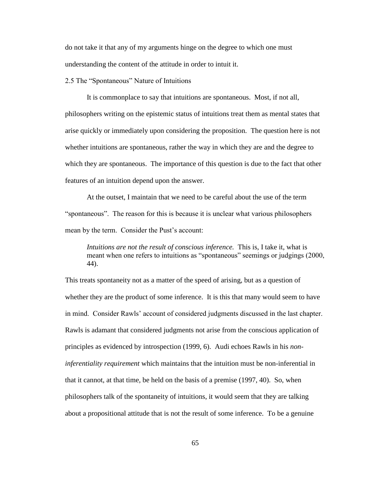do not take it that any of my arguments hinge on the degree to which one must understanding the content of the attitude in order to intuit it.

2.5 The "Spontaneous" Nature of Intuitions

It is commonplace to say that intuitions are spontaneous. Most, if not all, philosophers writing on the epistemic status of intuitions treat them as mental states that arise quickly or immediately upon considering the proposition. The question here is not whether intuitions are spontaneous, rather the way in which they are and the degree to which they are spontaneous. The importance of this question is due to the fact that other features of an intuition depend upon the answer.

At the outset, I maintain that we need to be careful about the use of the term "spontaneous". The reason for this is because it is unclear what various philosophers mean by the term. Consider the Pust's account:

*Intuitions are not the result of conscious inference.* This is, I take it, what is meant when one refers to intuitions as "spontaneous" seemings or judgings (2000, 44).

This treats spontaneity not as a matter of the speed of arising, but as a question of whether they are the product of some inference. It is this that many would seem to have in mind. Consider Rawls" account of considered judgments discussed in the last chapter. Rawls is adamant that considered judgments not arise from the conscious application of principles as evidenced by introspection (1999, 6). Audi echoes Rawls in his *noninferentiality requirement* which maintains that the intuition must be non-inferential in that it cannot, at that time, be held on the basis of a premise (1997, 40). So, when philosophers talk of the spontaneity of intuitions, it would seem that they are talking about a propositional attitude that is not the result of some inference. To be a genuine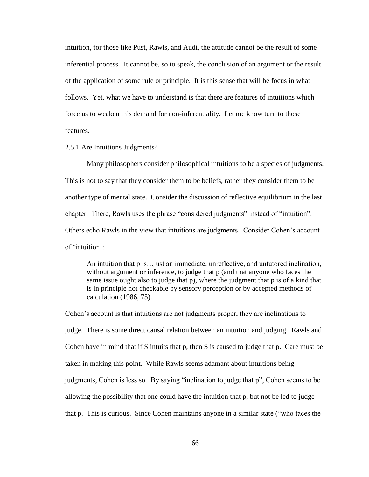intuition, for those like Pust, Rawls, and Audi, the attitude cannot be the result of some inferential process. It cannot be, so to speak, the conclusion of an argument or the result of the application of some rule or principle. It is this sense that will be focus in what follows. Yet, what we have to understand is that there are features of intuitions which force us to weaken this demand for non-inferentiality. Let me know turn to those features.

### 2.5.1 Are Intuitions Judgments?

Many philosophers consider philosophical intuitions to be a species of judgments. This is not to say that they consider them to be beliefs, rather they consider them to be another type of mental state. Consider the discussion of reflective equilibrium in the last chapter. There, Rawls uses the phrase "considered judgments" instead of "intuition". Others echo Rawls in the view that intuitions are judgments. Consider Cohen"s account of 'intuition':

An intuition that p is…just an immediate, unreflective, and untutored inclination, without argument or inference, to judge that p (and that anyone who faces the same issue ought also to judge that p), where the judgment that p is of a kind that is in principle not checkable by sensory perception or by accepted methods of calculation (1986, 75).

Cohen"s account is that intuitions are not judgments proper, they are inclinations to judge. There is some direct causal relation between an intuition and judging. Rawls and Cohen have in mind that if S intuits that p, then S is caused to judge that p. Care must be taken in making this point. While Rawls seems adamant about intuitions being judgments, Cohen is less so. By saying "inclination to judge that p", Cohen seems to be allowing the possibility that one could have the intuition that p, but not be led to judge that p. This is curious. Since Cohen maintains anyone in a similar state ("who faces the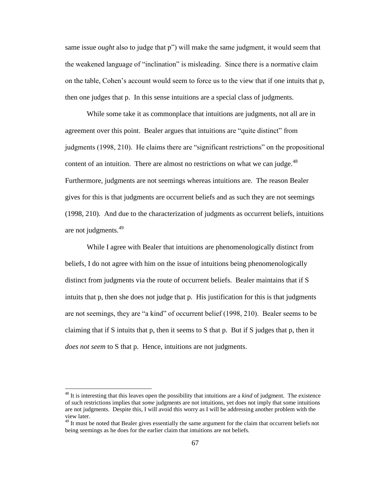same issue *ought* also to judge that p") will make the same judgment, it would seem that the weakened language of "inclination" is misleading. Since there is a normative claim on the table, Cohen"s account would seem to force us to the view that if one intuits that p, then one judges that p. In this sense intuitions are a special class of judgments.

While some take it as commonplace that intuitions are judgments, not all are in agreement over this point. Bealer argues that intuitions are "quite distinct" from judgments (1998, 210). He claims there are "significant restrictions" on the propositional content of an intuition. There are almost no restrictions on what we can judge. $^{48}$ Furthermore, judgments are not seemings whereas intuitions are. The reason Bealer gives for this is that judgments are occurrent beliefs and as such they are not seemings (1998, 210). And due to the characterization of judgments as occurrent beliefs, intuitions are not judgments.<sup>49</sup>

While I agree with Bealer that intuitions are phenomenologically distinct from beliefs, I do not agree with him on the issue of intuitions being phenomenologically distinct from judgments via the route of occurrent beliefs. Bealer maintains that if S intuits that p, then she does not judge that p. His justification for this is that judgments are not seemings, they are "a kind" of occurrent belief (1998, 210). Bealer seems to be claiming that if S intuits that p, then it seems to S that p. But if S judges that p, then it *does not seem* to S that p. Hence, intuitions are not judgments.

<sup>48</sup> It is interesting that this leaves open the possibility that intuitions are a *kind* of judgment. The existence of such restrictions implies that *some* judgments are not intuitions, yet does not imply that some intuitions are not judgments. Despite this, I will avoid this worry as I will be addressing another problem with the view later.

<sup>&</sup>lt;sup>49</sup> It must be noted that Bealer gives essentially the same argument for the claim that occurrent beliefs not being seemings as he does for the earlier claim that intuitions are not beliefs.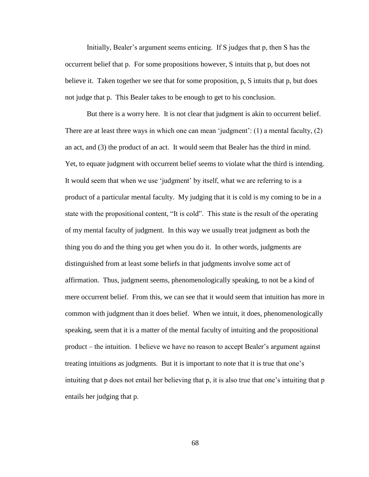Initially, Bealer's argument seems enticing. If S judges that p, then S has the occurrent belief that p. For some propositions however, S intuits that p, but does not believe it. Taken together we see that for some proposition, p, S intuits that p, but does not judge that p. This Bealer takes to be enough to get to his conclusion.

But there is a worry here. It is not clear that judgment is akin to occurrent belief. There are at least three ways in which one can mean 'judgment':  $(1)$  a mental faculty,  $(2)$ an act, and (3) the product of an act. It would seem that Bealer has the third in mind. Yet, to equate judgment with occurrent belief seems to violate what the third is intending. It would seem that when we use "judgment" by itself, what we are referring to is a product of a particular mental faculty. My judging that it is cold is my coming to be in a state with the propositional content, "It is cold". This state is the result of the operating of my mental faculty of judgment. In this way we usually treat judgment as both the thing you do and the thing you get when you do it. In other words, judgments are distinguished from at least some beliefs in that judgments involve some act of affirmation. Thus, judgment seems, phenomenologically speaking, to not be a kind of mere occurrent belief. From this, we can see that it would seem that intuition has more in common with judgment than it does belief. When we intuit, it does, phenomenologically speaking, seem that it is a matter of the mental faculty of intuiting and the propositional product – the intuition. I believe we have no reason to accept Bealer"s argument against treating intuitions as judgments. But it is important to note that it is true that one"s intuiting that p does not entail her believing that p, it is also true that one's intuiting that p entails her judging that p.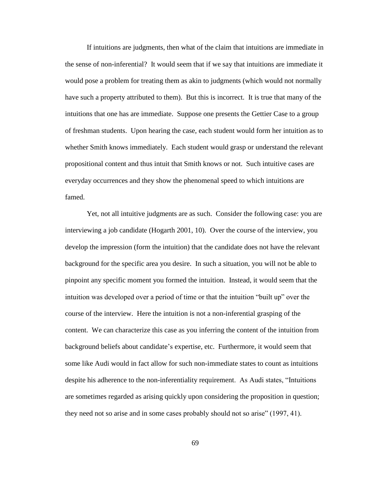If intuitions are judgments, then what of the claim that intuitions are immediate in the sense of non-inferential? It would seem that if we say that intuitions are immediate it would pose a problem for treating them as akin to judgments (which would not normally have such a property attributed to them). But this is incorrect. It is true that many of the intuitions that one has are immediate. Suppose one presents the Gettier Case to a group of freshman students. Upon hearing the case, each student would form her intuition as to whether Smith knows immediately. Each student would grasp or understand the relevant propositional content and thus intuit that Smith knows or not. Such intuitive cases are everyday occurrences and they show the phenomenal speed to which intuitions are famed.

Yet, not all intuitive judgments are as such. Consider the following case: you are interviewing a job candidate (Hogarth 2001, 10). Over the course of the interview, you develop the impression (form the intuition) that the candidate does not have the relevant background for the specific area you desire. In such a situation, you will not be able to pinpoint any specific moment you formed the intuition. Instead, it would seem that the intuition was developed over a period of time or that the intuition "built up" over the course of the interview. Here the intuition is not a non-inferential grasping of the content. We can characterize this case as you inferring the content of the intuition from background beliefs about candidate"s expertise, etc. Furthermore, it would seem that some like Audi would in fact allow for such non-immediate states to count as intuitions despite his adherence to the non-inferentiality requirement. As Audi states, "Intuitions are sometimes regarded as arising quickly upon considering the proposition in question; they need not so arise and in some cases probably should not so arise" (1997, 41).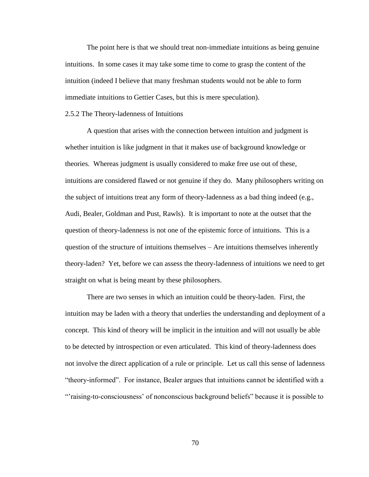The point here is that we should treat non-immediate intuitions as being genuine intuitions. In some cases it may take some time to come to grasp the content of the intuition (indeed I believe that many freshman students would not be able to form immediate intuitions to Gettier Cases, but this is mere speculation).

#### 2.5.2 The Theory-ladenness of Intuitions

A question that arises with the connection between intuition and judgment is whether intuition is like judgment in that it makes use of background knowledge or theories. Whereas judgment is usually considered to make free use out of these, intuitions are considered flawed or not genuine if they do. Many philosophers writing on the subject of intuitions treat any form of theory-ladenness as a bad thing indeed (e.g., Audi, Bealer, Goldman and Pust, Rawls). It is important to note at the outset that the question of theory-ladenness is not one of the epistemic force of intuitions. This is a question of the structure of intuitions themselves – Are intuitions themselves inherently theory-laden? Yet, before we can assess the theory-ladenness of intuitions we need to get straight on what is being meant by these philosophers.

There are two senses in which an intuition could be theory-laden. First, the intuition may be laden with a theory that underlies the understanding and deployment of a concept. This kind of theory will be implicit in the intuition and will not usually be able to be detected by introspection or even articulated. This kind of theory-ladenness does not involve the direct application of a rule or principle. Let us call this sense of ladenness "theory-informed". For instance, Bealer argues that intuitions cannot be identified with a ""raising-to-consciousness" of nonconscious background beliefs" because it is possible to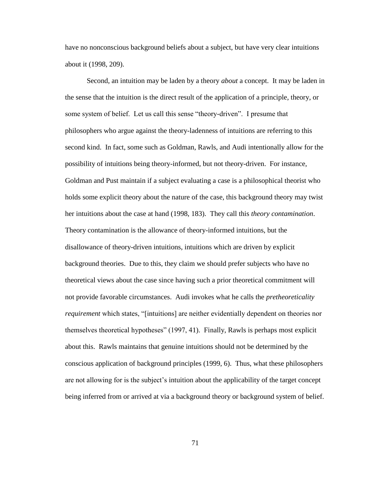have no nonconscious background beliefs about a subject, but have very clear intuitions about it (1998, 209).

Second, an intuition may be laden by a theory *about* a concept. It may be laden in the sense that the intuition is the direct result of the application of a principle, theory, or some system of belief. Let us call this sense "theory-driven". I presume that philosophers who argue against the theory-ladenness of intuitions are referring to this second kind. In fact, some such as Goldman, Rawls, and Audi intentionally allow for the possibility of intuitions being theory-informed, but not theory-driven. For instance, Goldman and Pust maintain if a subject evaluating a case is a philosophical theorist who holds some explicit theory about the nature of the case, this background theory may twist her intuitions about the case at hand (1998, 183). They call this *theory contamination*. Theory contamination is the allowance of theory-informed intuitions, but the disallowance of theory-driven intuitions, intuitions which are driven by explicit background theories. Due to this, they claim we should prefer subjects who have no theoretical views about the case since having such a prior theoretical commitment will not provide favorable circumstances. Audi invokes what he calls the *pretheoreticality requirement* which states, "[intuitions] are neither evidentially dependent on theories nor themselves theoretical hypotheses" (1997, 41). Finally, Rawls is perhaps most explicit about this. Rawls maintains that genuine intuitions should not be determined by the conscious application of background principles (1999, 6). Thus, what these philosophers are not allowing for is the subject"s intuition about the applicability of the target concept being inferred from or arrived at via a background theory or background system of belief.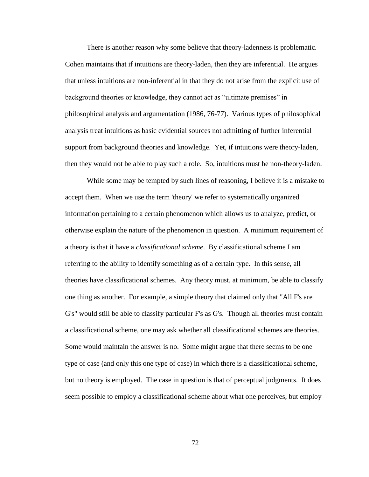There is another reason why some believe that theory-ladenness is problematic. Cohen maintains that if intuitions are theory-laden, then they are inferential. He argues that unless intuitions are non-inferential in that they do not arise from the explicit use of background theories or knowledge, they cannot act as "ultimate premises" in philosophical analysis and argumentation (1986, 76-77). Various types of philosophical analysis treat intuitions as basic evidential sources not admitting of further inferential support from background theories and knowledge. Yet, if intuitions were theory-laden, then they would not be able to play such a role. So, intuitions must be non-theory-laden.

While some may be tempted by such lines of reasoning, I believe it is a mistake to accept them. When we use the term 'theory' we refer to systematically organized information pertaining to a certain phenomenon which allows us to analyze, predict, or otherwise explain the nature of the phenomenon in question. A minimum requirement of a theory is that it have a *classificational scheme*. By classificational scheme I am referring to the ability to identify something as of a certain type. In this sense, all theories have classificational schemes. Any theory must, at minimum, be able to classify one thing as another. For example, a simple theory that claimed only that "All F's are G's" would still be able to classify particular F's as G's. Though all theories must contain a classificational scheme, one may ask whether all classificational schemes are theories. Some would maintain the answer is no. Some might argue that there seems to be one type of case (and only this one type of case) in which there is a classificational scheme, but no theory is employed. The case in question is that of perceptual judgments. It does seem possible to employ a classificational scheme about what one perceives, but employ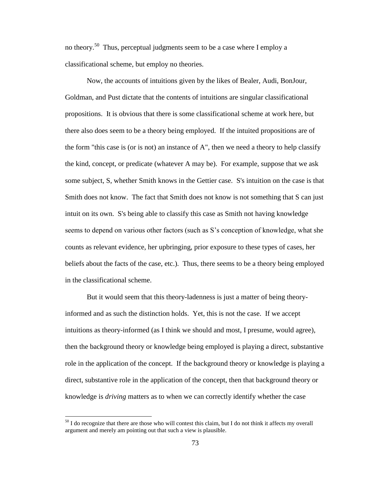no theory.<sup>50</sup> Thus, perceptual judgments seem to be a case where I employ a classificational scheme, but employ no theories.

Now, the accounts of intuitions given by the likes of Bealer, Audi, BonJour, Goldman, and Pust dictate that the contents of intuitions are singular classificational propositions. It is obvious that there is some classificational scheme at work here, but there also does seem to be a theory being employed. If the intuited propositions are of the form "this case is (or is not) an instance of A", then we need a theory to help classify the kind, concept, or predicate (whatever A may be). For example, suppose that we ask some subject, S, whether Smith knows in the Gettier case. S's intuition on the case is that Smith does not know. The fact that Smith does not know is not something that S can just intuit on its own. S's being able to classify this case as Smith not having knowledge seems to depend on various other factors (such as S"s conception of knowledge, what she counts as relevant evidence, her upbringing, prior exposure to these types of cases, her beliefs about the facts of the case, etc.). Thus, there seems to be a theory being employed in the classificational scheme.

But it would seem that this theory-ladenness is just a matter of being theoryinformed and as such the distinction holds. Yet, this is not the case. If we accept intuitions as theory-informed (as I think we should and most, I presume, would agree), then the background theory or knowledge being employed is playing a direct, substantive role in the application of the concept. If the background theory or knowledge is playing a direct, substantive role in the application of the concept, then that background theory or knowledge is *driving* matters as to when we can correctly identify whether the case

 $50$  I do recognize that there are those who will contest this claim, but I do not think it affects my overall argument and merely am pointing out that such a view is plausible.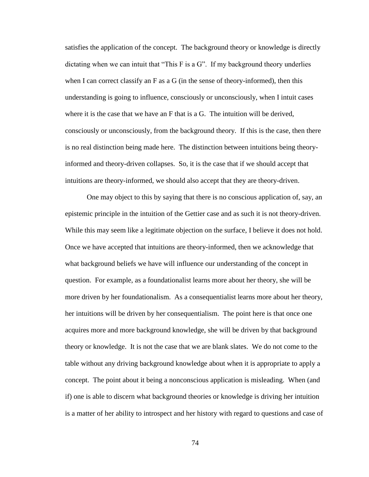satisfies the application of the concept. The background theory or knowledge is directly dictating when we can intuit that "This F is a G". If my background theory underlies when I can correct classify an F as a G (in the sense of theory-informed), then this understanding is going to influence, consciously or unconsciously, when I intuit cases where it is the case that we have an F that is a G. The intuition will be derived, consciously or unconsciously, from the background theory. If this is the case, then there is no real distinction being made here. The distinction between intuitions being theoryinformed and theory-driven collapses. So, it is the case that if we should accept that intuitions are theory-informed, we should also accept that they are theory-driven.

One may object to this by saying that there is no conscious application of, say, an epistemic principle in the intuition of the Gettier case and as such it is not theory-driven. While this may seem like a legitimate objection on the surface, I believe it does not hold. Once we have accepted that intuitions are theory-informed, then we acknowledge that what background beliefs we have will influence our understanding of the concept in question. For example, as a foundationalist learns more about her theory, she will be more driven by her foundationalism. As a consequentialist learns more about her theory, her intuitions will be driven by her consequentialism. The point here is that once one acquires more and more background knowledge, she will be driven by that background theory or knowledge. It is not the case that we are blank slates. We do not come to the table without any driving background knowledge about when it is appropriate to apply a concept. The point about it being a nonconscious application is misleading. When (and if) one is able to discern what background theories or knowledge is driving her intuition is a matter of her ability to introspect and her history with regard to questions and case of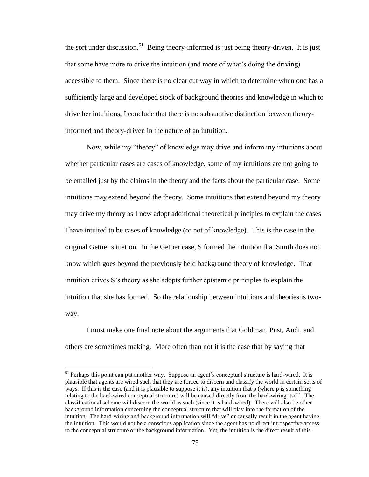the sort under discussion.<sup>51</sup> Being theory-informed is just being theory-driven. It is just that some have more to drive the intuition (and more of what"s doing the driving) accessible to them. Since there is no clear cut way in which to determine when one has a sufficiently large and developed stock of background theories and knowledge in which to drive her intuitions, I conclude that there is no substantive distinction between theoryinformed and theory-driven in the nature of an intuition.

Now, while my "theory" of knowledge may drive and inform my intuitions about whether particular cases are cases of knowledge, some of my intuitions are not going to be entailed just by the claims in the theory and the facts about the particular case. Some intuitions may extend beyond the theory. Some intuitions that extend beyond my theory may drive my theory as I now adopt additional theoretical principles to explain the cases I have intuited to be cases of knowledge (or not of knowledge). This is the case in the original Gettier situation. In the Gettier case, S formed the intuition that Smith does not know which goes beyond the previously held background theory of knowledge. That intuition drives S"s theory as she adopts further epistemic principles to explain the intuition that she has formed. So the relationship between intuitions and theories is twoway.

I must make one final note about the arguments that Goldman, Pust, Audi, and others are sometimes making. More often than not it is the case that by saying that

<sup>&</sup>lt;sup>51</sup> Perhaps this point can put another way. Suppose an agent's conceptual structure is hard-wired. It is plausible that agents are wired such that they are forced to discern and classify the world in certain sorts of ways. If this is the case (and it is plausible to suppose it is), any intuition that p (where p is something relating to the hard-wired conceptual structure) will be caused directly from the hard-wiring itself. The classificational scheme will discern the world as such (since it is hard-wired). There will also be other background information concerning the conceptual structure that will play into the formation of the intuition. The hard-wiring and background information will "drive" or causally result in the agent having the intuition. This would not be a conscious application since the agent has no direct introspective access to the conceptual structure or the background information. Yet, the intuition is the direct result of this.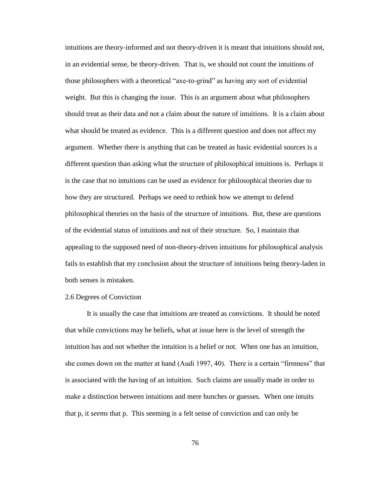intuitions are theory-informed and not theory-driven it is meant that intuitions should not, in an evidential sense, be theory-driven. That is, we should not count the intuitions of those philosophers with a theoretical "axe-to-grind" as having any sort of evidential weight. But this is changing the issue. This is an argument about what philosophers should treat as their data and not a claim about the nature of intuitions. It is a claim about what should be treated as evidence. This is a different question and does not affect my argument. Whether there is anything that can be treated as basic evidential sources is a different question than asking what the structure of philosophical intuitions is. Perhaps it is the case that no intuitions can be used as evidence for philosophical theories due to how they are structured. Perhaps we need to rethink how we attempt to defend philosophical theories on the basis of the structure of intuitions. But, these are questions of the evidential status of intuitions and not of their structure. So, I maintain that appealing to the supposed need of non-theory-driven intuitions for philosophical analysis fails to establish that my conclusion about the structure of intuitions being theory-laden in both senses is mistaken.

### 2.6 Degrees of Conviction

It is usually the case that intuitions are treated as convictions. It should be noted that while convictions may be beliefs, what at issue here is the level of strength the intuition has and not whether the intuition is a belief or not. When one has an intuition, she comes down on the matter at hand (Audi 1997, 40). There is a certain "firmness" that is associated with the having of an intuition. Such claims are usually made in order to make a distinction between intuitions and mere hunches or guesses. When one intuits that p, it *seems* that p. This seeming is a felt sense of conviction and can only be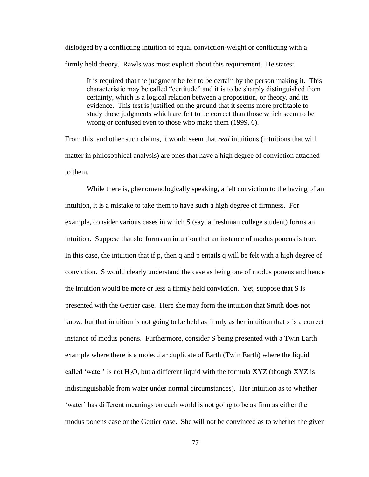dislodged by a conflicting intuition of equal conviction-weight or conflicting with a firmly held theory. Rawls was most explicit about this requirement. He states:

It is required that the judgment be felt to be certain by the person making it. This characteristic may be called "certitude" and it is to be sharply distinguished from certainty, which is a logical relation between a proposition, or theory, and its evidence. This test is justified on the ground that it seems more profitable to study those judgments which are felt to be correct than those which seem to be wrong or confused even to those who make them (1999, 6).

From this, and other such claims, it would seem that *real* intuitions (intuitions that will matter in philosophical analysis) are ones that have a high degree of conviction attached to them.

While there is, phenomenologically speaking, a felt conviction to the having of an intuition, it is a mistake to take them to have such a high degree of firmness. For example, consider various cases in which S (say, a freshman college student) forms an intuition. Suppose that she forms an intuition that an instance of modus ponens is true. In this case, the intuition that if p, then q and p entails q will be felt with a high degree of conviction. S would clearly understand the case as being one of modus ponens and hence the intuition would be more or less a firmly held conviction. Yet, suppose that S is presented with the Gettier case. Here she may form the intuition that Smith does not know, but that intuition is not going to be held as firmly as her intuition that x is a correct instance of modus ponens. Furthermore, consider S being presented with a Twin Earth example where there is a molecular duplicate of Earth (Twin Earth) where the liquid called 'water' is not  $H_2O$ , but a different liquid with the formula XYZ (though XYZ is indistinguishable from water under normal circumstances). Her intuition as to whether "water" has different meanings on each world is not going to be as firm as either the modus ponens case or the Gettier case. She will not be convinced as to whether the given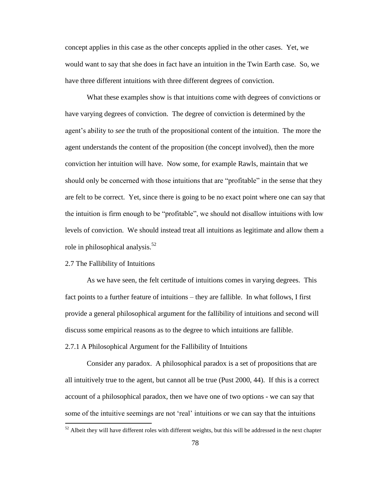concept applies in this case as the other concepts applied in the other cases. Yet, we would want to say that she does in fact have an intuition in the Twin Earth case. So, we have three different intuitions with three different degrees of conviction.

What these examples show is that intuitions come with degrees of convictions or have varying degrees of conviction. The degree of conviction is determined by the agent"s ability to *see* the truth of the propositional content of the intuition. The more the agent understands the content of the proposition (the concept involved), then the more conviction her intuition will have. Now some, for example Rawls, maintain that we should only be concerned with those intuitions that are "profitable" in the sense that they are felt to be correct. Yet, since there is going to be no exact point where one can say that the intuition is firm enough to be "profitable", we should not disallow intuitions with low levels of conviction. We should instead treat all intuitions as legitimate and allow them a role in philosophical analysis.<sup>52</sup>

# 2.7 The Fallibility of Intuitions

 $\overline{a}$ 

As we have seen, the felt certitude of intuitions comes in varying degrees. This fact points to a further feature of intuitions – they are fallible. In what follows, I first provide a general philosophical argument for the fallibility of intuitions and second will discuss some empirical reasons as to the degree to which intuitions are fallible.

### 2.7.1 A Philosophical Argument for the Fallibility of Intuitions

Consider any paradox. A philosophical paradox is a set of propositions that are all intuitively true to the agent, but cannot all be true (Pust 2000, 44). If this is a correct account of a philosophical paradox, then we have one of two options - we can say that some of the intuitive seemings are not 'real' intuitions or we can say that the intuitions

 $52$  Albeit they will have different roles with different weights, but this will be addressed in the next chapter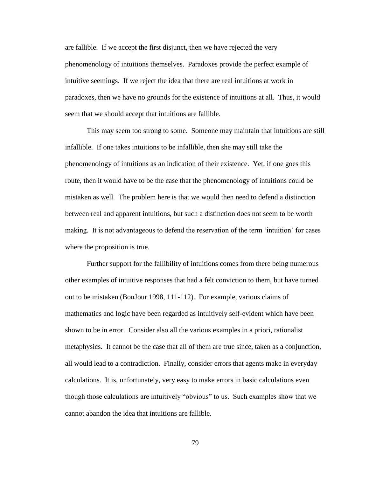are fallible. If we accept the first disjunct, then we have rejected the very phenomenology of intuitions themselves. Paradoxes provide the perfect example of intuitive seemings. If we reject the idea that there are real intuitions at work in paradoxes, then we have no grounds for the existence of intuitions at all. Thus, it would seem that we should accept that intuitions are fallible.

This may seem too strong to some. Someone may maintain that intuitions are still infallible. If one takes intuitions to be infallible, then she may still take the phenomenology of intuitions as an indication of their existence. Yet, if one goes this route, then it would have to be the case that the phenomenology of intuitions could be mistaken as well. The problem here is that we would then need to defend a distinction between real and apparent intuitions, but such a distinction does not seem to be worth making. It is not advantageous to defend the reservation of the term "intuition" for cases where the proposition is true.

Further support for the fallibility of intuitions comes from there being numerous other examples of intuitive responses that had a felt conviction to them, but have turned out to be mistaken (BonJour 1998, 111-112). For example, various claims of mathematics and logic have been regarded as intuitively self-evident which have been shown to be in error. Consider also all the various examples in a priori, rationalist metaphysics. It cannot be the case that all of them are true since, taken as a conjunction, all would lead to a contradiction. Finally, consider errors that agents make in everyday calculations. It is, unfortunately, very easy to make errors in basic calculations even though those calculations are intuitively "obvious" to us. Such examples show that we cannot abandon the idea that intuitions are fallible.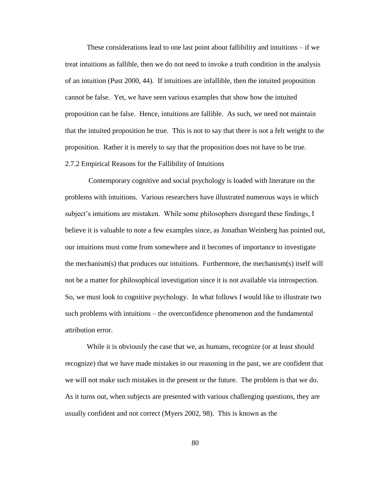These considerations lead to one last point about fallibility and intuitions – if we treat intuitions as fallible, then we do not need to invoke a truth condition in the analysis of an intuition (Pust 2000, 44). If intuitions are infallible, then the intuited proposition cannot be false. Yet, we have seen various examples that show how the intuited proposition can be false. Hence, intuitions are fallible. As such, we need not maintain that the intuited proposition be true. This is not to say that there is not a felt weight to the proposition. Rather it is merely to say that the proposition does not have to be true. 2.7.2 Empirical Reasons for the Fallibility of Intuitions

Contemporary cognitive and social psychology is loaded with literature on the problems with intuitions. Various researchers have illustrated numerous ways in which subject's intuitions are mistaken. While some philosophers disregard these findings, I believe it is valuable to note a few examples since, as Jonathan Weinberg has pointed out, our intuitions must come from somewhere and it becomes of importance to investigate the mechanism(s) that produces our intuitions. Furthermore, the mechanism(s) itself will not be a matter for philosophical investigation since it is not available via introspection. So, we must look to cognitive psychology. In what follows I would like to illustrate two such problems with intuitions – the overconfidence phenomenon and the fundamental attribution error.

While it is obviously the case that we, as humans, recognize (or at least should recognize) that we have made mistakes in our reasoning in the past, we are confident that we will not make such mistakes in the present or the future. The problem is that we do. As it turns out, when subjects are presented with various challenging questions, they are usually confident and not correct (Myers 2002, 98). This is known as the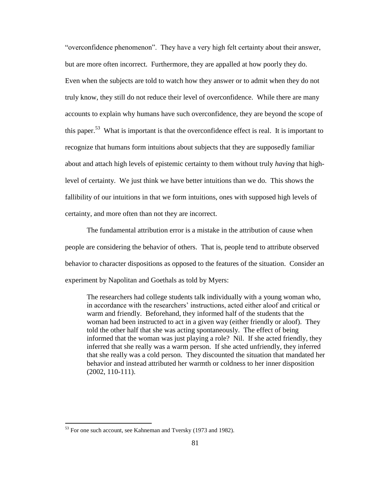"overconfidence phenomenon". They have a very high felt certainty about their answer, but are more often incorrect. Furthermore, they are appalled at how poorly they do. Even when the subjects are told to watch how they answer or to admit when they do not truly know, they still do not reduce their level of overconfidence. While there are many accounts to explain why humans have such overconfidence, they are beyond the scope of this paper.<sup>53</sup> What is important is that the overconfidence effect is real. It is important to recognize that humans form intuitions about subjects that they are supposedly familiar about and attach high levels of epistemic certainty to them without truly *having* that highlevel of certainty. We just think we have better intuitions than we do. This shows the fallibility of our intuitions in that we form intuitions, ones with supposed high levels of certainty, and more often than not they are incorrect.

The fundamental attribution error is a mistake in the attribution of cause when people are considering the behavior of others. That is, people tend to attribute observed behavior to character dispositions as opposed to the features of the situation. Consider an experiment by Napolitan and Goethals as told by Myers:

The researchers had college students talk individually with a young woman who, in accordance with the researchers' instructions, acted either aloof and critical or warm and friendly. Beforehand, they informed half of the students that the woman had been instructed to act in a given way (either friendly or aloof). They told the other half that she was acting spontaneously. The effect of being informed that the woman was just playing a role? Nil. If she acted friendly, they inferred that she really was a warm person. If she acted unfriendly, they inferred that she really was a cold person. They discounted the situation that mandated her behavior and instead attributed her warmth or coldness to her inner disposition (2002, 110-111).

<sup>&</sup>lt;sup>53</sup> For one such account, see Kahneman and Tversky (1973 and 1982).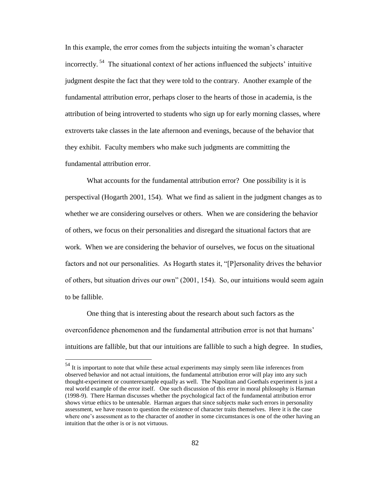In this example, the error comes from the subjects intuiting the woman"s character incorrectly.<sup>54</sup> The situational context of her actions influenced the subjects' intuitive judgment despite the fact that they were told to the contrary. Another example of the fundamental attribution error, perhaps closer to the hearts of those in academia, is the attribution of being introverted to students who sign up for early morning classes, where extroverts take classes in the late afternoon and evenings, because of the behavior that they exhibit. Faculty members who make such judgments are committing the fundamental attribution error.

What accounts for the fundamental attribution error? One possibility is it is perspectival (Hogarth 2001, 154). What we find as salient in the judgment changes as to whether we are considering ourselves or others. When we are considering the behavior of others, we focus on their personalities and disregard the situational factors that are work. When we are considering the behavior of ourselves, we focus on the situational factors and not our personalities. As Hogarth states it, "[P]ersonality drives the behavior of others, but situation drives our own" (2001, 154). So, our intuitions would seem again to be fallible.

One thing that is interesting about the research about such factors as the overconfidence phenomenon and the fundamental attribution error is not that humans" intuitions are fallible, but that our intuitions are fallible to such a high degree. In studies,

 $54$  It is important to note that while these actual experiments may simply seem like inferences from observed behavior and not actual intuitions, the fundamental attribution error will play into any such thought-experiment or counterexample equally as well. The Napolitan and Goethals experiment is just a real world example of the error itself. One such discussion of this error in moral philosophy is Harman (1998-9). There Harman discusses whether the psychological fact of the fundamental attribution error shows virtue ethics to be untenable. Harman argues that since subjects make such errors in personality assessment, we have reason to question the existence of character traits themselves. Here it is the case where one's assessment as to the character of another in some circumstances is one of the other having an intuition that the other is or is not virtuous.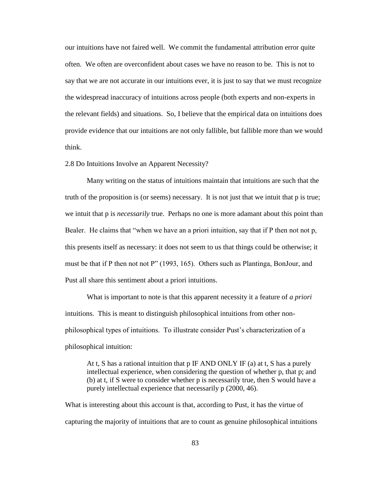our intuitions have not faired well. We commit the fundamental attribution error quite often. We often are overconfident about cases we have no reason to be. This is not to say that we are not accurate in our intuitions ever, it is just to say that we must recognize the widespread inaccuracy of intuitions across people (both experts and non-experts in the relevant fields) and situations. So, I believe that the empirical data on intuitions does provide evidence that our intuitions are not only fallible, but fallible more than we would think.

2.8 Do Intuitions Involve an Apparent Necessity?

Many writing on the status of intuitions maintain that intuitions are such that the truth of the proposition is (or seems) necessary. It is not just that we intuit that p is true; we intuit that p is *necessarily* true. Perhaps no one is more adamant about this point than Bealer. He claims that "when we have an a priori intuition, say that if P then not not p, this presents itself as necessary: it does not seem to us that things could be otherwise; it must be that if P then not not P" (1993, 165). Others such as Plantinga, BonJour, and Pust all share this sentiment about a priori intuitions.

What is important to note is that this apparent necessity it a feature of *a priori* intuitions. This is meant to distinguish philosophical intuitions from other nonphilosophical types of intuitions. To illustrate consider Pust"s characterization of a philosophical intuition:

At t, S has a rational intuition that  $p$  IF AND ONLY IF (a) at t, S has a purely intellectual experience, when considering the question of whether p, that p; and (b) at t, if S were to consider whether p is necessarily true, then S would have a purely intellectual experience that necessarily p (2000, 46).

What is interesting about this account is that, according to Pust, it has the virtue of capturing the majority of intuitions that are to count as genuine philosophical intuitions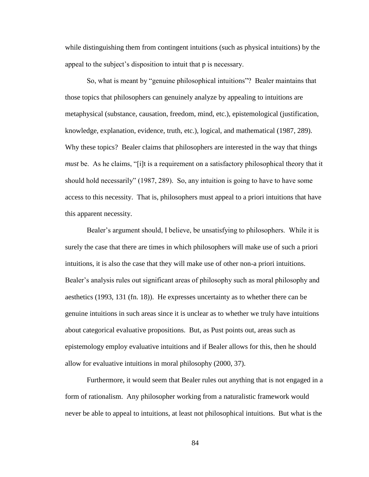while distinguishing them from contingent intuitions (such as physical intuitions) by the appeal to the subject's disposition to intuit that p is necessary.

So, what is meant by "genuine philosophical intuitions"? Bealer maintains that those topics that philosophers can genuinely analyze by appealing to intuitions are metaphysical (substance, causation, freedom, mind, etc.), epistemological (justification, knowledge, explanation, evidence, truth, etc.), logical, and mathematical (1987, 289). Why these topics? Bealer claims that philosophers are interested in the way that things *must* be. As he claims, "[i]t is a requirement on a satisfactory philosophical theory that it should hold necessarily" (1987, 289). So, any intuition is going to have to have some access to this necessity. That is, philosophers must appeal to a priori intuitions that have this apparent necessity.

Bealer"s argument should, I believe, be unsatisfying to philosophers. While it is surely the case that there are times in which philosophers will make use of such a priori intuitions, it is also the case that they will make use of other non-a priori intuitions. Bealer"s analysis rules out significant areas of philosophy such as moral philosophy and aesthetics (1993, 131 (fn. 18)). He expresses uncertainty as to whether there can be genuine intuitions in such areas since it is unclear as to whether we truly have intuitions about categorical evaluative propositions. But, as Pust points out, areas such as epistemology employ evaluative intuitions and if Bealer allows for this, then he should allow for evaluative intuitions in moral philosophy (2000, 37).

Furthermore, it would seem that Bealer rules out anything that is not engaged in a form of rationalism. Any philosopher working from a naturalistic framework would never be able to appeal to intuitions, at least not philosophical intuitions. But what is the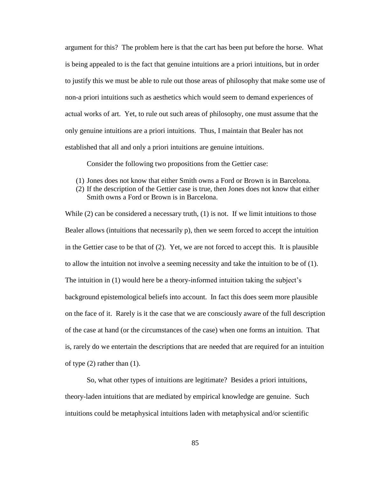argument for this? The problem here is that the cart has been put before the horse. What is being appealed to is the fact that genuine intuitions are a priori intuitions, but in order to justify this we must be able to rule out those areas of philosophy that make some use of non-a priori intuitions such as aesthetics which would seem to demand experiences of actual works of art. Yet, to rule out such areas of philosophy, one must assume that the only genuine intuitions are a priori intuitions. Thus, I maintain that Bealer has not established that all and only a priori intuitions are genuine intuitions.

Consider the following two propositions from the Gettier case:

- (1) Jones does not know that either Smith owns a Ford or Brown is in Barcelona.
- (2) If the description of the Gettier case is true, then Jones does not know that either Smith owns a Ford or Brown is in Barcelona.

While (2) can be considered a necessary truth, (1) is not. If we limit intuitions to those Bealer allows (intuitions that necessarily p), then we seem forced to accept the intuition in the Gettier case to be that of (2). Yet, we are not forced to accept this. It is plausible to allow the intuition not involve a seeming necessity and take the intuition to be of (1). The intuition in (1) would here be a theory-informed intuition taking the subject's background epistemological beliefs into account. In fact this does seem more plausible on the face of it. Rarely is it the case that we are consciously aware of the full description of the case at hand (or the circumstances of the case) when one forms an intuition. That is, rarely do we entertain the descriptions that are needed that are required for an intuition of type (2) rather than (1).

So, what other types of intuitions are legitimate? Besides a priori intuitions, theory-laden intuitions that are mediated by empirical knowledge are genuine. Such intuitions could be metaphysical intuitions laden with metaphysical and/or scientific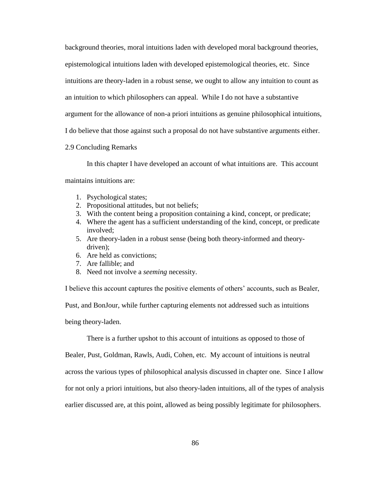background theories, moral intuitions laden with developed moral background theories,

epistemological intuitions laden with developed epistemological theories, etc. Since

intuitions are theory-laden in a robust sense, we ought to allow any intuition to count as

an intuition to which philosophers can appeal. While I do not have a substantive

argument for the allowance of non-a priori intuitions as genuine philosophical intuitions,

I do believe that those against such a proposal do not have substantive arguments either.

### 2.9 Concluding Remarks

In this chapter I have developed an account of what intuitions are. This account maintains intuitions are:

- 1. Psychological states;
- 2. Propositional attitudes, but not beliefs;
- 3. With the content being a proposition containing a kind, concept, or predicate;
- 4. Where the agent has a sufficient understanding of the kind, concept, or predicate involved;
- 5. Are theory-laden in a robust sense (being both theory-informed and theorydriven);
- 6. Are held as convictions;
- 7. Are fallible; and
- 8. Need not involve a *seeming* necessity.

I believe this account captures the positive elements of others" accounts, such as Bealer,

Pust, and BonJour, while further capturing elements not addressed such as intuitions

being theory-laden.

There is a further upshot to this account of intuitions as opposed to those of

Bealer, Pust, Goldman, Rawls, Audi, Cohen, etc. My account of intuitions is neutral

across the various types of philosophical analysis discussed in chapter one. Since I allow

for not only a priori intuitions, but also theory-laden intuitions, all of the types of analysis

earlier discussed are, at this point, allowed as being possibly legitimate for philosophers.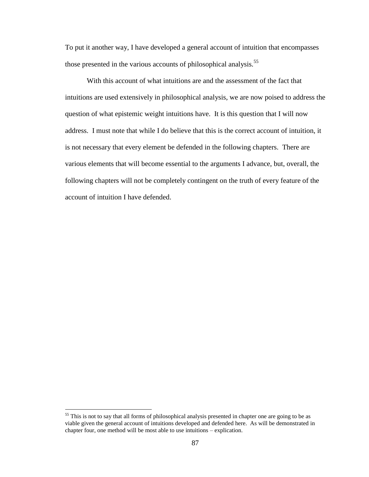To put it another way, I have developed a general account of intuition that encompasses those presented in the various accounts of philosophical analysis.<sup>55</sup>

With this account of what intuitions are and the assessment of the fact that intuitions are used extensively in philosophical analysis, we are now poised to address the question of what epistemic weight intuitions have. It is this question that I will now address. I must note that while I do believe that this is the correct account of intuition, it is not necessary that every element be defended in the following chapters. There are various elements that will become essential to the arguments I advance, but, overall, the following chapters will not be completely contingent on the truth of every feature of the account of intuition I have defended.

<sup>&</sup>lt;sup>55</sup> This is not to say that all forms of philosophical analysis presented in chapter one are going to be as viable given the general account of intuitions developed and defended here. As will be demonstrated in chapter four, one method will be most able to use intuitions – explication.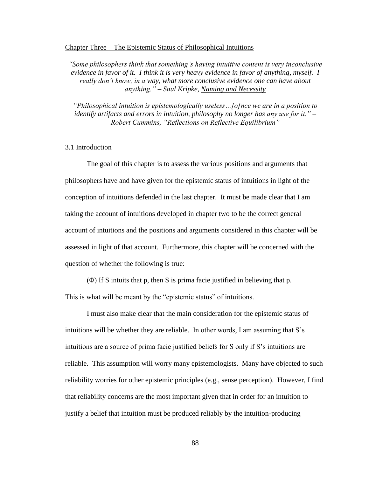### Chapter Three – The Epistemic Status of Philosophical Intuitions

*"Some philosophers think that something's having intuitive content is very inconclusive evidence in favor of it. I think it is very heavy evidence in favor of anything, myself. I really don't know, in a way, what more conclusive evidence one can have about anything." – Saul Kripke, Naming and Necessity*

*"Philosophical intuition is epistemologically useless…[o]nce we are in a position to identify artifacts and errors in intuition, philosophy no longer has any use for it." – Robert Cummins, "Reflections on Reflective Equilibrium"*

# 3.1 Introduction

The goal of this chapter is to assess the various positions and arguments that philosophers have and have given for the epistemic status of intuitions in light of the conception of intuitions defended in the last chapter. It must be made clear that I am taking the account of intuitions developed in chapter two to be the correct general account of intuitions and the positions and arguments considered in this chapter will be assessed in light of that account. Furthermore, this chapter will be concerned with the question of whether the following is true:

(Φ) If S intuits that p, then S is prima facie justified in believing that p.

This is what will be meant by the "epistemic status" of intuitions.

I must also make clear that the main consideration for the epistemic status of intuitions will be whether they are reliable. In other words, I am assuming that S"s intuitions are a source of prima facie justified beliefs for S only if S"s intuitions are reliable. This assumption will worry many epistemologists. Many have objected to such reliability worries for other epistemic principles (e.g., sense perception). However, I find that reliability concerns are the most important given that in order for an intuition to justify a belief that intuition must be produced reliably by the intuition-producing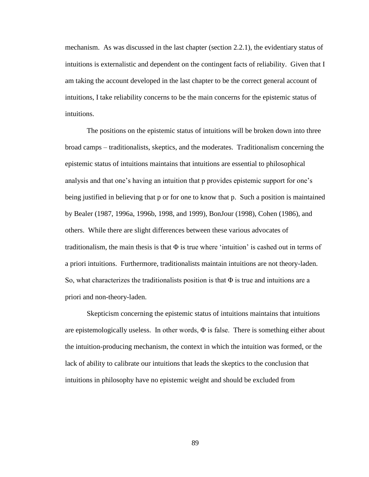mechanism. As was discussed in the last chapter (section 2.2.1), the evidentiary status of intuitions is externalistic and dependent on the contingent facts of reliability. Given that I am taking the account developed in the last chapter to be the correct general account of intuitions, I take reliability concerns to be the main concerns for the epistemic status of intuitions.

The positions on the epistemic status of intuitions will be broken down into three broad camps – traditionalists, skeptics, and the moderates. Traditionalism concerning the epistemic status of intuitions maintains that intuitions are essential to philosophical analysis and that one's having an intuition that p provides epistemic support for one's being justified in believing that p or for one to know that p. Such a position is maintained by Bealer (1987, 1996a, 1996b, 1998, and 1999), BonJour (1998), Cohen (1986), and others. While there are slight differences between these various advocates of traditionalism, the main thesis is that  $\Phi$  is true where 'intuition' is cashed out in terms of a priori intuitions. Furthermore, traditionalists maintain intuitions are not theory-laden. So, what characterizes the traditionalists position is that  $\Phi$  is true and intuitions are a priori and non-theory-laden.

Skepticism concerning the epistemic status of intuitions maintains that intuitions are epistemologically useless. In other words,  $\Phi$  is false. There is something either about the intuition-producing mechanism, the context in which the intuition was formed, or the lack of ability to calibrate our intuitions that leads the skeptics to the conclusion that intuitions in philosophy have no epistemic weight and should be excluded from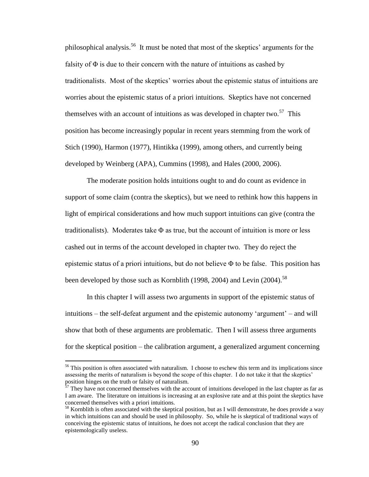philosophical analysis.<sup>56</sup> It must be noted that most of the skeptics' arguments for the falsity of  $\Phi$  is due to their concern with the nature of intuitions as cashed by traditionalists. Most of the skeptics" worries about the epistemic status of intuitions are worries about the epistemic status of a priori intuitions. Skeptics have not concerned themselves with an account of intuitions as was developed in chapter two.<sup>57</sup> This position has become increasingly popular in recent years stemming from the work of Stich (1990), Harmon (1977), Hintikka (1999), among others, and currently being developed by Weinberg (APA), Cummins (1998), and Hales (2000, 2006).

The moderate position holds intuitions ought to and do count as evidence in support of some claim (contra the skeptics), but we need to rethink how this happens in light of empirical considerations and how much support intuitions can give (contra the traditionalists). Moderates take  $\Phi$  as true, but the account of intuition is more or less cashed out in terms of the account developed in chapter two. They do reject the epistemic status of a priori intuitions, but do not believe  $\Phi$  to be false. This position has been developed by those such as Kornblith (1998, 2004) and Levin (2004).<sup>58</sup>

In this chapter I will assess two arguments in support of the epistemic status of intuitions – the self-defeat argument and the epistemic autonomy "argument" – and will show that both of these arguments are problematic. Then I will assess three arguments for the skeptical position – the calibration argument, a generalized argument concerning

<sup>&</sup>lt;sup>56</sup> This position is often associated with naturalism. I choose to eschew this term and its implications since assessing the merits of naturalism is beyond the scope of this chapter. I do not take it that the skeptics' position hinges on the truth or falsity of naturalism.

 $\frac{1}{57}$  They have not concerned themselves with the account of intuitions developed in the last chapter as far as I am aware. The literature on intuitions is increasing at an explosive rate and at this point the skeptics have concerned themselves with a priori intuitions.

<sup>&</sup>lt;sup>58</sup> Kornblith is often associated with the skeptical position, but as I will demonstrate, he does provide a way in which intuitions can and should be used in philosophy. So, while he is skeptical of traditional ways of conceiving the epistemic status of intuitions, he does not accept the radical conclusion that they are epistemologically useless.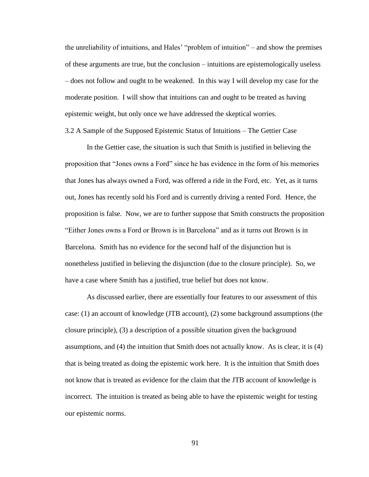the unreliability of intuitions, and Hales" "problem of intuition" – and show the premises of these arguments are true, but the conclusion – intuitions are epistemologically useless – does not follow and ought to be weakened. In this way I will develop my case for the moderate position. I will show that intuitions can and ought to be treated as having epistemic weight, but only once we have addressed the skeptical worries.

3.2 A Sample of the Supposed Epistemic Status of Intuitions – The Gettier Case

In the Gettier case, the situation is such that Smith is justified in believing the proposition that "Jones owns a Ford" since he has evidence in the form of his memories that Jones has always owned a Ford, was offered a ride in the Ford, etc. Yet, as it turns out, Jones has recently sold his Ford and is currently driving a rented Ford. Hence, the proposition is false. Now, we are to further suppose that Smith constructs the proposition "Either Jones owns a Ford or Brown is in Barcelona" and as it turns out Brown is in Barcelona. Smith has no evidence for the second half of the disjunction but is nonetheless justified in believing the disjunction (due to the closure principle). So, we have a case where Smith has a justified, true belief but does not know.

As discussed earlier, there are essentially four features to our assessment of this case: (1) an account of knowledge (JTB account), (2) some background assumptions (the closure principle), (3) a description of a possible situation given the background assumptions, and (4) the intuition that Smith does not actually know. As is clear, it is (4) that is being treated as doing the epistemic work here. It is the intuition that Smith does not know that is treated as evidence for the claim that the JTB account of knowledge is incorrect. The intuition is treated as being able to have the epistemic weight for testing our epistemic norms.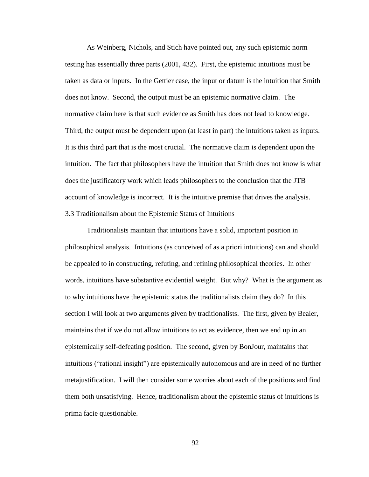As Weinberg, Nichols, and Stich have pointed out, any such epistemic norm testing has essentially three parts (2001, 432). First, the epistemic intuitions must be taken as data or inputs. In the Gettier case, the input or datum is the intuition that Smith does not know. Second, the output must be an epistemic normative claim. The normative claim here is that such evidence as Smith has does not lead to knowledge. Third, the output must be dependent upon (at least in part) the intuitions taken as inputs. It is this third part that is the most crucial. The normative claim is dependent upon the intuition. The fact that philosophers have the intuition that Smith does not know is what does the justificatory work which leads philosophers to the conclusion that the JTB account of knowledge is incorrect. It is the intuitive premise that drives the analysis. 3.3 Traditionalism about the Epistemic Status of Intuitions

Traditionalists maintain that intuitions have a solid, important position in philosophical analysis. Intuitions (as conceived of as a priori intuitions) can and should be appealed to in constructing, refuting, and refining philosophical theories. In other words, intuitions have substantive evidential weight. But why? What is the argument as to why intuitions have the epistemic status the traditionalists claim they do? In this section I will look at two arguments given by traditionalists. The first, given by Bealer, maintains that if we do not allow intuitions to act as evidence, then we end up in an epistemically self-defeating position. The second, given by BonJour, maintains that intuitions ("rational insight") are epistemically autonomous and are in need of no further metajustification. I will then consider some worries about each of the positions and find them both unsatisfying. Hence, traditionalism about the epistemic status of intuitions is prima facie questionable.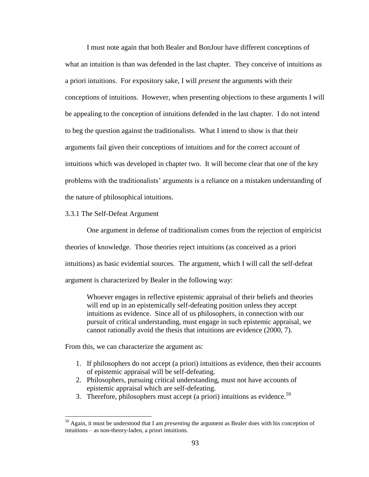I must note again that both Bealer and BonJour have different conceptions of what an intuition is than was defended in the last chapter. They conceive of intuitions as a priori intuitions. For expository sake, I will *present* the arguments with their conceptions of intuitions. However, when presenting objections to these arguments I will be appealing to the conception of intuitions defended in the last chapter. I do not intend to beg the question against the traditionalists. What I intend to show is that their arguments fail given their conceptions of intuitions and for the correct account of intuitions which was developed in chapter two. It will become clear that one of the key problems with the traditionalists' arguments is a reliance on a mistaken understanding of the nature of philosophical intuitions.

# 3.3.1 The Self-Defeat Argument

One argument in defense of traditionalism comes from the rejection of empiricist theories of knowledge. Those theories reject intuitions (as conceived as a priori intuitions) as basic evidential sources. The argument, which I will call the self-defeat argument is characterized by Bealer in the following way:

Whoever engages in reflective epistemic appraisal of their beliefs and theories will end up in an epistemically self-defeating position unless they accept intuitions as evidence. Since all of us philosophers, in connection with our pursuit of critical understanding, must engage in such epistemic appraisal, we cannot rationally avoid the thesis that intuitions are evidence (2000, 7).

From this, we can characterize the argument as:

- 1. If philosophers do not accept (a priori) intuitions as evidence, then their accounts of epistemic appraisal will be self-defeating.
- 2. Philosophers, pursuing critical understanding, must not have accounts of epistemic appraisal which are self-defeating.
- 3. Therefore, philosophers must accept (a priori) intuitions as evidence.<sup>59</sup>

<sup>59</sup> Again, it must be understood that I am *presenting* the argument as Bealer does with his conception of intuitions – as non-theory-laden, a priori intuitions.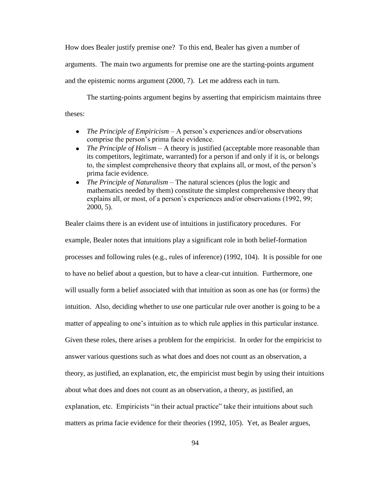How does Bealer justify premise one? To this end, Bealer has given a number of arguments. The main two arguments for premise one are the starting-points argument and the epistemic norms argument (2000, 7). Let me address each in turn.

The starting-points argument begins by asserting that empiricism maintains three theses:

- $\bullet$ *The Principle of Empiricism* – A person's experiences and/or observations comprise the person"s prima facie evidence.
- *The Principle of Holism* A theory is justified (acceptable more reasonable than its competitors, legitimate, warranted) for a person if and only if it is, or belongs to, the simplest comprehensive theory that explains all, or most, of the person"s prima facie evidence.
- *The Principle of Naturalism* The natural sciences (plus the logic and mathematics needed by them) constitute the simplest comprehensive theory that explains all, or most, of a person's experiences and/or observations (1992, 99; 2000, 5).

Bealer claims there is an evident use of intuitions in justificatory procedures. For example, Bealer notes that intuitions play a significant role in both belief-formation processes and following rules (e.g., rules of inference) (1992, 104). It is possible for one to have no belief about a question, but to have a clear-cut intuition. Furthermore, one will usually form a belief associated with that intuition as soon as one has (or forms) the intuition. Also, deciding whether to use one particular rule over another is going to be a matter of appealing to one's intuition as to which rule applies in this particular instance. Given these roles, there arises a problem for the empiricist. In order for the empiricist to answer various questions such as what does and does not count as an observation, a theory, as justified, an explanation, etc, the empiricist must begin by using their intuitions about what does and does not count as an observation, a theory, as justified, an explanation, etc. Empiricists "in their actual practice" take their intuitions about such matters as prima facie evidence for their theories (1992, 105). Yet, as Bealer argues,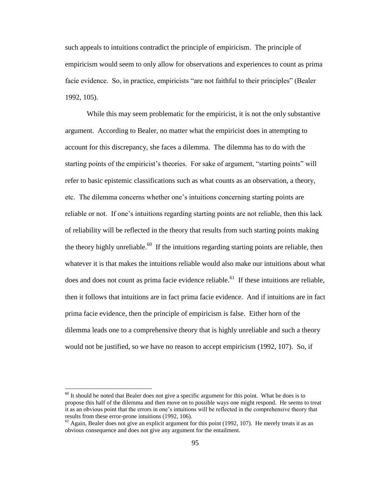such appeals to intuitions contradict the principle of empiricism. The principle of empiricism would seem to only allow for observations and experiences to count as prima facie evidence. So, in practice, empiricists "are not faithful to their principles" (Bealer 1992, 105).

While this may seem problematic for the empiricist, it is not the only substantive argument. According to Bealer, no matter what the empiricist does in attempting to account for this discrepancy, she faces a dilemma. The dilemma has to do with the starting points of the empiricist's theories. For sake of argument, "starting points" will refer to basic epistemic classifications such as what counts as an observation, a theory, etc. The dilemma concerns whether one"s intuitions concerning starting points are reliable or not. If one's intuitions regarding starting points are not reliable, then this lack of reliability will be reflected in the theory that results from such starting points making the theory highly unreliable.<sup>60</sup> If the intuitions regarding starting points are reliable, then whatever it is that makes the intuitions reliable would also make our intuitions about what does and does not count as prima facie evidence reliable.<sup>61</sup> If these intuitions are reliable, then it follows that intuitions are in fact prima facie evidence. And if intuitions are in fact prima facie evidence, then the principle of empiricism is false. Either horn of the dilemma leads one to a comprehensive theory that is highly unreliable and such a theory would not be justified, so we have no reason to accept empiricism (1992, 107). So, if

 $60$  It should be noted that Bealer does not give a specific argument for this point. What he does is to propose this half of the dilemma and then move on to possible ways one might respond. He seems to treat it as an obvious point that the errors in one"s intuitions will be reflected in the comprehensive theory that results from these error-prone intuitions (1992, 106).

 $61$  Again, Bealer does not give an explicit argument for this point (1992, 107). He merely treats it as an obvious consequence and does not give any argument for the entailment.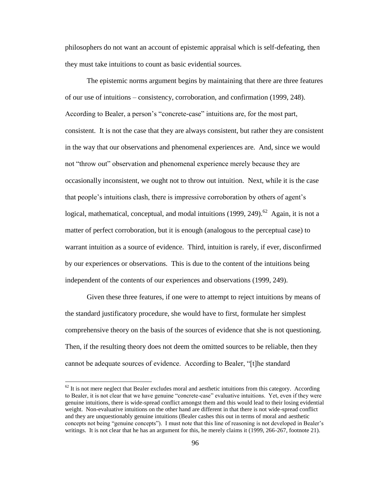philosophers do not want an account of epistemic appraisal which is self-defeating, then they must take intuitions to count as basic evidential sources.

The epistemic norms argument begins by maintaining that there are three features of our use of intuitions – consistency, corroboration, and confirmation (1999, 248). According to Bealer, a person's "concrete-case" intuitions are, for the most part, consistent. It is not the case that they are always consistent, but rather they are consistent in the way that our observations and phenomenal experiences are. And, since we would not "throw out" observation and phenomenal experience merely because they are occasionally inconsistent, we ought not to throw out intuition. Next, while it is the case that people"s intuitions clash, there is impressive corroboration by others of agent"s logical, mathematical, conceptual, and modal intuitions  $(1999, 249)$ .<sup>62</sup> Again, it is not a matter of perfect corroboration, but it is enough (analogous to the perceptual case) to warrant intuition as a source of evidence. Third, intuition is rarely, if ever, disconfirmed by our experiences or observations. This is due to the content of the intuitions being independent of the contents of our experiences and observations (1999, 249).

Given these three features, if one were to attempt to reject intuitions by means of the standard justificatory procedure, she would have to first, formulate her simplest comprehensive theory on the basis of the sources of evidence that she is not questioning. Then, if the resulting theory does not deem the omitted sources to be reliable, then they cannot be adequate sources of evidence. According to Bealer, "[t]he standard

 $62$  It is not mere neglect that Bealer excludes moral and aesthetic intuitions from this category. According to Bealer, it is not clear that we have genuine "concrete-case" evaluative intuitions. Yet, even if they were genuine intuitions, there is wide-spread conflict amongst them and this would lead to their losing evidential weight. Non-evaluative intuitions on the other hand are different in that there is not wide-spread conflict and they are unquestionably genuine intuitions (Bealer cashes this out in terms of moral and aesthetic concepts not being "genuine concepts"). I must note that this line of reasoning is not developed in Bealer"s writings. It is not clear that he has an argument for this, he merely claims it (1999, 266-267, footnote 21).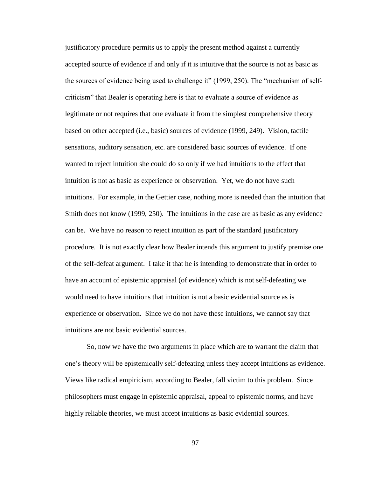justificatory procedure permits us to apply the present method against a currently accepted source of evidence if and only if it is intuitive that the source is not as basic as the sources of evidence being used to challenge it" (1999, 250). The "mechanism of selfcriticism" that Bealer is operating here is that to evaluate a source of evidence as legitimate or not requires that one evaluate it from the simplest comprehensive theory based on other accepted (i.e., basic) sources of evidence (1999, 249). Vision, tactile sensations, auditory sensation, etc. are considered basic sources of evidence. If one wanted to reject intuition she could do so only if we had intuitions to the effect that intuition is not as basic as experience or observation. Yet, we do not have such intuitions. For example, in the Gettier case, nothing more is needed than the intuition that Smith does not know (1999, 250). The intuitions in the case are as basic as any evidence can be. We have no reason to reject intuition as part of the standard justificatory procedure. It is not exactly clear how Bealer intends this argument to justify premise one of the self-defeat argument. I take it that he is intending to demonstrate that in order to have an account of epistemic appraisal (of evidence) which is not self-defeating we would need to have intuitions that intuition is not a basic evidential source as is experience or observation. Since we do not have these intuitions, we cannot say that intuitions are not basic evidential sources.

So, now we have the two arguments in place which are to warrant the claim that one"s theory will be epistemically self-defeating unless they accept intuitions as evidence. Views like radical empiricism, according to Bealer, fall victim to this problem. Since philosophers must engage in epistemic appraisal, appeal to epistemic norms, and have highly reliable theories, we must accept intuitions as basic evidential sources.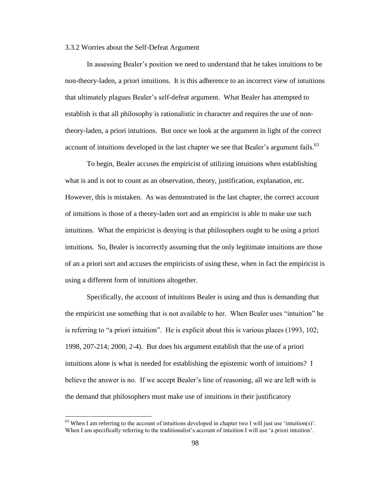#### 3.3.2 Worries about the Self-Defeat Argument

In assessing Bealer"s position we need to understand that he takes intuitions to be non-theory-laden, a priori intuitions. It is this adherence to an incorrect view of intuitions that ultimately plagues Bealer"s self-defeat argument. What Bealer has attempted to establish is that all philosophy is rationalistic in character and requires the use of nontheory-laden, a priori intuitions. But once we look at the argument in light of the correct account of intuitions developed in the last chapter we see that Bealer's argument fails.<sup>63</sup>

To begin, Bealer accuses the empiricist of utilizing intuitions when establishing what is and is not to count as an observation, theory, justification, explanation, etc. However, this is mistaken. As was demonstrated in the last chapter, the correct account of intuitions is those of a theory-laden sort and an empiricist is able to make use such intuitions. What the empiricist is denying is that philosophers ought to be using a priori intuitions. So, Bealer is incorrectly assuming that the only legitimate intuitions are those of an a priori sort and accuses the empiricists of using these, when in fact the empiricist is using a different form of intuitions altogether.

Specifically, the account of intuitions Bealer is using and thus is demanding that the empiricist use something that is not available to her. When Bealer uses "intuition" he is referring to "a priori intuition". He is explicit about this is various places (1993, 102; 1998, 207-214; 2000, 2-4). But does his argument establish that the use of a priori intuitions alone is what is needed for establishing the epistemic worth of intuitions? I believe the answer is no. If we accept Bealer"s line of reasoning, all we are left with is the demand that philosophers must make use of intuitions in their justificatory

 $63$  When I am referring to the account of intuitions developed in chapter two I will just use 'intuition(s)'. When I am specifically referring to the traditionalist's account of intuition I will use 'a priori intuition'.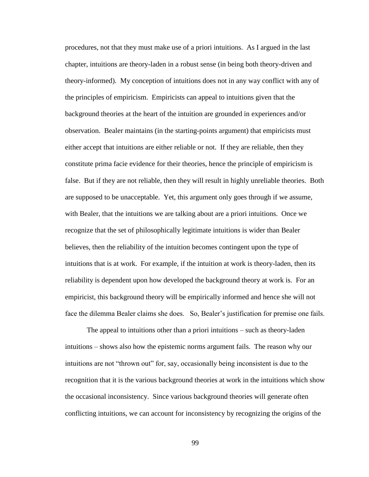procedures, not that they must make use of a priori intuitions. As I argued in the last chapter, intuitions are theory-laden in a robust sense (in being both theory-driven and theory-informed). My conception of intuitions does not in any way conflict with any of the principles of empiricism. Empiricists can appeal to intuitions given that the background theories at the heart of the intuition are grounded in experiences and/or observation. Bealer maintains (in the starting-points argument) that empiricists must either accept that intuitions are either reliable or not. If they are reliable, then they constitute prima facie evidence for their theories, hence the principle of empiricism is false. But if they are not reliable, then they will result in highly unreliable theories. Both are supposed to be unacceptable. Yet, this argument only goes through if we assume, with Bealer, that the intuitions we are talking about are a priori intuitions. Once we recognize that the set of philosophically legitimate intuitions is wider than Bealer believes, then the reliability of the intuition becomes contingent upon the type of intuitions that is at work. For example, if the intuition at work is theory-laden, then its reliability is dependent upon how developed the background theory at work is. For an empiricist, this background theory will be empirically informed and hence she will not face the dilemma Bealer claims she does. So, Bealer's justification for premise one fails.

The appeal to intuitions other than a priori intuitions – such as theory-laden intuitions – shows also how the epistemic norms argument fails. The reason why our intuitions are not "thrown out" for, say, occasionally being inconsistent is due to the recognition that it is the various background theories at work in the intuitions which show the occasional inconsistency. Since various background theories will generate often conflicting intuitions, we can account for inconsistency by recognizing the origins of the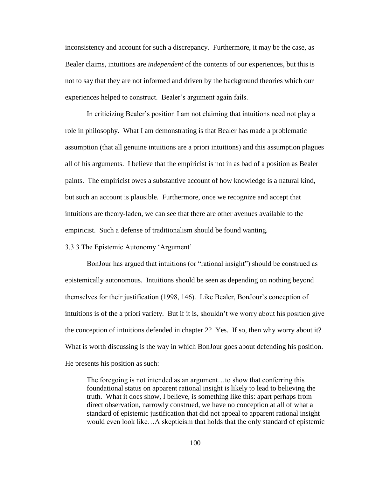inconsistency and account for such a discrepancy. Furthermore, it may be the case, as Bealer claims, intuitions are *independent* of the contents of our experiences, but this is not to say that they are not informed and driven by the background theories which our experiences helped to construct. Bealer's argument again fails.

In criticizing Bealer"s position I am not claiming that intuitions need not play a role in philosophy. What I am demonstrating is that Bealer has made a problematic assumption (that all genuine intuitions are a priori intuitions) and this assumption plagues all of his arguments. I believe that the empiricist is not in as bad of a position as Bealer paints. The empiricist owes a substantive account of how knowledge is a natural kind, but such an account is plausible. Furthermore, once we recognize and accept that intuitions are theory-laden, we can see that there are other avenues available to the empiricist. Such a defense of traditionalism should be found wanting.

3.3.3 The Epistemic Autonomy "Argument"

BonJour has argued that intuitions (or "rational insight") should be construed as epistemically autonomous. Intuitions should be seen as depending on nothing beyond themselves for their justification (1998, 146). Like Bealer, BonJour"s conception of intuitions is of the a priori variety. But if it is, shouldn"t we worry about his position give the conception of intuitions defended in chapter 2? Yes. If so, then why worry about it? What is worth discussing is the way in which BonJour goes about defending his position. He presents his position as such:

The foregoing is not intended as an argument…to show that conferring this foundational status on apparent rational insight is likely to lead to believing the truth. What it does show, I believe, is something like this: apart perhaps from direct observation, narrowly construed, we have no conception at all of what a standard of epistemic justification that did not appeal to apparent rational insight would even look like…A skepticism that holds that the only standard of epistemic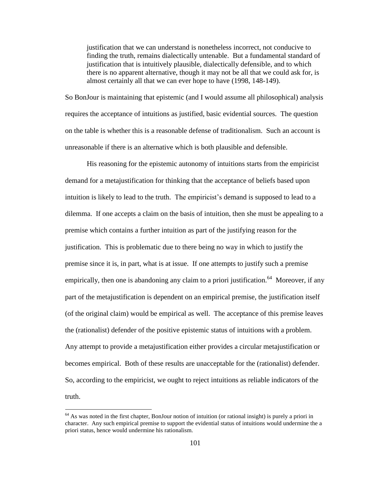justification that we can understand is nonetheless incorrect, not conducive to finding the truth, remains dialectically untenable. But a fundamental standard of justification that is intuitively plausible, dialectically defensible, and to which there is no apparent alternative, though it may not be all that we could ask for, is almost certainly all that we can ever hope to have (1998, 148-149).

So BonJour is maintaining that epistemic (and I would assume all philosophical) analysis requires the acceptance of intuitions as justified, basic evidential sources. The question on the table is whether this is a reasonable defense of traditionalism. Such an account is unreasonable if there is an alternative which is both plausible and defensible.

His reasoning for the epistemic autonomy of intuitions starts from the empiricist demand for a metajustification for thinking that the acceptance of beliefs based upon intuition is likely to lead to the truth. The empiricist's demand is supposed to lead to a dilemma. If one accepts a claim on the basis of intuition, then she must be appealing to a premise which contains a further intuition as part of the justifying reason for the justification. This is problematic due to there being no way in which to justify the premise since it is, in part, what is at issue. If one attempts to justify such a premise empirically, then one is abandoning any claim to a priori justification.<sup>64</sup> Moreover, if any part of the metajustification is dependent on an empirical premise, the justification itself (of the original claim) would be empirical as well. The acceptance of this premise leaves the (rationalist) defender of the positive epistemic status of intuitions with a problem. Any attempt to provide a metajustification either provides a circular metajustification or becomes empirical. Both of these results are unacceptable for the (rationalist) defender. So, according to the empiricist, we ought to reject intuitions as reliable indicators of the truth.

<sup>&</sup>lt;sup>64</sup> As was noted in the first chapter, BonJour notion of intuition (or rational insight) is purely a priori in character. Any such empirical premise to support the evidential status of intuitions would undermine the a priori status, hence would undermine his rationalism.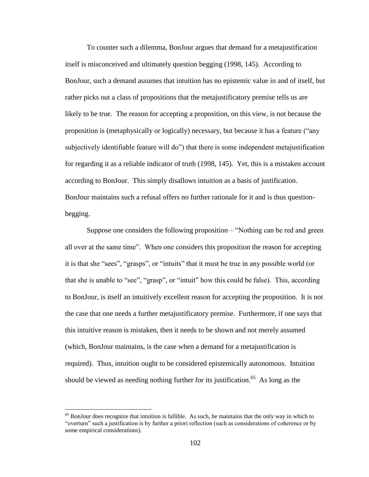To counter such a dilemma, BonJour argues that demand for a metajustification itself is misconceived and ultimately question begging (1998, 145). According to BonJour, such a demand assumes that intuition has no epistemic value in and of itself, but rather picks out a class of propositions that the metajustificatory premise tells us are likely to be true. The reason for accepting a proposition, on this view, is not because the proposition is (metaphysically or logically) necessary, but because it has a feature ("any subjectively identifiable feature will do") that there is some independent metajustification for regarding it as a reliable indicator of truth (1998, 145). Yet, this is a mistaken account according to BonJour. This simply disallows intuition as a basis of justification. BonJour maintains such a refusal offers no further rationale for it and is thus questionbegging.

Suppose one considers the following proposition – "Nothing can be red and green all over at the same time". When one considers this proposition the reason for accepting it is that she "sees", "grasps", or "intuits" that it must be true in any possible world (or that she is unable to "see", "grasp", or "intuit" how this could be false). This, according to BonJour, is itself an intuitively excellent reason for accepting the proposition. It is not the case that one needs a further metajustificatory premise. Furthermore, if one says that this intuitive reason is mistaken, then it needs to be shown and not merely assumed (which, BonJour maintains, is the case when a demand for a metajustification is required). Thus, intuition ought to be considered epistemically autonomous. Intuition should be viewed as needing nothing further for its justification.<sup>65</sup> As long as the

 $<sup>65</sup>$  BonJour does recognize that intuition is fallible. As such, he maintains that the only way in which to</sup> "overturn" such a justification is by further a priori reflection (such as considerations of coherence or by some empirical considerations).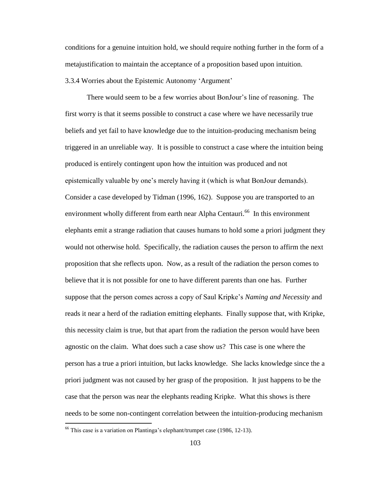conditions for a genuine intuition hold, we should require nothing further in the form of a metajustification to maintain the acceptance of a proposition based upon intuition. 3.3.4 Worries about the Epistemic Autonomy "Argument"

There would seem to be a few worries about BonJour"s line of reasoning. The first worry is that it seems possible to construct a case where we have necessarily true beliefs and yet fail to have knowledge due to the intuition-producing mechanism being triggered in an unreliable way. It is possible to construct a case where the intuition being produced is entirely contingent upon how the intuition was produced and not epistemically valuable by one"s merely having it (which is what BonJour demands). Consider a case developed by Tidman (1996, 162). Suppose you are transported to an environment wholly different from earth near Alpha Centauri.<sup>66</sup> In this environment elephants emit a strange radiation that causes humans to hold some a priori judgment they would not otherwise hold. Specifically, the radiation causes the person to affirm the next proposition that she reflects upon. Now, as a result of the radiation the person comes to believe that it is not possible for one to have different parents than one has. Further suppose that the person comes across a copy of Saul Kripke"s *Naming and Necessity* and reads it near a herd of the radiation emitting elephants. Finally suppose that, with Kripke, this necessity claim is true, but that apart from the radiation the person would have been agnostic on the claim. What does such a case show us? This case is one where the person has a true a priori intuition, but lacks knowledge. She lacks knowledge since the a priori judgment was not caused by her grasp of the proposition. It just happens to be the case that the person was near the elephants reading Kripke. What this shows is there needs to be some non-contingent correlation between the intuition-producing mechanism

 $66$  This case is a variation on Plantinga's elephant/trumpet case (1986, 12-13).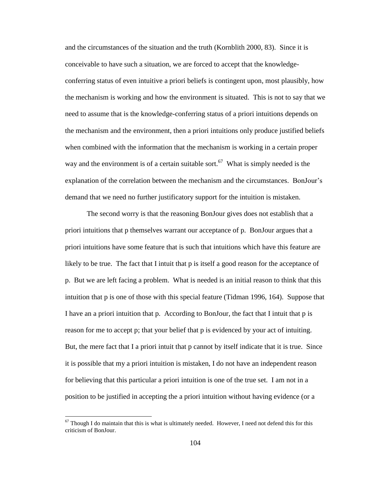and the circumstances of the situation and the truth (Kornblith 2000, 83). Since it is conceivable to have such a situation, we are forced to accept that the knowledgeconferring status of even intuitive a priori beliefs is contingent upon, most plausibly, how the mechanism is working and how the environment is situated. This is not to say that we need to assume that is the knowledge-conferring status of a priori intuitions depends on the mechanism and the environment, then a priori intuitions only produce justified beliefs when combined with the information that the mechanism is working in a certain proper way and the environment is of a certain suitable sort.<sup>67</sup> What is simply needed is the explanation of the correlation between the mechanism and the circumstances. BonJour"s demand that we need no further justificatory support for the intuition is mistaken.

The second worry is that the reasoning BonJour gives does not establish that a priori intuitions that p themselves warrant our acceptance of p. BonJour argues that a priori intuitions have some feature that is such that intuitions which have this feature are likely to be true. The fact that I intuit that p is itself a good reason for the acceptance of p. But we are left facing a problem. What is needed is an initial reason to think that this intuition that p is one of those with this special feature (Tidman 1996, 164). Suppose that I have an a priori intuition that p. According to BonJour, the fact that I intuit that p is reason for me to accept p; that your belief that p is evidenced by your act of intuiting. But, the mere fact that I a priori intuit that p cannot by itself indicate that it is true. Since it is possible that my a priori intuition is mistaken, I do not have an independent reason for believing that this particular a priori intuition is one of the true set. I am not in a position to be justified in accepting the a priori intuition without having evidence (or a

 $67$  Though I do maintain that this is what is ultimately needed. However, I need not defend this for this criticism of BonJour.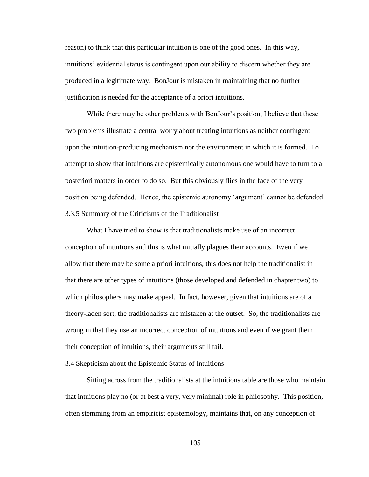reason) to think that this particular intuition is one of the good ones. In this way, intuitions' evidential status is contingent upon our ability to discern whether they are produced in a legitimate way. BonJour is mistaken in maintaining that no further justification is needed for the acceptance of a priori intuitions.

While there may be other problems with BonJour's position, I believe that these two problems illustrate a central worry about treating intuitions as neither contingent upon the intuition-producing mechanism nor the environment in which it is formed. To attempt to show that intuitions are epistemically autonomous one would have to turn to a posteriori matters in order to do so. But this obviously flies in the face of the very position being defended. Hence, the epistemic autonomy "argument" cannot be defended. 3.3.5 Summary of the Criticisms of the Traditionalist

What I have tried to show is that traditionalists make use of an incorrect conception of intuitions and this is what initially plagues their accounts. Even if we allow that there may be some a priori intuitions, this does not help the traditionalist in that there are other types of intuitions (those developed and defended in chapter two) to which philosophers may make appeal. In fact, however, given that intuitions are of a theory-laden sort, the traditionalists are mistaken at the outset. So, the traditionalists are wrong in that they use an incorrect conception of intuitions and even if we grant them their conception of intuitions, their arguments still fail.

## 3.4 Skepticism about the Epistemic Status of Intuitions

Sitting across from the traditionalists at the intuitions table are those who maintain that intuitions play no (or at best a very, very minimal) role in philosophy. This position, often stemming from an empiricist epistemology, maintains that, on any conception of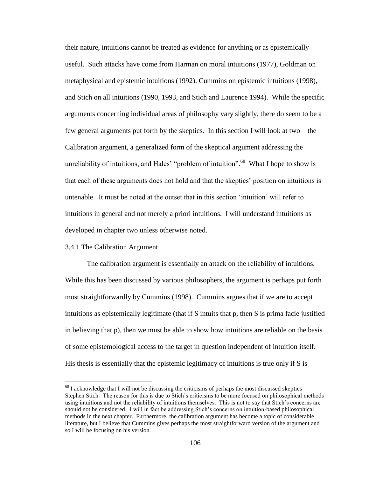their nature, intuitions cannot be treated as evidence for anything or as epistemically useful. Such attacks have come from Harman on moral intuitions (1977), Goldman on metaphysical and epistemic intuitions (1992), Cummins on epistemic intuitions (1998), and Stich on all intuitions (1990, 1993, and Stich and Laurence 1994). While the specific arguments concerning individual areas of philosophy vary slightly, there do seem to be a few general arguments put forth by the skeptics. In this section I will look at two – the Calibration argument, a generalized form of the skeptical argument addressing the unreliability of intuitions, and Hales' "problem of intuition".<sup>68</sup> What I hope to show is that each of these arguments does not hold and that the skeptics" position on intuitions is untenable. It must be noted at the outset that in this section "intuition" will refer to intuitions in general and not merely a priori intuitions. I will understand intuitions as developed in chapter two unless otherwise noted.

#### 3.4.1 The Calibration Argument

 $\overline{a}$ 

The calibration argument is essentially an attack on the reliability of intuitions. While this has been discussed by various philosophers, the argument is perhaps put forth most straightforwardly by Cummins (1998). Cummins argues that if we are to accept intuitions as epistemically legitimate (that if S intuits that p, then S is prima facie justified in believing that p), then we must be able to show how intuitions are reliable on the basis of some epistemological access to the target in question independent of intuition itself. His thesis is essentially that the epistemic legitimacy of intuitions is true only if S is

 $^{68}$  I acknowledge that I will not be discussing the criticisms of perhaps the most discussed skeptics – Stephen Stich. The reason for this is due to Stich"s criticisms to be more focused on philosophical methods using intuitions and not the reliability of intuitions themselves. This is not to say that Stich"s concerns are should not be considered. I will in fact be addressing Stich"s concerns on intuition-based philosophical methods in the next chapter. Furthermore, the calibration argument has become a topic of considerable literature, but I believe that Cummins gives perhaps the most straightforward version of the argument and so I will be focusing on his version.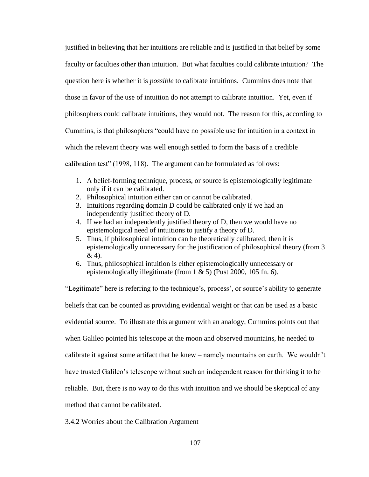justified in believing that her intuitions are reliable and is justified in that belief by some faculty or faculties other than intuition. But what faculties could calibrate intuition? The question here is whether it is *possible* to calibrate intuitions. Cummins does note that those in favor of the use of intuition do not attempt to calibrate intuition. Yet, even if philosophers could calibrate intuitions, they would not. The reason for this, according to Cummins, is that philosophers "could have no possible use for intuition in a context in which the relevant theory was well enough settled to form the basis of a credible calibration test" (1998, 118). The argument can be formulated as follows:

- 1. A belief-forming technique, process, or source is epistemologically legitimate only if it can be calibrated.
- 2. Philosophical intuition either can or cannot be calibrated.
- 3. Intuitions regarding domain D could be calibrated only if we had an independently justified theory of D.
- 4. If we had an independently justified theory of D, then we would have no epistemological need of intuitions to justify a theory of D.
- 5. Thus, if philosophical intuition can be theoretically calibrated, then it is epistemologically unnecessary for the justification of philosophical theory (from 3 & 4).
- 6. Thus, philosophical intuition is either epistemologically unnecessary or epistemologically illegitimate (from 1 & 5) (Pust 2000, 105 fn. 6).

"Legitimate" here is referring to the technique's, process', or source's ability to generate beliefs that can be counted as providing evidential weight or that can be used as a basic evidential source. To illustrate this argument with an analogy, Cummins points out that when Galileo pointed his telescope at the moon and observed mountains, he needed to calibrate it against some artifact that he knew – namely mountains on earth. We wouldn"t have trusted Galileo's telescope without such an independent reason for thinking it to be reliable. But, there is no way to do this with intuition and we should be skeptical of any method that cannot be calibrated.

3.4.2 Worries about the Calibration Argument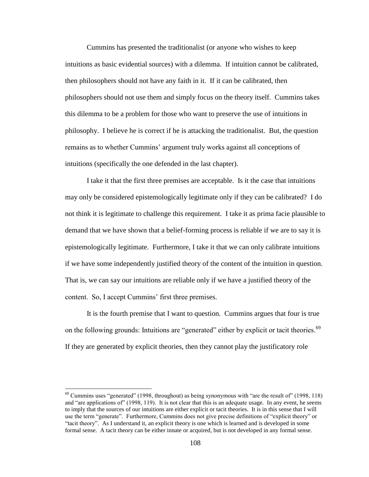Cummins has presented the traditionalist (or anyone who wishes to keep intuitions as basic evidential sources) with a dilemma. If intuition cannot be calibrated, then philosophers should not have any faith in it. If it can be calibrated, then philosophers should not use them and simply focus on the theory itself. Cummins takes this dilemma to be a problem for those who want to preserve the use of intuitions in philosophy. I believe he is correct if he is attacking the traditionalist. But, the question remains as to whether Cummins' argument truly works against all conceptions of intuitions (specifically the one defended in the last chapter).

I take it that the first three premises are acceptable. Is it the case that intuitions may only be considered epistemologically legitimate only if they can be calibrated? I do not think it is legitimate to challenge this requirement. I take it as prima facie plausible to demand that we have shown that a belief-forming process is reliable if we are to say it is epistemologically legitimate. Furthermore, I take it that we can only calibrate intuitions if we have some independently justified theory of the content of the intuition in question. That is, we can say our intuitions are reliable only if we have a justified theory of the content. So, I accept Cummins' first three premises.

It is the fourth premise that I want to question. Cummins argues that four is true on the following grounds: Intuitions are "generated" either by explicit or tacit theories.<sup>69</sup> If they are generated by explicit theories, then they cannot play the justificatory role

 $69$  Cummins uses "generated" (1998, throughout) as being synonymous with "are the result of" (1998, 118) and "are applications of" (1998, 119). It is not clear that this is an adequate usage. In any event, he seems to imply that the sources of our intuitions are either explicit or tacit theories. It is in this sense that I will use the term "generate". Furthermore, Cummins does not give precise definitions of "explicit theory" or "tacit theory". As I understand it, an explicit theory is one which is learned and is developed in some formal sense. A tacit theory can be either innate or acquired, but is not developed in any formal sense.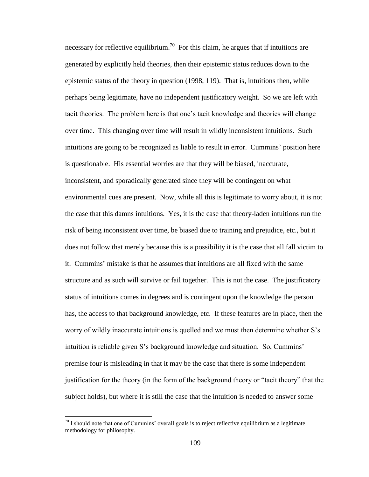necessary for reflective equilibrium.<sup>70</sup> For this claim, he argues that if intuitions are generated by explicitly held theories, then their epistemic status reduces down to the epistemic status of the theory in question (1998, 119). That is, intuitions then, while perhaps being legitimate, have no independent justificatory weight. So we are left with tacit theories. The problem here is that one"s tacit knowledge and theories will change over time. This changing over time will result in wildly inconsistent intuitions. Such intuitions are going to be recognized as liable to result in error. Cummins" position here is questionable. His essential worries are that they will be biased, inaccurate, inconsistent, and sporadically generated since they will be contingent on what environmental cues are present. Now, while all this is legitimate to worry about, it is not the case that this damns intuitions. Yes, it is the case that theory-laden intuitions run the risk of being inconsistent over time, be biased due to training and prejudice, etc., but it does not follow that merely because this is a possibility it is the case that all fall victim to it. Cummins" mistake is that he assumes that intuitions are all fixed with the same structure and as such will survive or fail together. This is not the case. The justificatory status of intuitions comes in degrees and is contingent upon the knowledge the person has, the access to that background knowledge, etc. If these features are in place, then the worry of wildly inaccurate intuitions is quelled and we must then determine whether S"s intuition is reliable given S"s background knowledge and situation. So, Cummins" premise four is misleading in that it may be the case that there is some independent justification for the theory (in the form of the background theory or "tacit theory" that the subject holds), but where it is still the case that the intuition is needed to answer some

 $70$  I should note that one of Cummins' overall goals is to reject reflective equilibrium as a legitimate methodology for philosophy.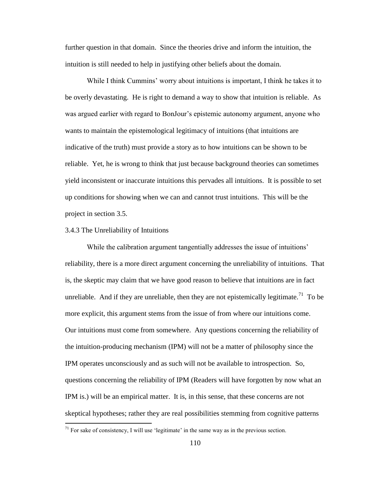further question in that domain. Since the theories drive and inform the intuition, the intuition is still needed to help in justifying other beliefs about the domain.

While I think Cummins' worry about intuitions is important, I think he takes it to be overly devastating. He is right to demand a way to show that intuition is reliable. As was argued earlier with regard to BonJour's epistemic autonomy argument, anyone who wants to maintain the epistemological legitimacy of intuitions (that intuitions are indicative of the truth) must provide a story as to how intuitions can be shown to be reliable. Yet, he is wrong to think that just because background theories can sometimes yield inconsistent or inaccurate intuitions this pervades all intuitions. It is possible to set up conditions for showing when we can and cannot trust intuitions. This will be the project in section 3.5.

#### 3.4.3 The Unreliability of Intuitions

 $\overline{a}$ 

While the calibration argument tangentially addresses the issue of intuitions' reliability, there is a more direct argument concerning the unreliability of intuitions. That is, the skeptic may claim that we have good reason to believe that intuitions are in fact unreliable. And if they are unreliable, then they are not epistemically legitimate.<sup>71</sup> To be more explicit, this argument stems from the issue of from where our intuitions come. Our intuitions must come from somewhere. Any questions concerning the reliability of the intuition-producing mechanism (IPM) will not be a matter of philosophy since the IPM operates unconsciously and as such will not be available to introspection. So, questions concerning the reliability of IPM (Readers will have forgotten by now what an IPM is.) will be an empirical matter. It is, in this sense, that these concerns are not skeptical hypotheses; rather they are real possibilities stemming from cognitive patterns

 $71$  For sake of consistency, I will use 'legitimate' in the same way as in the previous section.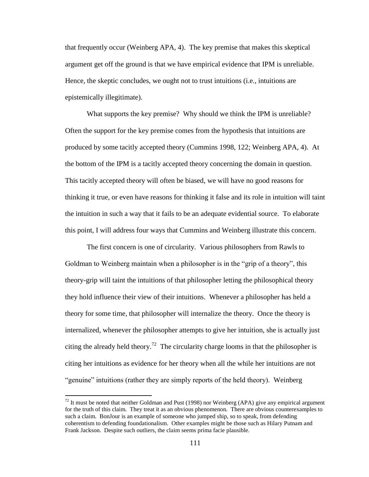that frequently occur (Weinberg APA, 4). The key premise that makes this skeptical argument get off the ground is that we have empirical evidence that IPM is unreliable. Hence, the skeptic concludes, we ought not to trust intuitions (i.e., intuitions are epistemically illegitimate).

What supports the key premise? Why should we think the IPM is unreliable? Often the support for the key premise comes from the hypothesis that intuitions are produced by some tacitly accepted theory (Cummins 1998, 122; Weinberg APA, 4). At the bottom of the IPM is a tacitly accepted theory concerning the domain in question. This tacitly accepted theory will often be biased, we will have no good reasons for thinking it true, or even have reasons for thinking it false and its role in intuition will taint the intuition in such a way that it fails to be an adequate evidential source. To elaborate this point, I will address four ways that Cummins and Weinberg illustrate this concern.

The first concern is one of circularity. Various philosophers from Rawls to Goldman to Weinberg maintain when a philosopher is in the "grip of a theory", this theory-grip will taint the intuitions of that philosopher letting the philosophical theory they hold influence their view of their intuitions. Whenever a philosopher has held a theory for some time, that philosopher will internalize the theory. Once the theory is internalized, whenever the philosopher attempts to give her intuition, she is actually just citing the already held theory.<sup>72</sup> The circularity charge looms in that the philosopher is citing her intuitions as evidence for her theory when all the while her intuitions are not "genuine" intuitions (rather they are simply reports of the held theory). Weinberg

 $72$  It must be noted that neither Goldman and Pust (1998) nor Weinberg (APA) give any empirical argument for the truth of this claim. They treat it as an obvious phenomenon. There are obvious counterexamples to such a claim. BonJour is an example of someone who jumped ship, so to speak, from defending coherentism to defending foundationalism. Other examples might be those such as Hilary Putnam and Frank Jackson. Despite such outliers, the claim seems prima facie plausible.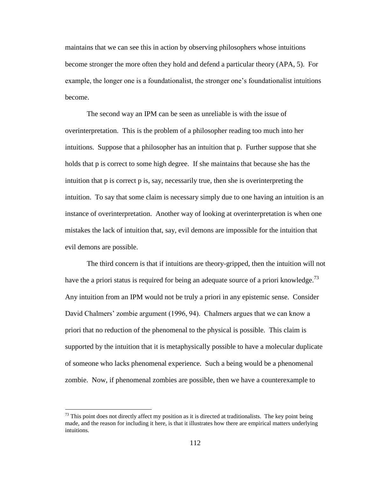maintains that we can see this in action by observing philosophers whose intuitions become stronger the more often they hold and defend a particular theory (APA, 5). For example, the longer one is a foundationalist, the stronger one"s foundationalist intuitions become.

The second way an IPM can be seen as unreliable is with the issue of overinterpretation. This is the problem of a philosopher reading too much into her intuitions. Suppose that a philosopher has an intuition that p. Further suppose that she holds that p is correct to some high degree. If she maintains that because she has the intuition that p is correct p is, say, necessarily true, then she is overinterpreting the intuition. To say that some claim is necessary simply due to one having an intuition is an instance of overinterpretation. Another way of looking at overinterpretation is when one mistakes the lack of intuition that, say, evil demons are impossible for the intuition that evil demons are possible.

The third concern is that if intuitions are theory-gripped, then the intuition will not have the a priori status is required for being an adequate source of a priori knowledge.<sup>73</sup> Any intuition from an IPM would not be truly a priori in any epistemic sense. Consider David Chalmers" zombie argument (1996, 94). Chalmers argues that we can know a priori that no reduction of the phenomenal to the physical is possible. This claim is supported by the intuition that it is metaphysically possible to have a molecular duplicate of someone who lacks phenomenal experience. Such a being would be a phenomenal zombie. Now, if phenomenal zombies are possible, then we have a counterexample to

 $73$  This point does not directly affect my position as it is directed at traditionalists. The key point being made, and the reason for including it here, is that it illustrates how there are empirical matters underlying intuitions.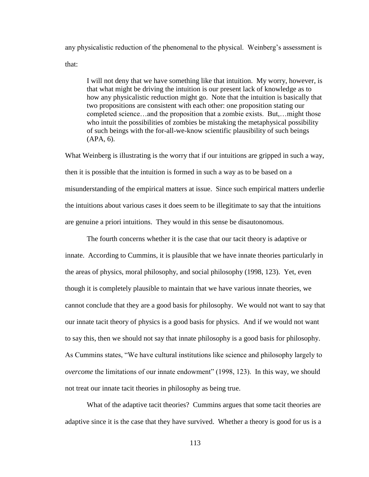any physicalistic reduction of the phenomenal to the physical. Weinberg"s assessment is that:

I will not deny that we have something like that intuition. My worry, however, is that what might be driving the intuition is our present lack of knowledge as to how any physicalistic reduction might go. Note that the intuition is basically that two propositions are consistent with each other: one proposition stating our completed science…and the proposition that a zombie exists. But,…might those who intuit the possibilities of zombies be mistaking the metaphysical possibility of such beings with the for-all-we-know scientific plausibility of such beings (APA, 6).

What Weinberg is illustrating is the worry that if our intuitions are gripped in such a way, then it is possible that the intuition is formed in such a way as to be based on a misunderstanding of the empirical matters at issue. Since such empirical matters underlie the intuitions about various cases it does seem to be illegitimate to say that the intuitions are genuine a priori intuitions. They would in this sense be disautonomous.

The fourth concerns whether it is the case that our tacit theory is adaptive or innate. According to Cummins, it is plausible that we have innate theories particularly in the areas of physics, moral philosophy, and social philosophy (1998, 123). Yet, even though it is completely plausible to maintain that we have various innate theories, we cannot conclude that they are a good basis for philosophy. We would not want to say that our innate tacit theory of physics is a good basis for physics. And if we would not want to say this, then we should not say that innate philosophy is a good basis for philosophy. As Cummins states, "We have cultural institutions like science and philosophy largely to *overcome* the limitations of our innate endowment" (1998, 123). In this way, we should not treat our innate tacit theories in philosophy as being true.

What of the adaptive tacit theories? Cummins argues that some tacit theories are adaptive since it is the case that they have survived. Whether a theory is good for us is a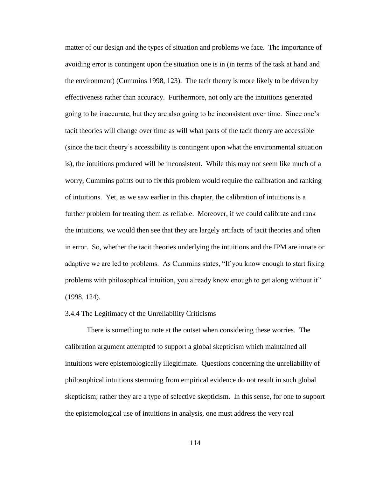matter of our design and the types of situation and problems we face. The importance of avoiding error is contingent upon the situation one is in (in terms of the task at hand and the environment) (Cummins 1998, 123). The tacit theory is more likely to be driven by effectiveness rather than accuracy. Furthermore, not only are the intuitions generated going to be inaccurate, but they are also going to be inconsistent over time. Since one"s tacit theories will change over time as will what parts of the tacit theory are accessible (since the tacit theory"s accessibility is contingent upon what the environmental situation is), the intuitions produced will be inconsistent. While this may not seem like much of a worry, Cummins points out to fix this problem would require the calibration and ranking of intuitions. Yet, as we saw earlier in this chapter, the calibration of intuitions is a further problem for treating them as reliable. Moreover, if we could calibrate and rank the intuitions, we would then see that they are largely artifacts of tacit theories and often in error. So, whether the tacit theories underlying the intuitions and the IPM are innate or adaptive we are led to problems. As Cummins states, "If you know enough to start fixing problems with philosophical intuition, you already know enough to get along without it" (1998, 124).

#### 3.4.4 The Legitimacy of the Unreliability Criticisms

There is something to note at the outset when considering these worries. The calibration argument attempted to support a global skepticism which maintained all intuitions were epistemologically illegitimate. Questions concerning the unreliability of philosophical intuitions stemming from empirical evidence do not result in such global skepticism; rather they are a type of selective skepticism. In this sense, for one to support the epistemological use of intuitions in analysis, one must address the very real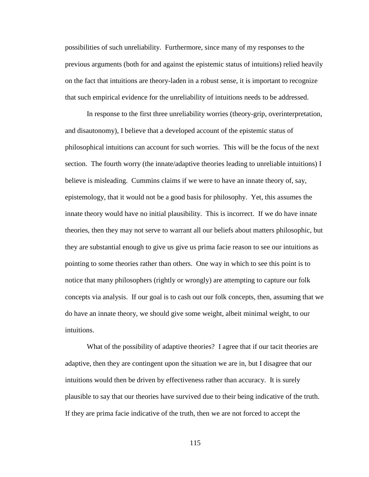possibilities of such unreliability. Furthermore, since many of my responses to the previous arguments (both for and against the epistemic status of intuitions) relied heavily on the fact that intuitions are theory-laden in a robust sense, it is important to recognize that such empirical evidence for the unreliability of intuitions needs to be addressed.

In response to the first three unreliability worries (theory-grip, overinterpretation, and disautonomy), I believe that a developed account of the epistemic status of philosophical intuitions can account for such worries. This will be the focus of the next section. The fourth worry (the innate/adaptive theories leading to unreliable intuitions) I believe is misleading. Cummins claims if we were to have an innate theory of, say, epistemology, that it would not be a good basis for philosophy. Yet, this assumes the innate theory would have no initial plausibility. This is incorrect. If we do have innate theories, then they may not serve to warrant all our beliefs about matters philosophic, but they are substantial enough to give us give us prima facie reason to see our intuitions as pointing to some theories rather than others. One way in which to see this point is to notice that many philosophers (rightly or wrongly) are attempting to capture our folk concepts via analysis. If our goal is to cash out our folk concepts, then, assuming that we do have an innate theory, we should give some weight, albeit minimal weight, to our intuitions.

What of the possibility of adaptive theories? I agree that if our tacit theories are adaptive, then they are contingent upon the situation we are in, but I disagree that our intuitions would then be driven by effectiveness rather than accuracy. It is surely plausible to say that our theories have survived due to their being indicative of the truth. If they are prima facie indicative of the truth, then we are not forced to accept the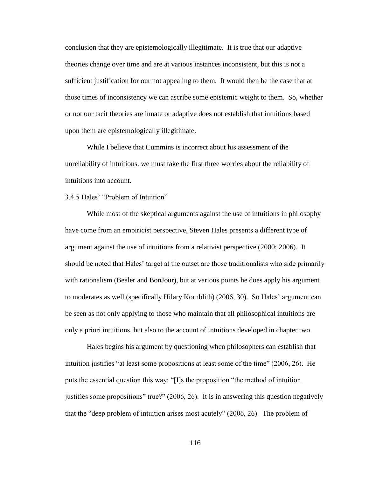conclusion that they are epistemologically illegitimate. It is true that our adaptive theories change over time and are at various instances inconsistent, but this is not a sufficient justification for our not appealing to them. It would then be the case that at those times of inconsistency we can ascribe some epistemic weight to them. So, whether or not our tacit theories are innate or adaptive does not establish that intuitions based upon them are epistemologically illegitimate.

While I believe that Cummins is incorrect about his assessment of the unreliability of intuitions, we must take the first three worries about the reliability of intuitions into account.

3.4.5 Hales" "Problem of Intuition"

While most of the skeptical arguments against the use of intuitions in philosophy have come from an empiricist perspective, Steven Hales presents a different type of argument against the use of intuitions from a relativist perspective (2000; 2006). It should be noted that Hales" target at the outset are those traditionalists who side primarily with rationalism (Bealer and BonJour), but at various points he does apply his argument to moderates as well (specifically Hilary Kornblith) (2006, 30). So Hales" argument can be seen as not only applying to those who maintain that all philosophical intuitions are only a priori intuitions, but also to the account of intuitions developed in chapter two.

Hales begins his argument by questioning when philosophers can establish that intuition justifies "at least some propositions at least some of the time" (2006, 26). He puts the essential question this way: "[I]s the proposition "the method of intuition justifies some propositions" true?" (2006, 26). It is in answering this question negatively that the "deep problem of intuition arises most acutely" (2006, 26). The problem of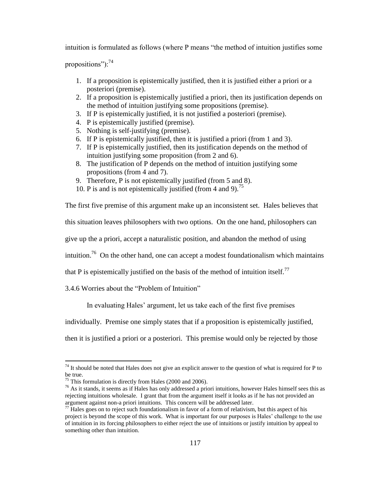intuition is formulated as follows (where P means "the method of intuition justifies some

propositions"): $^{74}$ 

- 1. If a proposition is epistemically justified, then it is justified either a priori or a posteriori (premise).
- 2. If a proposition is epistemically justified a priori, then its justification depends on the method of intuition justifying some propositions (premise).
- 3. If P is epistemically justified, it is not justified a posteriori (premise).
- 4. P is epistemically justified (premise).
- 5. Nothing is self-justifying (premise).
- 6. If P is epistemically justified, then it is justified a priori (from 1 and 3).
- 7. If P is epistemically justified, then its justification depends on the method of intuition justifying some proposition (from 2 and 6).
- 8. The justification of P depends on the method of intuition justifying some propositions (from 4 and 7).
- 9. Therefore, P is not epistemically justified (from 5 and 8).
- 10. P is and is not epistemically justified (from 4 and 9).<sup>75</sup>

The first five premise of this argument make up an inconsistent set. Hales believes that

this situation leaves philosophers with two options. On the one hand, philosophers can

give up the a priori, accept a naturalistic position, and abandon the method of using

intuition.<sup>76</sup> On the other hand, one can accept a modest foundationalism which maintains

that P is epistemically justified on the basis of the method of intuition itself.<sup>77</sup>

3.4.6 Worries about the "Problem of Intuition"

In evaluating Hales' argument, let us take each of the first five premises

individually. Premise one simply states that if a proposition is epistemically justified,

then it is justified a priori or a posteriori. This premise would only be rejected by those

 $74$  It should be noted that Hales does not give an explicit answer to the question of what is required for P to be true.

 $75$  This formulation is directly from Hales (2000 and 2006).

 $^{76}$  As it stands, it seems as if Hales has only addressed a priori intuitions, however Hales himself sees this as rejecting intuitions wholesale. I grant that from the argument itself it looks as if he has not provided an argument against non-a priori intuitions. This concern will be addressed later.

 $^{77}$  Hales goes on to reject such foundationalism in favor of a form of relativism, but this aspect of his project is beyond the scope of this work. What is important for our purposes is Hales" challenge to the use of intuition in its forcing philosophers to either reject the use of intuitions or justify intuition by appeal to something other than intuition.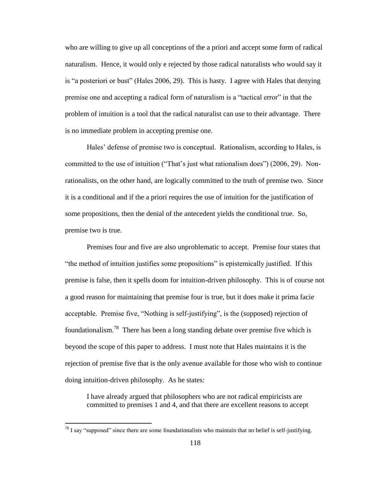who are willing to give up all conceptions of the a priori and accept some form of radical naturalism. Hence, it would only e rejected by those radical naturalists who would say it is "a posteriori or bust" (Hales 2006, 29). This is hasty. I agree with Hales that denying premise one and accepting a radical form of naturalism is a "tactical error" in that the problem of intuition is a tool that the radical naturalist can use to their advantage. There is no immediate problem in accepting premise one.

Hales' defense of premise two is conceptual. Rationalism, according to Hales, is committed to the use of intuition ("That"s just what rationalism does") (2006, 29). Nonrationalists, on the other hand, are logically committed to the truth of premise two. Since it is a conditional and if the a priori requires the use of intuition for the justification of some propositions, then the denial of the antecedent yields the conditional true. So, premise two is true.

Premises four and five are also unproblematic to accept. Premise four states that "the method of intuition justifies some propositions" is epistemically justified. If this premise is false, then it spells doom for intuition-driven philosophy. This is of course not a good reason for maintaining that premise four is true, but it does make it prima facie acceptable. Premise five, "Nothing is self-justifying", is the (supposed) rejection of foundationalism.<sup>78</sup> There has been a long standing debate over premise five which is beyond the scope of this paper to address. I must note that Hales maintains it is the rejection of premise five that is the only avenue available for those who wish to continue doing intuition-driven philosophy. As he states:

I have already argued that philosophers who are not radical empiricists are committed to premises 1 and 4, and that there are excellent reasons to accept

 $^{78}$  I sav "supposed" since there are some foundationalists who maintain that no belief is self-justifying.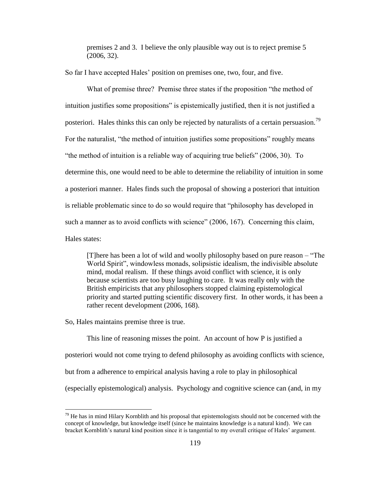premises 2 and 3. I believe the only plausible way out is to reject premise 5 (2006, 32).

So far I have accepted Hales' position on premises one, two, four, and five.

What of premise three? Premise three states if the proposition "the method of intuition justifies some propositions" is epistemically justified, then it is not justified a posteriori. Hales thinks this can only be rejected by naturalists of a certain persuasion.<sup>79</sup> For the naturalist, "the method of intuition justifies some propositions" roughly means "the method of intuition is a reliable way of acquiring true beliefs" (2006, 30). To determine this, one would need to be able to determine the reliability of intuition in some a posteriori manner. Hales finds such the proposal of showing a posteriori that intuition is reliable problematic since to do so would require that "philosophy has developed in such a manner as to avoid conflicts with science" (2006, 167). Concerning this claim, Hales states:

[T]here has been a lot of wild and woolly philosophy based on pure reason – "The World Spirit", windowless monads, solipsistic idealism, the indivisible absolute mind, modal realism. If these things avoid conflict with science, it is only because scientists are too busy laughing to care. It was really only with the British empiricists that any philosophers stopped claiming epistemological priority and started putting scientific discovery first. In other words, it has been a rather recent development (2006, 168).

So, Hales maintains premise three is true.

 $\overline{a}$ 

This line of reasoning misses the point. An account of how P is justified a posteriori would not come trying to defend philosophy as avoiding conflicts with science, but from a adherence to empirical analysis having a role to play in philosophical (especially epistemological) analysis. Psychology and cognitive science can (and, in my

 $79$  He has in mind Hilary Kornblith and his proposal that epistemologists should not be concerned with the concept of knowledge, but knowledge itself (since he maintains knowledge is a natural kind). We can bracket Kornblith's natural kind position since it is tangential to my overall critique of Hales' argument.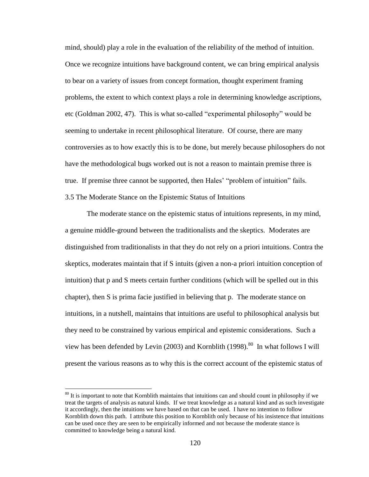mind, should) play a role in the evaluation of the reliability of the method of intuition. Once we recognize intuitions have background content, we can bring empirical analysis to bear on a variety of issues from concept formation, thought experiment framing problems, the extent to which context plays a role in determining knowledge ascriptions, etc (Goldman 2002, 47). This is what so-called "experimental philosophy" would be seeming to undertake in recent philosophical literature. Of course, there are many controversies as to how exactly this is to be done, but merely because philosophers do not have the methodological bugs worked out is not a reason to maintain premise three is true. If premise three cannot be supported, then Hales" "problem of intuition" fails. 3.5 The Moderate Stance on the Epistemic Status of Intuitions

The moderate stance on the epistemic status of intuitions represents, in my mind, a genuine middle-ground between the traditionalists and the skeptics. Moderates are distinguished from traditionalists in that they do not rely on a priori intuitions. Contra the skeptics, moderates maintain that if S intuits (given a non-a priori intuition conception of intuition) that p and S meets certain further conditions (which will be spelled out in this chapter), then S is prima facie justified in believing that p. The moderate stance on intuitions, in a nutshell, maintains that intuitions are useful to philosophical analysis but they need to be constrained by various empirical and epistemic considerations. Such a view has been defended by Levin (2003) and Kornblith (1998).<sup>80</sup> In what follows I will present the various reasons as to why this is the correct account of the epistemic status of

<sup>&</sup>lt;sup>80</sup> It is important to note that Kornblith maintains that intuitions can and should count in philosophy if we treat the targets of analysis as natural kinds. If we treat knowledge as a natural kind and as such investigate it accordingly, then the intuitions we have based on that can be used. I have no intention to follow Kornblith down this path. I attribute this position to Kornblith only because of his insistence that intuitions can be used once they are seen to be empirically informed and not because the moderate stance is committed to knowledge being a natural kind.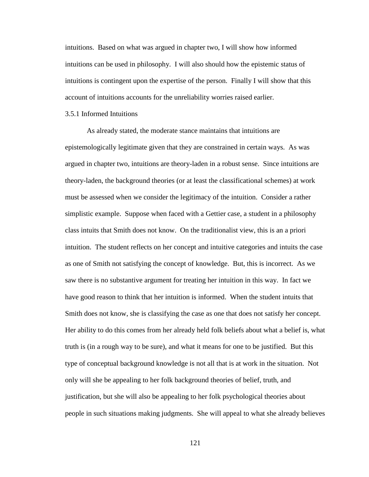intuitions. Based on what was argued in chapter two, I will show how informed intuitions can be used in philosophy. I will also should how the epistemic status of intuitions is contingent upon the expertise of the person. Finally I will show that this account of intuitions accounts for the unreliability worries raised earlier.

#### 3.5.1 Informed Intuitions

As already stated, the moderate stance maintains that intuitions are epistemologically legitimate given that they are constrained in certain ways. As was argued in chapter two, intuitions are theory-laden in a robust sense. Since intuitions are theory-laden, the background theories (or at least the classificational schemes) at work must be assessed when we consider the legitimacy of the intuition. Consider a rather simplistic example. Suppose when faced with a Gettier case, a student in a philosophy class intuits that Smith does not know. On the traditionalist view, this is an a priori intuition. The student reflects on her concept and intuitive categories and intuits the case as one of Smith not satisfying the concept of knowledge. But, this is incorrect. As we saw there is no substantive argument for treating her intuition in this way. In fact we have good reason to think that her intuition is informed. When the student intuits that Smith does not know, she is classifying the case as one that does not satisfy her concept. Her ability to do this comes from her already held folk beliefs about what a belief is, what truth is (in a rough way to be sure), and what it means for one to be justified. But this type of conceptual background knowledge is not all that is at work in the situation. Not only will she be appealing to her folk background theories of belief, truth, and justification, but she will also be appealing to her folk psychological theories about people in such situations making judgments. She will appeal to what she already believes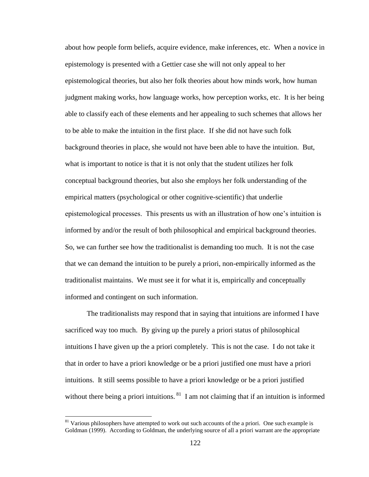about how people form beliefs, acquire evidence, make inferences, etc. When a novice in epistemology is presented with a Gettier case she will not only appeal to her epistemological theories, but also her folk theories about how minds work, how human judgment making works, how language works, how perception works, etc. It is her being able to classify each of these elements and her appealing to such schemes that allows her to be able to make the intuition in the first place. If she did not have such folk background theories in place, she would not have been able to have the intuition. But, what is important to notice is that it is not only that the student utilizes her folk conceptual background theories, but also she employs her folk understanding of the empirical matters (psychological or other cognitive-scientific) that underlie epistemological processes. This presents us with an illustration of how one"s intuition is informed by and/or the result of both philosophical and empirical background theories. So, we can further see how the traditionalist is demanding too much. It is not the case that we can demand the intuition to be purely a priori, non-empirically informed as the traditionalist maintains. We must see it for what it is, empirically and conceptually informed and contingent on such information.

The traditionalists may respond that in saying that intuitions are informed I have sacrificed way too much. By giving up the purely a priori status of philosophical intuitions I have given up the a priori completely. This is not the case. I do not take it that in order to have a priori knowledge or be a priori justified one must have a priori intuitions. It still seems possible to have a priori knowledge or be a priori justified without there being a priori intuitions.  $81$  I am not claiming that if an intuition is informed

 $81$  Various philosophers have attempted to work out such accounts of the a priori. One such example is Goldman (1999). According to Goldman, the underlying source of all a priori warrant are the appropriate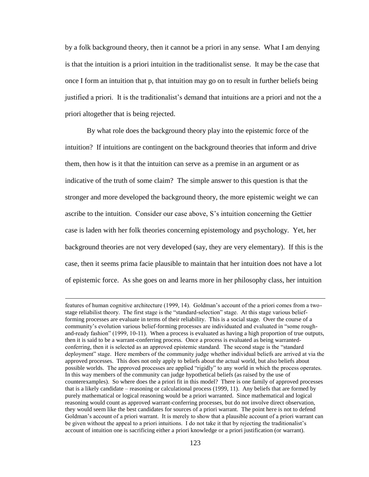by a folk background theory, then it cannot be a priori in any sense. What I am denying is that the intuition is a priori intuition in the traditionalist sense. It may be the case that once I form an intuition that p, that intuition may go on to result in further beliefs being justified a priori. It is the traditionalist"s demand that intuitions are a priori and not the a priori altogether that is being rejected.

By what role does the background theory play into the epistemic force of the intuition? If intuitions are contingent on the background theories that inform and drive them, then how is it that the intuition can serve as a premise in an argument or as indicative of the truth of some claim? The simple answer to this question is that the stronger and more developed the background theory, the more epistemic weight we can ascribe to the intuition. Consider our case above, S"s intuition concerning the Gettier case is laden with her folk theories concerning epistemology and psychology. Yet, her background theories are not very developed (say, they are very elementary). If this is the case, then it seems prima facie plausible to maintain that her intuition does not have a lot of epistemic force. As she goes on and learns more in her philosophy class, her intuition

features of human cognitive architecture (1999, 14). Goldman"s account of the a priori comes from a twostage reliabilist theory. The first stage is the "standard-selection" stage. At this stage various beliefforming processes are evaluate in terms of their reliability. This is a social stage. Over the course of a community's evolution various belief-forming processes are individuated and evaluated in "some roughand-ready fashion" (1999, 10-11). When a process is evaluated as having a high proportion of true outputs, then it is said to be a warrant-conferring process. Once a process is evaluated as being warrantedconferring, then it is selected as an approved epistemic standard. The second stage is the "standard deployment" stage. Here members of the community judge whether individual beliefs are arrived at via the approved processes. This does not only apply to beliefs about the actual world, but also beliefs about possible worlds. The approved processes are applied "rigidly" to any world in which the process operates. In this way members of the community can judge hypothetical beliefs (as raised by the use of counterexamples). So where does the a priori fit in this model? There is one family of approved processes that is a likely candidate – reasoning or calculational process (1999, 11). Any beliefs that are formed by purely mathematical or logical reasoning would be a priori warranted. Since mathematical and logical reasoning would count as approved warrant-conferring processes, but do not involve direct observation, they would seem like the best candidates for sources of a priori warrant. The point here is not to defend Goldman"s account of a priori warrant. It is merely to show that a plausible account of a priori warrant can be given without the appeal to a priori intuitions. I do not take it that by rejecting the traditionalist"s account of intuition one is sacrificing either a priori knowledge or a priori justification (or warrant).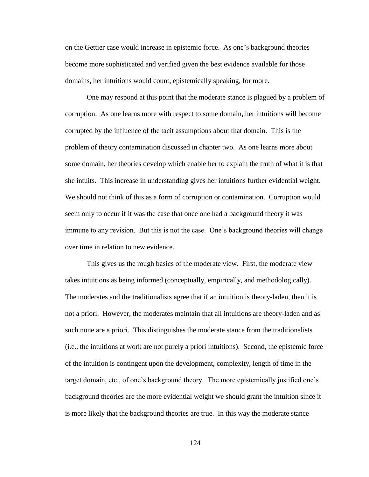on the Gettier case would increase in epistemic force. As one"s background theories become more sophisticated and verified given the best evidence available for those domains, her intuitions would count, epistemically speaking, for more.

One may respond at this point that the moderate stance is plagued by a problem of corruption. As one learns more with respect to some domain, her intuitions will become corrupted by the influence of the tacit assumptions about that domain. This is the problem of theory contamination discussed in chapter two. As one learns more about some domain, her theories develop which enable her to explain the truth of what it is that she intuits. This increase in understanding gives her intuitions further evidential weight. We should not think of this as a form of corruption or contamination. Corruption would seem only to occur if it was the case that once one had a background theory it was immune to any revision. But this is not the case. One"s background theories will change over time in relation to new evidence.

This gives us the rough basics of the moderate view. First, the moderate view takes intuitions as being informed (conceptually, empirically, and methodologically). The moderates and the traditionalists agree that if an intuition is theory-laden, then it is not a priori. However, the moderates maintain that all intuitions are theory-laden and as such none are a priori. This distinguishes the moderate stance from the traditionalists (i.e., the intuitions at work are not purely a priori intuitions). Second, the epistemic force of the intuition is contingent upon the development, complexity, length of time in the target domain, etc., of one"s background theory. The more epistemically justified one"s background theories are the more evidential weight we should grant the intuition since it is more likely that the background theories are true. In this way the moderate stance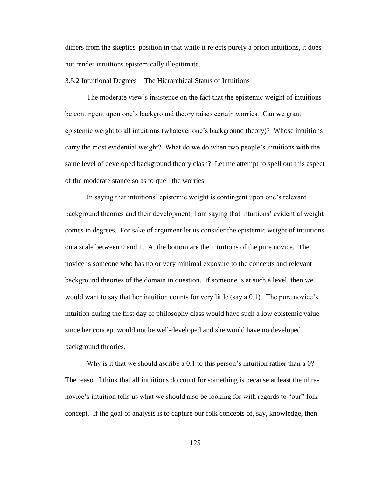differs from the skeptics' position in that while it rejects purely a priori intuitions, it does not render intuitions epistemically illegitimate.

3.5.2 Intuitional Degrees – The Hierarchical Status of Intuitions

The moderate view"s insistence on the fact that the epistemic weight of intuitions be contingent upon one"s background theory raises certain worries. Can we grant epistemic weight to all intuitions (whatever one"s background theory)? Whose intuitions carry the most evidential weight? What do we do when two people"s intuitions with the same level of developed background theory clash? Let me attempt to spell out this aspect of the moderate stance so as to quell the worries.

In saying that intuitions' epistemic weight is contingent upon one's relevant background theories and their development, I am saying that intuitions" evidential weight comes in degrees. For sake of argument let us consider the epistemic weight of intuitions on a scale between 0 and 1. At the bottom are the intuitions of the pure novice. The novice is someone who has no or very minimal exposure to the concepts and relevant background theories of the domain in question. If someone is at such a level, then we would want to say that her intuition counts for very little (say a 0.1). The pure novice's intuition during the first day of philosophy class would have such a low epistemic value since her concept would not be well-developed and she would have no developed background theories.

Why is it that we should ascribe a 0.1 to this person's intuition rather than a 0? The reason I think that all intuitions do count for something is because at least the ultranovice's intuition tells us what we should also be looking for with regards to "our" folk concept. If the goal of analysis is to capture our folk concepts of, say, knowledge, then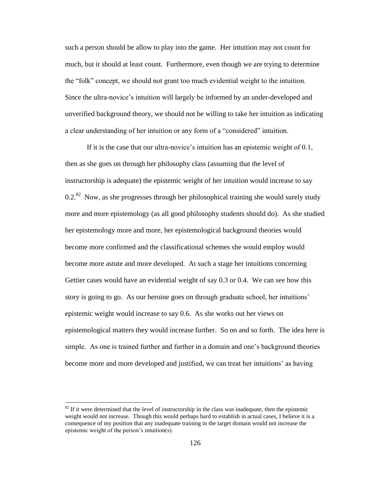such a person should be allow to play into the game. Her intuition may not count for much, but it should at least count. Furthermore, even though we are trying to determine the "folk" concept, we should not grant too much evidential weight to the intuition. Since the ultra-novice"s intuition will largely be informed by an under-developed and unverified background theory, we should not be willing to take her intuition as indicating a clear understanding of her intuition or any form of a "considered" intuition.

If it is the case that our ultra-novice"s intuition has an epistemic weight of 0.1, then as she goes on through her philosophy class (assuming that the level of instructorship is adequate) the epistemic weight of her intuition would increase to say  $0.2$ .<sup>82</sup> Now, as she progresses through her philosophical training she would surely study more and more epistemology (as all good philosophy students should do). As she studied her epistemology more and more, her epistemological background theories would become more confirmed and the classificational schemes she would employ would become more astute and more developed. At such a stage her intuitions concerning Gettier cases would have an evidential weight of say 0.3 or 0.4. We can see how this story is going to go. As our heroine goes on through graduate school, her intuitions" epistemic weight would increase to say 0.6. As she works out her views on epistemological matters they would increase further. So on and so forth. The idea here is simple. As one is trained further and further in a domain and one"s background theories become more and more developed and justified, we can treat her intuitions' as having

 $82$  If it were determined that the level of instructorship in the class was inadequate, then the epistemic weight would not increase. Though this would perhaps hard to establish in actual cases, I believe it is a consequence of my position that any inadequate training in the target domain would not increase the epistemic weight of the person's intuition(s).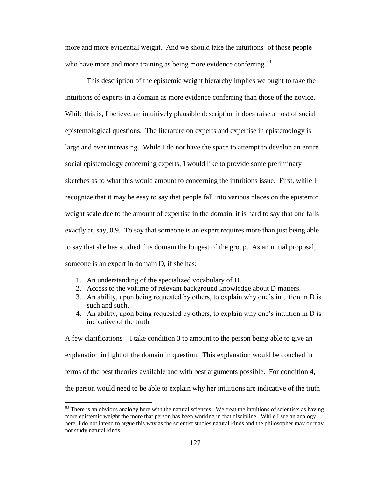more and more evidential weight. And we should take the intuitions" of those people who have more and more training as being more evidence conferring.<sup>83</sup>

This description of the epistemic weight hierarchy implies we ought to take the intuitions of experts in a domain as more evidence conferring than those of the novice. While this is, I believe, an intuitively plausible description it does raise a host of social epistemological questions. The literature on experts and expertise in epistemology is large and ever increasing. While I do not have the space to attempt to develop an entire social epistemology concerning experts, I would like to provide some preliminary sketches as to what this would amount to concerning the intuitions issue. First, while I recognize that it may be easy to say that people fall into various places on the epistemic weight scale due to the amount of expertise in the domain, it is hard to say that one falls exactly at, say, 0.9. To say that someone is an expert requires more than just being able to say that she has studied this domain the longest of the group. As an initial proposal, someone is an expert in domain D, if she has:

1. An understanding of the specialized vocabulary of D.

 $\overline{a}$ 

- 2. Access to the volume of relevant background knowledge about D matters.
- 3. An ability, upon being requested by others, to explain why one"s intuition in D is such and such.
- 4. An ability, upon being requested by others, to explain why one"s intuition in D is indicative of the truth.

A few clarifications – I take condition 3 to amount to the person being able to give an explanation in light of the domain in question. This explanation would be couched in terms of the best theories available and with best arguments possible. For condition 4, the person would need to be able to explain why her intuitions are indicative of the truth

<sup>&</sup>lt;sup>83</sup> There is an obvious analogy here with the natural sciences. We treat the intuitions of scientists as having more epistemic weight the more that person has been working in that discipline. While I see an analogy here, I do not intend to argue this way as the scientist studies natural kinds and the philosopher may or may not study natural kinds.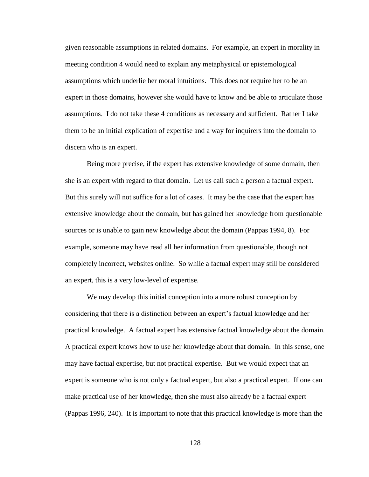given reasonable assumptions in related domains. For example, an expert in morality in meeting condition 4 would need to explain any metaphysical or epistemological assumptions which underlie her moral intuitions. This does not require her to be an expert in those domains, however she would have to know and be able to articulate those assumptions. I do not take these 4 conditions as necessary and sufficient. Rather I take them to be an initial explication of expertise and a way for inquirers into the domain to discern who is an expert.

Being more precise, if the expert has extensive knowledge of some domain, then she is an expert with regard to that domain. Let us call such a person a factual expert. But this surely will not suffice for a lot of cases. It may be the case that the expert has extensive knowledge about the domain, but has gained her knowledge from questionable sources or is unable to gain new knowledge about the domain (Pappas 1994, 8). For example, someone may have read all her information from questionable, though not completely incorrect, websites online. So while a factual expert may still be considered an expert, this is a very low-level of expertise.

We may develop this initial conception into a more robust conception by considering that there is a distinction between an expert"s factual knowledge and her practical knowledge. A factual expert has extensive factual knowledge about the domain. A practical expert knows how to use her knowledge about that domain. In this sense, one may have factual expertise, but not practical expertise. But we would expect that an expert is someone who is not only a factual expert, but also a practical expert. If one can make practical use of her knowledge, then she must also already be a factual expert (Pappas 1996, 240). It is important to note that this practical knowledge is more than the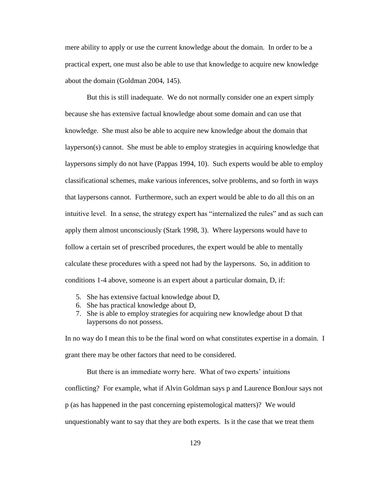mere ability to apply or use the current knowledge about the domain. In order to be a practical expert, one must also be able to use that knowledge to acquire new knowledge about the domain (Goldman 2004, 145).

But this is still inadequate. We do not normally consider one an expert simply because she has extensive factual knowledge about some domain and can use that knowledge. She must also be able to acquire new knowledge about the domain that layperson(s) cannot. She must be able to employ strategies in acquiring knowledge that laypersons simply do not have (Pappas 1994, 10). Such experts would be able to employ classificational schemes, make various inferences, solve problems, and so forth in ways that laypersons cannot. Furthermore, such an expert would be able to do all this on an intuitive level. In a sense, the strategy expert has "internalized the rules" and as such can apply them almost unconsciously (Stark 1998, 3). Where laypersons would have to follow a certain set of prescribed procedures, the expert would be able to mentally calculate these procedures with a speed not had by the laypersons. So, in addition to conditions 1-4 above, someone is an expert about a particular domain, D, if:

- 5. She has extensive factual knowledge about D,
- 6. She has practical knowledge about D,
- 7. She is able to employ strategies for acquiring new knowledge about D that laypersons do not possess.

In no way do I mean this to be the final word on what constitutes expertise in a domain. I grant there may be other factors that need to be considered.

But there is an immediate worry here. What of two experts' intuitions conflicting? For example, what if Alvin Goldman says p and Laurence BonJour says not p (as has happened in the past concerning epistemological matters)? We would unquestionably want to say that they are both experts. Is it the case that we treat them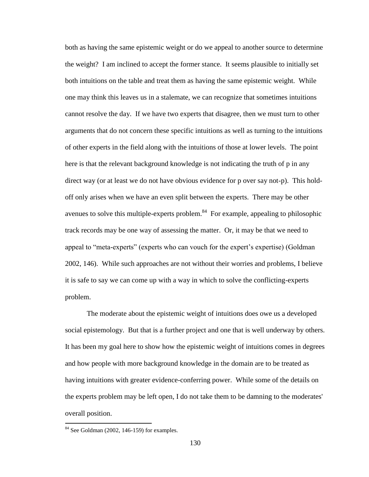both as having the same epistemic weight or do we appeal to another source to determine the weight? I am inclined to accept the former stance. It seems plausible to initially set both intuitions on the table and treat them as having the same epistemic weight. While one may think this leaves us in a stalemate, we can recognize that sometimes intuitions cannot resolve the day. If we have two experts that disagree, then we must turn to other arguments that do not concern these specific intuitions as well as turning to the intuitions of other experts in the field along with the intuitions of those at lower levels. The point here is that the relevant background knowledge is not indicating the truth of p in any direct way (or at least we do not have obvious evidence for p over say not-p). This holdoff only arises when we have an even split between the experts. There may be other avenues to solve this multiple-experts problem. $84$  For example, appealing to philosophic track records may be one way of assessing the matter. Or, it may be that we need to appeal to "meta-experts" (experts who can vouch for the expert's expertise) (Goldman 2002, 146). While such approaches are not without their worries and problems, I believe it is safe to say we can come up with a way in which to solve the conflicting-experts problem.

The moderate about the epistemic weight of intuitions does owe us a developed social epistemology. But that is a further project and one that is well underway by others. It has been my goal here to show how the epistemic weight of intuitions comes in degrees and how people with more background knowledge in the domain are to be treated as having intuitions with greater evidence-conferring power. While some of the details on the experts problem may be left open, I do not take them to be damning to the moderates' overall position.

 $84$  See Goldman (2002, 146-159) for examples.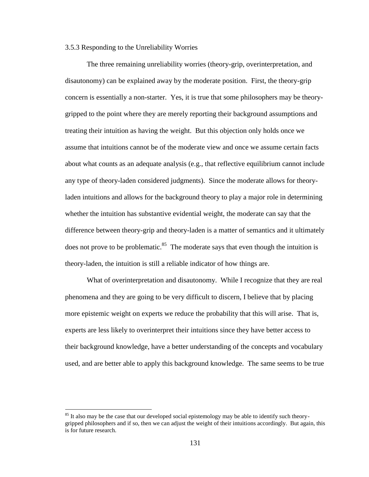## 3.5.3 Responding to the Unreliability Worries

The three remaining unreliability worries (theory-grip, overinterpretation, and disautonomy) can be explained away by the moderate position. First, the theory-grip concern is essentially a non-starter. Yes, it is true that some philosophers may be theorygripped to the point where they are merely reporting their background assumptions and treating their intuition as having the weight. But this objection only holds once we assume that intuitions cannot be of the moderate view and once we assume certain facts about what counts as an adequate analysis (e.g., that reflective equilibrium cannot include any type of theory-laden considered judgments). Since the moderate allows for theoryladen intuitions and allows for the background theory to play a major role in determining whether the intuition has substantive evidential weight, the moderate can say that the difference between theory-grip and theory-laden is a matter of semantics and it ultimately does not prove to be problematic.<sup>85</sup> The moderate says that even though the intuition is theory-laden, the intuition is still a reliable indicator of how things are.

What of overinterpretation and disautonomy. While I recognize that they are real phenomena and they are going to be very difficult to discern, I believe that by placing more epistemic weight on experts we reduce the probability that this will arise. That is, experts are less likely to overinterpret their intuitions since they have better access to their background knowledge, have a better understanding of the concepts and vocabulary used, and are better able to apply this background knowledge. The same seems to be true

 $85$  It also may be the case that our developed social epistemology may be able to identify such theorygripped philosophers and if so, then we can adjust the weight of their intuitions accordingly. But again, this is for future research.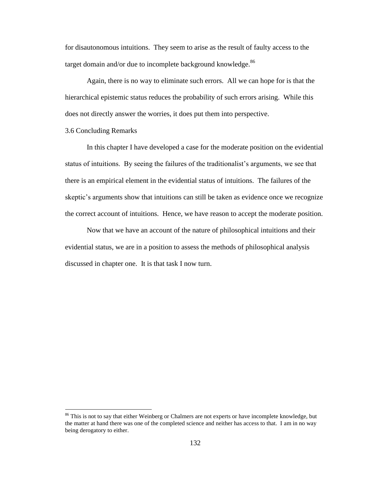for disautonomous intuitions. They seem to arise as the result of faulty access to the target domain and/or due to incomplete background knowledge.<sup>86</sup>

Again, there is no way to eliminate such errors. All we can hope for is that the hierarchical epistemic status reduces the probability of such errors arising. While this does not directly answer the worries, it does put them into perspective.

# 3.6 Concluding Remarks

 $\overline{a}$ 

In this chapter I have developed a case for the moderate position on the evidential status of intuitions. By seeing the failures of the traditionalist's arguments, we see that there is an empirical element in the evidential status of intuitions. The failures of the skeptic's arguments show that intuitions can still be taken as evidence once we recognize the correct account of intuitions. Hence, we have reason to accept the moderate position.

Now that we have an account of the nature of philosophical intuitions and their evidential status, we are in a position to assess the methods of philosophical analysis discussed in chapter one. It is that task I now turn.

<sup>&</sup>lt;sup>86</sup> This is not to say that either Weinberg or Chalmers are not experts or have incomplete knowledge, but the matter at hand there was one of the completed science and neither has access to that. I am in no way being derogatory to either.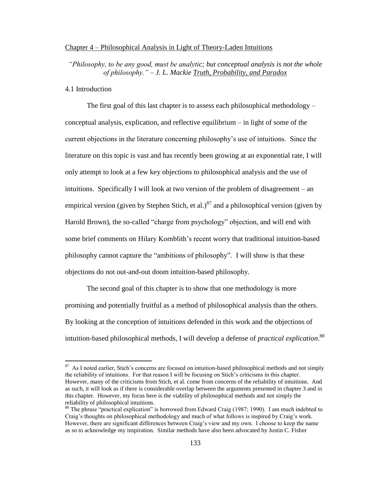#### Chapter 4 – Philosophical Analysis in Light of Theory-Laden Intuitions

*"Philosophy, to be any good, must be analytic; but conceptual analysis is not the whole of philosophy." – J. L. Mackie Truth, Probability, and Paradox*

## 4.1 Introduction

 $\overline{a}$ 

The first goal of this last chapter is to assess each philosophical methodology – conceptual analysis, explication, and reflective equilibrium – in light of some of the current objections in the literature concerning philosophy"s use of intuitions. Since the literature on this topic is vast and has recently been growing at an exponential rate, I will only attempt to look at a few key objections to philosophical analysis and the use of intuitions. Specifically I will look at two version of the problem of disagreement – an empirical version (given by Stephen Stich, et al.)<sup>87</sup> and a philosophical version (given by Harold Brown), the so-called "charge from psychology" objection, and will end with some brief comments on Hilary Kornblith's recent worry that traditional intuition-based philosophy cannot capture the "ambitions of philosophy". I will show is that these objections do not out-and-out doom intuition-based philosophy.

The second goal of this chapter is to show that one methodology is more promising and potentially fruitful as a method of philosophical analysis than the others. By looking at the conception of intuitions defended in this work and the objections of intuition-based philosophical methods, I will develop a defense of *practical explication*. 88

<sup>&</sup>lt;sup>87</sup> As I noted earlier, Stich's concerns are focused on intuition-based philosophical methods and not simply the reliability of intuitions. For that reason I will be focusing on Stich's criticisms in this chapter. However, many of the criticisms from Stich, et al. come from concerns of the reliability of intuitions. And as such, it will look as if there is considerable overlap between the arguments presented in chapter 3 and in this chapter. However, my focus here is the viability of philosophical methods and not simply the reliability of philosophical intuitions.

<sup>&</sup>lt;sup>88</sup> The phrase "practical explication" is borrowed from Edward Craig (1987; 1990). I am much indebted to Craig"s thoughts on philosophical methodology and much of what follows is inspired by Craig"s work. However, there are significant differences between Craig"s view and my own. I choose to keep the name as so to acknowledge my inspiration. Similar methods have also been advocated by Justin C. Fisher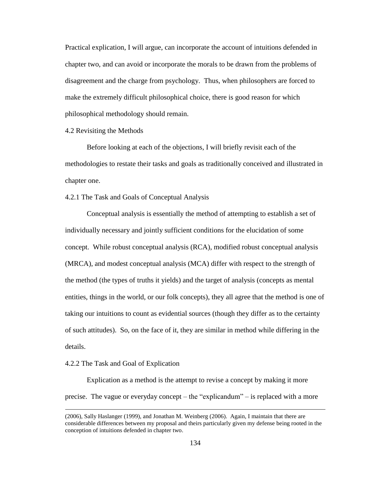Practical explication, I will argue, can incorporate the account of intuitions defended in chapter two, and can avoid or incorporate the morals to be drawn from the problems of disagreement and the charge from psychology. Thus, when philosophers are forced to make the extremely difficult philosophical choice, there is good reason for which philosophical methodology should remain.

4.2 Revisiting the Methods

Before looking at each of the objections, I will briefly revisit each of the methodologies to restate their tasks and goals as traditionally conceived and illustrated in chapter one.

4.2.1 The Task and Goals of Conceptual Analysis

Conceptual analysis is essentially the method of attempting to establish a set of individually necessary and jointly sufficient conditions for the elucidation of some concept. While robust conceptual analysis (RCA), modified robust conceptual analysis (MRCA), and modest conceptual analysis (MCA) differ with respect to the strength of the method (the types of truths it yields) and the target of analysis (concepts as mental entities, things in the world, or our folk concepts), they all agree that the method is one of taking our intuitions to count as evidential sources (though they differ as to the certainty of such attitudes). So, on the face of it, they are similar in method while differing in the details.

## 4.2.2 The Task and Goal of Explication

 $\overline{a}$ 

Explication as a method is the attempt to revise a concept by making it more precise. The vague or everyday concept – the "explicandum" – is replaced with a more

<sup>(2006),</sup> Sally Haslanger (1999), and Jonathan M. Weinberg (2006). Again, I maintain that there are considerable differences between my proposal and theirs particularly given my defense being rooted in the conception of intuitions defended in chapter two.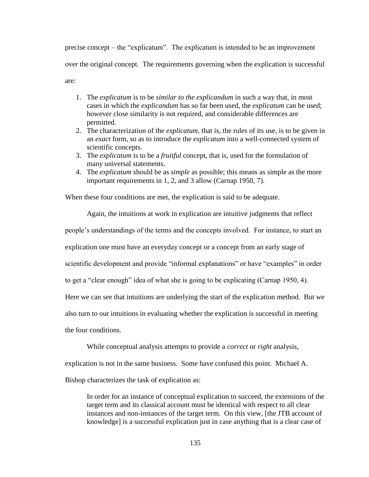precise concept – the "explicatum". The explicatum is intended to be an improvement over the original concept. The requirements governing when the explication is successful are:

- 1. The *explicatum* is to be *similar to the explicandum* in such a way that, in most cases in which the *explicandum* has so far been used, the *explicatum* can be used; however close similarity is not required, and considerable differences are permitted.
- 2. The characterization of the *explicatum*, that is, the rules of its use, is to be given in an *exact* form, so as to introduce the *explicatum* into a well-connected system of scientific concepts.
- 3. The *explicatum* is to be a *fruitful* concept, that is, used for the formulation of many universal statements.
- 4. The *explicatum* should be as *simple* as possible; this means as simple as the more important requirements in 1, 2, and 3 allow (Carnap 1950, 7).

When these four conditions are met, the explication is said to be adequate.

Again, the intuitions at work in explication are intuitive judgments that reflect

people"s understandings of the terms and the concepts involved. For instance, to start an

explication one must have an everyday concept or a concept from an early stage of

scientific development and provide "informal explanations" or have "examples" in order

to get a "clear enough" idea of what she is going to be explicating (Carnap 1950, 4).

Here we can see that intuitions are underlying the start of the explication method. But we

also turn to our intuitions in evaluating whether the explication is successful in meeting

the four conditions.

While conceptual analysis attempts to provide a *correct* or *right* analysis,

explication is not in the same business. Some have confused this point. Michael A.

Bishop characterizes the task of explication as:

In order for an instance of conceptual explication to succeed, the extensions of the target term and its classical account must be identical with respect to all clear instances and non-instances of the target term. On this view, [the JTB account of knowledge] is a successful explication just in case anything that is a clear case of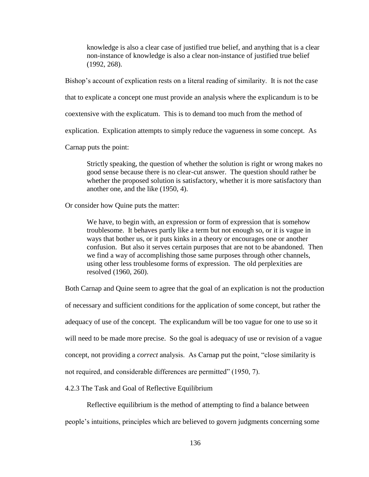knowledge is also a clear case of justified true belief, and anything that is a clear non-instance of knowledge is also a clear non-instance of justified true belief (1992, 268).

Bishop's account of explication rests on a literal reading of similarity. It is not the case

that to explicate a concept one must provide an analysis where the explicandum is to be

coextensive with the explicatum. This is to demand too much from the method of

explication. Explication attempts to simply reduce the vagueness in some concept. As

Carnap puts the point:

Strictly speaking, the question of whether the solution is right or wrong makes no good sense because there is no clear-cut answer. The question should rather be whether the proposed solution is satisfactory, whether it is more satisfactory than another one, and the like (1950, 4).

Or consider how Quine puts the matter:

We have, to begin with, an expression or form of expression that is somehow troublesome. It behaves partly like a term but not enough so, or it is vague in ways that bother us, or it puts kinks in a theory or encourages one or another confusion. But also it serves certain purposes that are not to be abandoned. Then we find a way of accomplishing those same purposes through other channels, using other less troublesome forms of expression. The old perplexities are resolved (1960, 260).

Both Carnap and Quine seem to agree that the goal of an explication is not the production

of necessary and sufficient conditions for the application of some concept, but rather the

adequacy of use of the concept. The explicandum will be too vague for one to use so it

will need to be made more precise. So the goal is adequacy of use or revision of a vague

concept, not providing a *correct* analysis. As Carnap put the point, "close similarity is

not required, and considerable differences are permitted" (1950, 7).

4.2.3 The Task and Goal of Reflective Equilibrium

Reflective equilibrium is the method of attempting to find a balance between

people"s intuitions, principles which are believed to govern judgments concerning some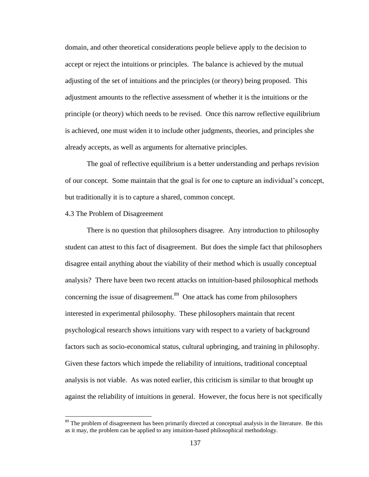domain, and other theoretical considerations people believe apply to the decision to accept or reject the intuitions or principles. The balance is achieved by the mutual adjusting of the set of intuitions and the principles (or theory) being proposed. This adjustment amounts to the reflective assessment of whether it is the intuitions or the principle (or theory) which needs to be revised. Once this narrow reflective equilibrium is achieved, one must widen it to include other judgments, theories, and principles she already accepts, as well as arguments for alternative principles.

The goal of reflective equilibrium is a better understanding and perhaps revision of our concept. Some maintain that the goal is for one to capture an individual"s concept, but traditionally it is to capture a shared, common concept.

#### 4.3 The Problem of Disagreement

 $\overline{a}$ 

There is no question that philosophers disagree. Any introduction to philosophy student can attest to this fact of disagreement. But does the simple fact that philosophers disagree entail anything about the viability of their method which is usually conceptual analysis? There have been two recent attacks on intuition-based philosophical methods concerning the issue of disagreement. $89$  One attack has come from philosophers interested in experimental philosophy. These philosophers maintain that recent psychological research shows intuitions vary with respect to a variety of background factors such as socio-economical status, cultural upbringing, and training in philosophy. Given these factors which impede the reliability of intuitions, traditional conceptual analysis is not viable. As was noted earlier, this criticism is similar to that brought up against the reliability of intuitions in general. However, the focus here is not specifically

<sup>&</sup>lt;sup>89</sup> The problem of disagreement has been primarily directed at conceptual analysis in the literature. Be this as it may, the problem can be applied to any intuition-based philosophical methodology.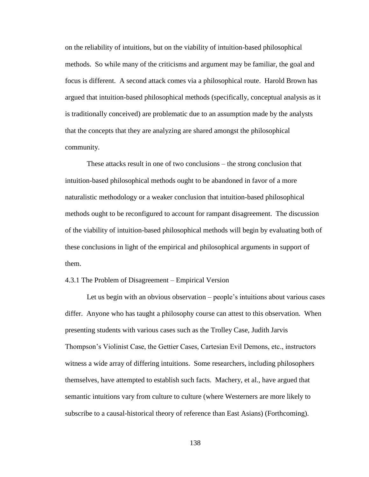on the reliability of intuitions, but on the viability of intuition-based philosophical methods. So while many of the criticisms and argument may be familiar, the goal and focus is different. A second attack comes via a philosophical route. Harold Brown has argued that intuition-based philosophical methods (specifically, conceptual analysis as it is traditionally conceived) are problematic due to an assumption made by the analysts that the concepts that they are analyzing are shared amongst the philosophical community.

These attacks result in one of two conclusions – the strong conclusion that intuition-based philosophical methods ought to be abandoned in favor of a more naturalistic methodology or a weaker conclusion that intuition-based philosophical methods ought to be reconfigured to account for rampant disagreement. The discussion of the viability of intuition-based philosophical methods will begin by evaluating both of these conclusions in light of the empirical and philosophical arguments in support of them.

## 4.3.1 The Problem of Disagreement – Empirical Version

Let us begin with an obvious observation – people's intuitions about various cases differ. Anyone who has taught a philosophy course can attest to this observation. When presenting students with various cases such as the Trolley Case, Judith Jarvis Thompson"s Violinist Case, the Gettier Cases, Cartesian Evil Demons, etc., instructors witness a wide array of differing intuitions. Some researchers, including philosophers themselves, have attempted to establish such facts. Machery, et al., have argued that semantic intuitions vary from culture to culture (where Westerners are more likely to subscribe to a causal-historical theory of reference than East Asians) (Forthcoming).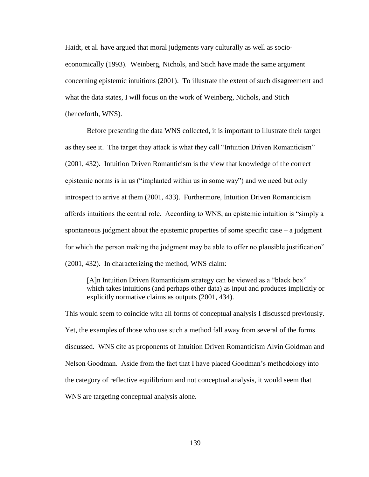Haidt, et al. have argued that moral judgments vary culturally as well as socioeconomically (1993). Weinberg, Nichols, and Stich have made the same argument concerning epistemic intuitions (2001). To illustrate the extent of such disagreement and what the data states, I will focus on the work of Weinberg, Nichols, and Stich (henceforth, WNS).

Before presenting the data WNS collected, it is important to illustrate their target as they see it. The target they attack is what they call "Intuition Driven Romanticism" (2001, 432). Intuition Driven Romanticism is the view that knowledge of the correct epistemic norms is in us ("implanted within us in some way") and we need but only introspect to arrive at them (2001, 433). Furthermore, Intuition Driven Romanticism affords intuitions the central role. According to WNS, an epistemic intuition is "simply a spontaneous judgment about the epistemic properties of some specific case – a judgment for which the person making the judgment may be able to offer no plausible justification" (2001, 432). In characterizing the method, WNS claim:

[A]n Intuition Driven Romanticism strategy can be viewed as a "black box" which takes intuitions (and perhaps other data) as input and produces implicitly or explicitly normative claims as outputs (2001, 434).

This would seem to coincide with all forms of conceptual analysis I discussed previously. Yet, the examples of those who use such a method fall away from several of the forms discussed. WNS cite as proponents of Intuition Driven Romanticism Alvin Goldman and Nelson Goodman. Aside from the fact that I have placed Goodman"s methodology into the category of reflective equilibrium and not conceptual analysis, it would seem that WNS are targeting conceptual analysis alone.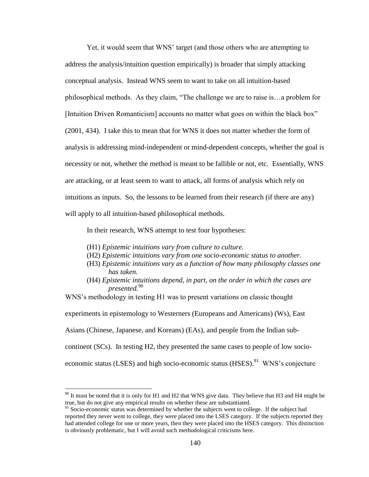Yet, it would seem that WNS" target (and those others who are attempting to address the analysis/intuition question empirically) is broader that simply attacking conceptual analysis. Instead WNS seem to want to take on all intuition-based philosophical methods. As they claim, "The challenge we are to raise is…a problem for [Intuition Driven Romanticism] accounts no matter what goes on within the black box" (2001, 434). I take this to mean that for WNS it does not matter whether the form of analysis is addressing mind-independent or mind-dependent concepts, whether the goal is necessity or not, whether the method is meant to be fallible or not, etc. Essentially, WNS are attacking, or at least seem to want to attack, all forms of analysis which rely on intuitions as inputs. So, the lessons to be learned from their research (if there are any) will apply to all intuition-based philosophical methods.

In their research, WNS attempt to test four hypotheses:

(H1) *Epistemic intuitions vary from culture to culture.*

 $\overline{a}$ 

- (H2) *Epistemic intuitions vary from one socio-economic status to another.*
- (H3) *Epistemic intuitions vary as a function of how many philosophy classes one has taken.*
- (H4) *Epistemic intuitions depend, in part, on the order in which the cases are presented.*<sup>90</sup>

WNS"s methodology in testing H1 was to present variations on classic thought

experiments in epistemology to Westerners (Europeans and Americans) (Ws), East

Asians (Chinese, Japanese, and Koreans) (EAs), and people from the Indian sub-

continent (SCs). In testing H2, they presented the same cases to people of low socio-

economic status (LSES) and high socio-economic status  $(HSES)$ . WNS's conjecture

 $90$  It must be noted that it is only for H1 and H2 that WNS give data. They believe that H3 and H4 might be true, but do not give any empirical results on whether these are substantiated.

 $91$  Socio-economic status was determined by whether the subjects went to college. If the subject had reported they never went to college, they were placed into the LSES category. If the subjects reported they had attended college for one or more years, then they were placed into the HSES category. This distinction is obviously problematic, but I will avoid such methodological criticisms here.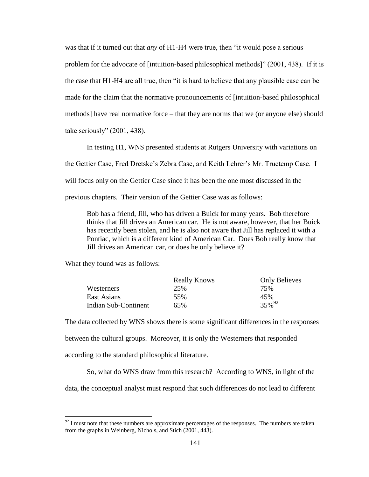was that if it turned out that *any* of H1-H4 were true, then "it would pose a serious problem for the advocate of [intuition-based philosophical methods]" (2001, 438). If it is the case that H1-H4 are all true, then "it is hard to believe that any plausible case can be made for the claim that the normative pronouncements of [intuition-based philosophical methods] have real normative force – that they are norms that we (or anyone else) should take seriously" (2001, 438).

In testing H1, WNS presented students at Rutgers University with variations on

the Gettier Case, Fred Dretske"s Zebra Case, and Keith Lehrer"s Mr. Truetemp Case. I

will focus only on the Gettier Case since it has been the one most discussed in the

previous chapters. Their version of the Gettier Case was as follows:

Bob has a friend, Jill, who has driven a Buick for many years. Bob therefore thinks that Jill drives an American car. He is not aware, however, that her Buick has recently been stolen, and he is also not aware that Jill has replaced it with a Pontiac, which is a different kind of American Car. Does Bob really know that Jill drives an American car, or does he only believe it?

What they found was as follows:

 $\overline{a}$ 

|                      | <b>Really Knows</b> | <b>Only Believes</b> |
|----------------------|---------------------|----------------------|
| Westerners           | 25%                 | 75%                  |
| East Asians          | 55%                 | 45%                  |
| Indian Sub-Continent | 65%                 | $35\%^{92}$          |

The data collected by WNS shows there is some significant differences in the responses between the cultural groups. Moreover, it is only the Westerners that responded according to the standard philosophical literature.

So, what do WNS draw from this research? According to WNS, in light of the

data, the conceptual analyst must respond that such differences do not lead to different

 $92$  I must note that these numbers are approximate percentages of the responses. The numbers are taken from the graphs in Weinberg, Nichols, and Stich (2001, 443).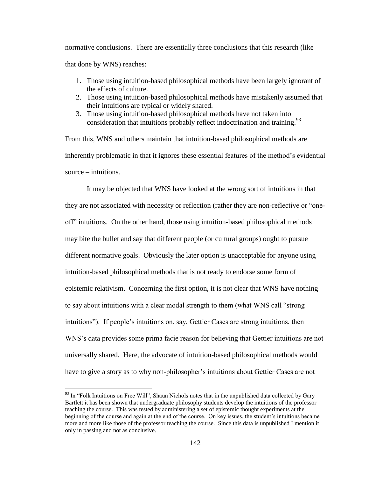normative conclusions. There are essentially three conclusions that this research (like that done by WNS) reaches:

- 1. Those using intuition-based philosophical methods have been largely ignorant of the effects of culture.
- 2. Those using intuition-based philosophical methods have mistakenly assumed that their intuitions are typical or widely shared.
- 3. Those using intuition-based philosophical methods have not taken into consideration that intuitions probably reflect indoctrination and training.<sup>93</sup>

From this, WNS and others maintain that intuition-based philosophical methods are inherently problematic in that it ignores these essential features of the method"s evidential source – intuitions.

It may be objected that WNS have looked at the wrong sort of intuitions in that they are not associated with necessity or reflection (rather they are non-reflective or "oneoff" intuitions. On the other hand, those using intuition-based philosophical methods may bite the bullet and say that different people (or cultural groups) ought to pursue different normative goals. Obviously the later option is unacceptable for anyone using intuition-based philosophical methods that is not ready to endorse some form of epistemic relativism. Concerning the first option, it is not clear that WNS have nothing to say about intuitions with a clear modal strength to them (what WNS call "strong intuitions"). If people"s intuitions on, say, Gettier Cases are strong intuitions, then WNS"s data provides some prima facie reason for believing that Gettier intuitions are not universally shared. Here, the advocate of intuition-based philosophical methods would have to give a story as to why non-philosopher's intuitions about Gettier Cases are not

<sup>&</sup>lt;sup>93</sup> In "Folk Intuitions on Free Will", Shaun Nichols notes that in the unpublished data collected by Gary Bartlett it has been shown that undergraduate philosophy students develop the intuitions of the professor teaching the course. This was tested by administering a set of epistemic thought experiments at the beginning of the course and again at the end of the course. On key issues, the student"s intuitions became more and more like those of the professor teaching the course. Since this data is unpublished I mention it only in passing and not as conclusive.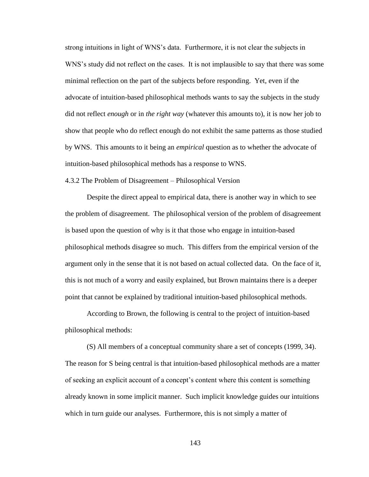strong intuitions in light of WNS"s data. Furthermore, it is not clear the subjects in WNS's study did not reflect on the cases. It is not implausible to say that there was some minimal reflection on the part of the subjects before responding. Yet, even if the advocate of intuition-based philosophical methods wants to say the subjects in the study did not reflect *enough* or in *the right way* (whatever this amounts to), it is now her job to show that people who do reflect enough do not exhibit the same patterns as those studied by WNS. This amounts to it being an *empirical* question as to whether the advocate of intuition-based philosophical methods has a response to WNS.

## 4.3.2 The Problem of Disagreement – Philosophical Version

Despite the direct appeal to empirical data, there is another way in which to see the problem of disagreement. The philosophical version of the problem of disagreement is based upon the question of why is it that those who engage in intuition-based philosophical methods disagree so much. This differs from the empirical version of the argument only in the sense that it is not based on actual collected data. On the face of it, this is not much of a worry and easily explained, but Brown maintains there is a deeper point that cannot be explained by traditional intuition-based philosophical methods.

According to Brown, the following is central to the project of intuition-based philosophical methods:

(S) All members of a conceptual community share a set of concepts (1999, 34). The reason for S being central is that intuition-based philosophical methods are a matter of seeking an explicit account of a concept"s content where this content is something already known in some implicit manner. Such implicit knowledge guides our intuitions which in turn guide our analyses. Furthermore, this is not simply a matter of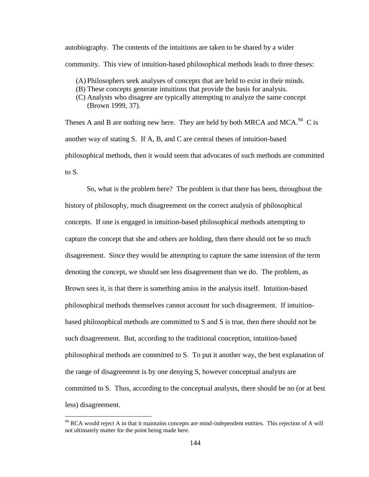autobiography. The contents of the intuitions are taken to be shared by a wider community. This view of intuition-based philosophical methods leads to three theses:

- (A) Philosophers seek analyses of concepts that are held to exist in their minds.
- (B) These concepts generate intuitions that provide the basis for analysis.

Theses A and B are nothing new here. They are held by both MRCA and MCA.<sup>94</sup> C is another way of stating S. If A, B, and C are central theses of intuition-based philosophical methods, then it would seem that advocates of such methods are committed to S.

So, what is the problem here? The problem is that there has been, throughout the history of philosophy, much disagreement on the correct analysis of philosophical concepts. If one is engaged in intuition-based philosophical methods attempting to capture the concept that she and others are holding, then there should not be so much disagreement. Since they would be attempting to capture the same intension of the term denoting the concept, we should see less disagreement than we do. The problem, as Brown sees it, is that there is something amiss in the analysis itself. Intuition-based philosophical methods themselves cannot account for such disagreement. If intuitionbased philosophical methods are committed to S and S is true, then there should not be such disagreement. But, according to the traditional conception, intuition-based philosophical methods are committed to S. To put it another way, the best explanation of the range of disagreement is by one denying S, however conceptual analysts are committed to S. Thus, according to the conceptual analysts, there should be no (or at best less) disagreement.

<sup>(</sup>C) Analysts who disagree are typically attempting to analyze the same concept (Brown 1999, 37).

<sup>&</sup>lt;sup>94</sup> RCA would reject A in that it maintains concepts are mind-independent entities. This rejection of A will not ultimately matter for the point being made here.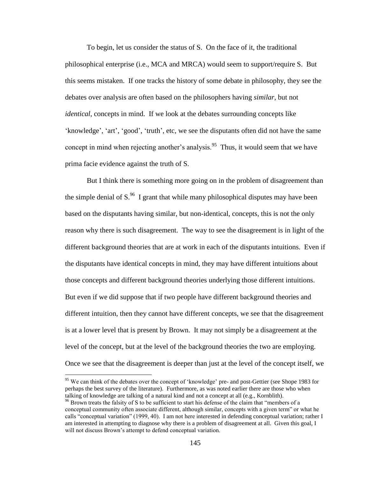To begin, let us consider the status of S. On the face of it, the traditional philosophical enterprise (i.e., MCA and MRCA) would seem to support/require S. But this seems mistaken. If one tracks the history of some debate in philosophy, they see the debates over analysis are often based on the philosophers having *similar*, but not *identical*, concepts in mind. If we look at the debates surrounding concepts like 'knowledge', 'art', 'good', 'truth', etc, we see the disputants often did not have the same concept in mind when rejecting another's analysis.<sup>95</sup> Thus, it would seem that we have prima facie evidence against the truth of S.

But I think there is something more going on in the problem of disagreement than the simple denial of  $S^{96}$ . I grant that while many philosophical disputes may have been based on the disputants having similar, but non-identical, concepts, this is not the only reason why there is such disagreement. The way to see the disagreement is in light of the different background theories that are at work in each of the disputants intuitions. Even if the disputants have identical concepts in mind, they may have different intuitions about those concepts and different background theories underlying those different intuitions. But even if we did suppose that if two people have different background theories and different intuition, then they cannot have different concepts, we see that the disagreement is at a lower level that is present by Brown. It may not simply be a disagreement at the level of the concept, but at the level of the background theories the two are employing. Once we see that the disagreement is deeper than just at the level of the concept itself, we

<sup>&</sup>lt;sup>95</sup> We can think of the debates over the concept of 'knowledge' pre- and post-Gettier (see Shope 1983 for perhaps the best survey of the literature). Furthermore, as was noted earlier there are those who when talking of knowledge are talking of a natural kind and not a concept at all (e.g., Kornblith).

<sup>&</sup>lt;sup>96</sup> Brown treats the falsity of S to be sufficient to start his defense of the claim that "members of a conceptual community often associate different, although similar, concepts with a given term" or what he calls "conceptual variation" (1999, 40). I am not here interested in defending conceptual variation; rather I am interested in attempting to diagnose why there is a problem of disagreement at all. Given this goal, I will not discuss Brown's attempt to defend conceptual variation.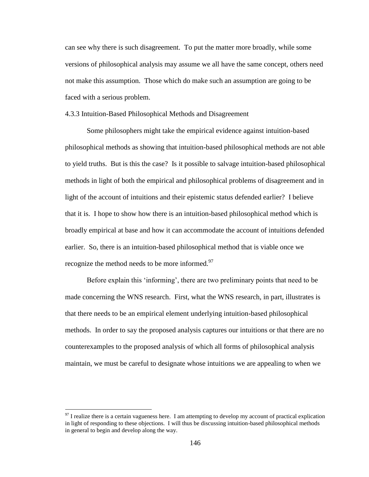can see why there is such disagreement. To put the matter more broadly, while some versions of philosophical analysis may assume we all have the same concept, others need not make this assumption. Those which do make such an assumption are going to be faced with a serious problem.

## 4.3.3 Intuition-Based Philosophical Methods and Disagreement

Some philosophers might take the empirical evidence against intuition-based philosophical methods as showing that intuition-based philosophical methods are not able to yield truths. But is this the case? Is it possible to salvage intuition-based philosophical methods in light of both the empirical and philosophical problems of disagreement and in light of the account of intuitions and their epistemic status defended earlier? I believe that it is. I hope to show how there is an intuition-based philosophical method which is broadly empirical at base and how it can accommodate the account of intuitions defended earlier. So, there is an intuition-based philosophical method that is viable once we recognize the method needs to be more informed.<sup>97</sup>

Before explain this 'informing', there are two preliminary points that need to be made concerning the WNS research. First, what the WNS research, in part, illustrates is that there needs to be an empirical element underlying intuition-based philosophical methods. In order to say the proposed analysis captures our intuitions or that there are no counterexamples to the proposed analysis of which all forms of philosophical analysis maintain, we must be careful to designate whose intuitions we are appealing to when we

 $\frac{97}{97}$  I realize there is a certain vagueness here. I am attempting to develop my account of practical explication in light of responding to these objections. I will thus be discussing intuition-based philosophical methods in general to begin and develop along the way.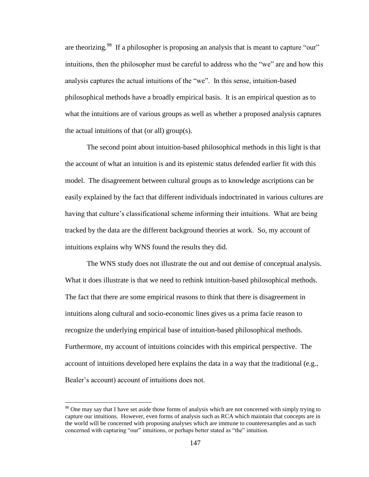are theorizing.<sup>98</sup> If a philosopher is proposing an analysis that is meant to capture "our" intuitions, then the philosopher must be careful to address who the "we" are and how this analysis captures the actual intuitions of the "we". In this sense, intuition-based philosophical methods have a broadly empirical basis. It is an empirical question as to what the intuitions are of various groups as well as whether a proposed analysis captures the actual intuitions of that (or all) group(s).

The second point about intuition-based philosophical methods in this light is that the account of what an intuition is and its epistemic status defended earlier fit with this model. The disagreement between cultural groups as to knowledge ascriptions can be easily explained by the fact that different individuals indoctrinated in various cultures are having that culture's classificational scheme informing their intuitions. What are being tracked by the data are the different background theories at work. So, my account of intuitions explains why WNS found the results they did.

The WNS study does not illustrate the out and out demise of conceptual analysis. What it does illustrate is that we need to rethink intuition-based philosophical methods. The fact that there are some empirical reasons to think that there is disagreement in intuitions along cultural and socio-economic lines gives us a prima facie reason to recognize the underlying empirical base of intuition-based philosophical methods. Furthermore, my account of intuitions coincides with this empirical perspective. The account of intuitions developed here explains the data in a way that the traditional (e.g., Bealer's account) account of intuitions does not.

<sup>&</sup>lt;sup>98</sup> One may say that I have set aside those forms of analysis which are not concerned with simply trying to capture our intuitions. However, even forms of analysis such as RCA which maintain that concepts are in the world will be concerned with proposing analyses which are immune to counterexamples and as such concerned with capturing "our" intuitions, or perhaps better stated as "the" intuition.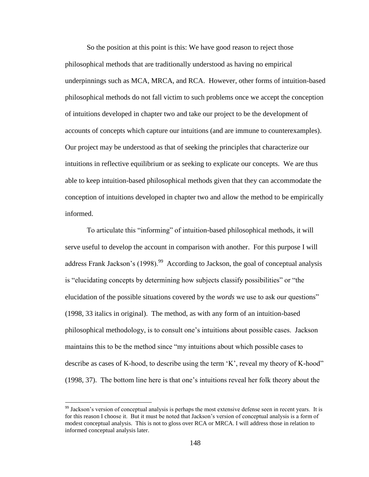So the position at this point is this: We have good reason to reject those philosophical methods that are traditionally understood as having no empirical underpinnings such as MCA, MRCA, and RCA. However, other forms of intuition-based philosophical methods do not fall victim to such problems once we accept the conception of intuitions developed in chapter two and take our project to be the development of accounts of concepts which capture our intuitions (and are immune to counterexamples). Our project may be understood as that of seeking the principles that characterize our intuitions in reflective equilibrium or as seeking to explicate our concepts. We are thus able to keep intuition-based philosophical methods given that they can accommodate the conception of intuitions developed in chapter two and allow the method to be empirically informed.

To articulate this "informing" of intuition-based philosophical methods, it will serve useful to develop the account in comparison with another. For this purpose I will address Frank Jackson's  $(1998)$ .<sup>99</sup> According to Jackson, the goal of conceptual analysis is "elucidating concepts by determining how subjects classify possibilities" or "the elucidation of the possible situations covered by the *words* we use to ask our questions" (1998, 33 italics in original). The method, as with any form of an intuition-based philosophical methodology, is to consult one"s intuitions about possible cases. Jackson maintains this to be the method since "my intuitions about which possible cases to describe as cases of K-hood, to describe using the term 'K', reveal my theory of K-hood" (1998, 37). The bottom line here is that one"s intuitions reveal her folk theory about the

<sup>&</sup>lt;sup>99</sup> Jackson's version of conceptual analysis is perhaps the most extensive defense seen in recent years. It is for this reason I choose it. But it must be noted that Jackson"s version of conceptual analysis is a form of modest conceptual analysis. This is not to gloss over RCA or MRCA. I will address those in relation to informed conceptual analysis later.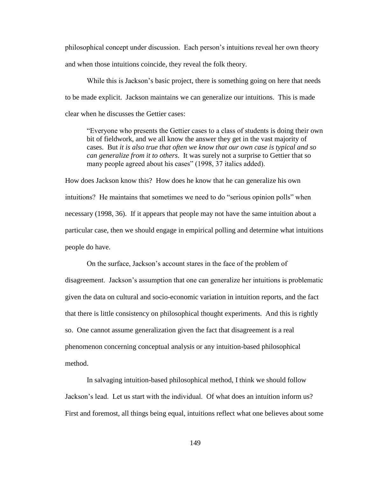philosophical concept under discussion. Each person"s intuitions reveal her own theory and when those intuitions coincide, they reveal the folk theory.

While this is Jackson's basic project, there is something going on here that needs to be made explicit. Jackson maintains we can generalize our intuitions. This is made clear when he discusses the Gettier cases:

"Everyone who presents the Gettier cases to a class of students is doing their own bit of fieldwork, and we all know the answer they get in the vast majority of cases. But *it is also true that often we know that our own case is typical and so can generalize from it to others*. It was surely not a surprise to Gettier that so many people agreed about his cases" (1998, 37 italics added).

How does Jackson know this? How does he know that he can generalize his own intuitions? He maintains that sometimes we need to do "serious opinion polls" when necessary (1998, 36). If it appears that people may not have the same intuition about a particular case, then we should engage in empirical polling and determine what intuitions people do have.

On the surface, Jackson"s account stares in the face of the problem of disagreement. Jackson"s assumption that one can generalize her intuitions is problematic given the data on cultural and socio-economic variation in intuition reports, and the fact that there is little consistency on philosophical thought experiments. And this is rightly so. One cannot assume generalization given the fact that disagreement is a real phenomenon concerning conceptual analysis or any intuition-based philosophical method.

In salvaging intuition-based philosophical method, I think we should follow Jackson"s lead. Let us start with the individual. Of what does an intuition inform us? First and foremost, all things being equal, intuitions reflect what one believes about some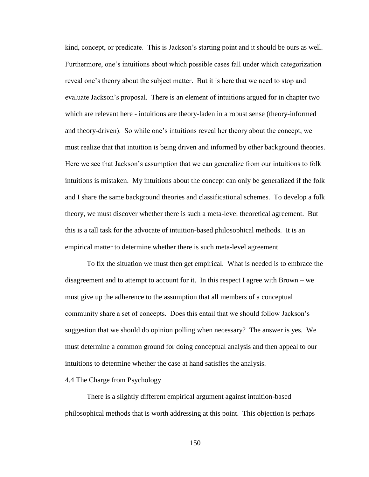kind, concept, or predicate. This is Jackson"s starting point and it should be ours as well. Furthermore, one"s intuitions about which possible cases fall under which categorization reveal one"s theory about the subject matter. But it is here that we need to stop and evaluate Jackson"s proposal. There is an element of intuitions argued for in chapter two which are relevant here - intuitions are theory-laden in a robust sense (theory-informed and theory-driven). So while one"s intuitions reveal her theory about the concept, we must realize that that intuition is being driven and informed by other background theories. Here we see that Jackson"s assumption that we can generalize from our intuitions to folk intuitions is mistaken. My intuitions about the concept can only be generalized if the folk and I share the same background theories and classificational schemes. To develop a folk theory, we must discover whether there is such a meta-level theoretical agreement. But this is a tall task for the advocate of intuition-based philosophical methods. It is an empirical matter to determine whether there is such meta-level agreement.

To fix the situation we must then get empirical. What is needed is to embrace the disagreement and to attempt to account for it. In this respect I agree with Brown – we must give up the adherence to the assumption that all members of a conceptual community share a set of concepts. Does this entail that we should follow Jackson"s suggestion that we should do opinion polling when necessary? The answer is yes. We must determine a common ground for doing conceptual analysis and then appeal to our intuitions to determine whether the case at hand satisfies the analysis.

### 4.4 The Charge from Psychology

There is a slightly different empirical argument against intuition-based philosophical methods that is worth addressing at this point. This objection is perhaps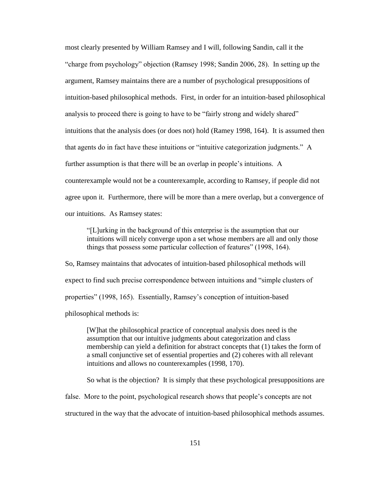most clearly presented by William Ramsey and I will, following Sandin, call it the "charge from psychology" objection (Ramsey 1998; Sandin 2006, 28). In setting up the argument, Ramsey maintains there are a number of psychological presuppositions of intuition-based philosophical methods. First, in order for an intuition-based philosophical analysis to proceed there is going to have to be "fairly strong and widely shared" intuitions that the analysis does (or does not) hold (Ramey 1998, 164). It is assumed then that agents do in fact have these intuitions or "intuitive categorization judgments." A further assumption is that there will be an overlap in people's intuitions. A counterexample would not be a counterexample, according to Ramsey, if people did not agree upon it. Furthermore, there will be more than a mere overlap, but a convergence of our intuitions. As Ramsey states:

"[L]urking in the background of this enterprise is the assumption that our intuitions will nicely converge upon a set whose members are all and only those things that possess some particular collection of features" (1998, 164).

So, Ramsey maintains that advocates of intuition-based philosophical methods will expect to find such precise correspondence between intuitions and "simple clusters of properties" (1998, 165). Essentially, Ramsey"s conception of intuition-based philosophical methods is:

[W]hat the philosophical practice of conceptual analysis does need is the assumption that our intuitive judgments about categorization and class membership can yield a definition for abstract concepts that (1) takes the form of a small conjunctive set of essential properties and (2) coheres with all relevant intuitions and allows no counterexamples (1998, 170).

So what is the objection? It is simply that these psychological presuppositions are

false. More to the point, psychological research shows that people"s concepts are not

structured in the way that the advocate of intuition-based philosophical methods assumes.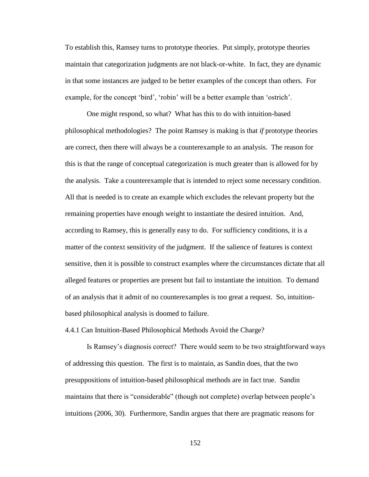To establish this, Ramsey turns to prototype theories. Put simply, prototype theories maintain that categorization judgments are not black-or-white. In fact, they are dynamic in that some instances are judged to be better examples of the concept than others. For example, for the concept 'bird', 'robin' will be a better example than 'ostrich'.

One might respond, so what? What has this to do with intuition-based philosophical methodologies? The point Ramsey is making is that *if* prototype theories are correct, then there will always be a counterexample to an analysis. The reason for this is that the range of conceptual categorization is much greater than is allowed for by the analysis. Take a counterexample that is intended to reject some necessary condition. All that is needed is to create an example which excludes the relevant property but the remaining properties have enough weight to instantiate the desired intuition. And, according to Ramsey, this is generally easy to do. For sufficiency conditions, it is a matter of the context sensitivity of the judgment. If the salience of features is context sensitive, then it is possible to construct examples where the circumstances dictate that all alleged features or properties are present but fail to instantiate the intuition. To demand of an analysis that it admit of no counterexamples is too great a request. So, intuitionbased philosophical analysis is doomed to failure.

4.4.1 Can Intuition-Based Philosophical Methods Avoid the Charge?

Is Ramsey"s diagnosis correct? There would seem to be two straightforward ways of addressing this question. The first is to maintain, as Sandin does, that the two presuppositions of intuition-based philosophical methods are in fact true. Sandin maintains that there is "considerable" (though not complete) overlap between people"s intuitions (2006, 30). Furthermore, Sandin argues that there are pragmatic reasons for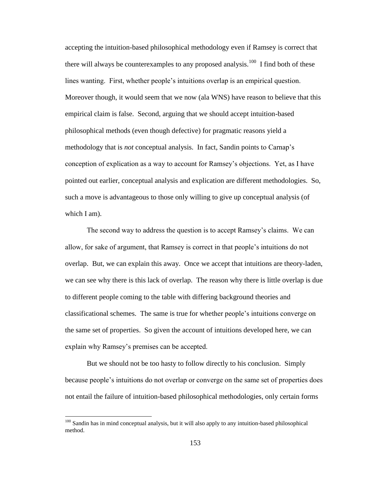accepting the intuition-based philosophical methodology even if Ramsey is correct that there will always be counterexamples to any proposed analysis.<sup>100</sup> I find both of these lines wanting. First, whether people"s intuitions overlap is an empirical question. Moreover though, it would seem that we now (ala WNS) have reason to believe that this empirical claim is false. Second, arguing that we should accept intuition-based philosophical methods (even though defective) for pragmatic reasons yield a methodology that is *not* conceptual analysis. In fact, Sandin points to Carnap"s conception of explication as a way to account for Ramsey"s objections. Yet, as I have pointed out earlier, conceptual analysis and explication are different methodologies. So, such a move is advantageous to those only willing to give up conceptual analysis (of which I am).

The second way to address the question is to accept Ramsey"s claims. We can allow, for sake of argument, that Ramsey is correct in that people"s intuitions do not overlap. But, we can explain this away. Once we accept that intuitions are theory-laden, we can see why there is this lack of overlap. The reason why there is little overlap is due to different people coming to the table with differing background theories and classificational schemes. The same is true for whether people"s intuitions converge on the same set of properties. So given the account of intuitions developed here, we can explain why Ramsey's premises can be accepted.

But we should not be too hasty to follow directly to his conclusion. Simply because people"s intuitions do not overlap or converge on the same set of properties does not entail the failure of intuition-based philosophical methodologies, only certain forms

 $100$  Sandin has in mind conceptual analysis, but it will also apply to any intuition-based philosophical method.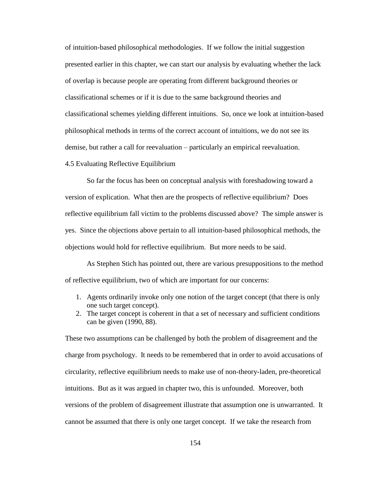of intuition-based philosophical methodologies. If we follow the initial suggestion presented earlier in this chapter, we can start our analysis by evaluating whether the lack of overlap is because people are operating from different background theories or classificational schemes or if it is due to the same background theories and classificational schemes yielding different intuitions. So, once we look at intuition-based philosophical methods in terms of the correct account of intuitions, we do not see its demise, but rather a call for reevaluation – particularly an empirical reevaluation.

# 4.5 Evaluating Reflective Equilibrium

So far the focus has been on conceptual analysis with foreshadowing toward a version of explication. What then are the prospects of reflective equilibrium? Does reflective equilibrium fall victim to the problems discussed above? The simple answer is yes. Since the objections above pertain to all intuition-based philosophical methods, the objections would hold for reflective equilibrium. But more needs to be said.

As Stephen Stich has pointed out, there are various presuppositions to the method of reflective equilibrium, two of which are important for our concerns:

- 1. Agents ordinarily invoke only one notion of the target concept (that there is only one such target concept).
- 2. The target concept is coherent in that a set of necessary and sufficient conditions can be given (1990, 88).

These two assumptions can be challenged by both the problem of disagreement and the charge from psychology. It needs to be remembered that in order to avoid accusations of circularity, reflective equilibrium needs to make use of non-theory-laden, pre-theoretical intuitions. But as it was argued in chapter two, this is unfounded. Moreover, both versions of the problem of disagreement illustrate that assumption one is unwarranted. It cannot be assumed that there is only one target concept. If we take the research from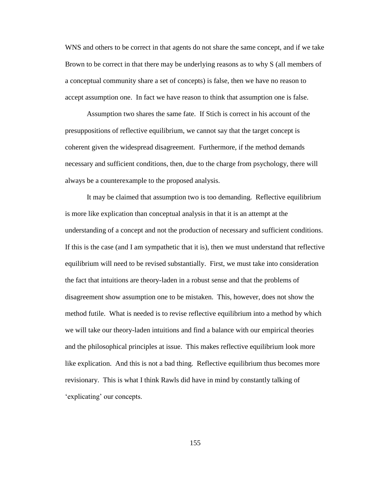WNS and others to be correct in that agents do not share the same concept, and if we take Brown to be correct in that there may be underlying reasons as to why S (all members of a conceptual community share a set of concepts) is false, then we have no reason to accept assumption one. In fact we have reason to think that assumption one is false.

Assumption two shares the same fate. If Stich is correct in his account of the presuppositions of reflective equilibrium, we cannot say that the target concept is coherent given the widespread disagreement. Furthermore, if the method demands necessary and sufficient conditions, then, due to the charge from psychology, there will always be a counterexample to the proposed analysis.

It may be claimed that assumption two is too demanding. Reflective equilibrium is more like explication than conceptual analysis in that it is an attempt at the understanding of a concept and not the production of necessary and sufficient conditions. If this is the case (and I am sympathetic that it is), then we must understand that reflective equilibrium will need to be revised substantially. First, we must take into consideration the fact that intuitions are theory-laden in a robust sense and that the problems of disagreement show assumption one to be mistaken. This, however, does not show the method futile. What is needed is to revise reflective equilibrium into a method by which we will take our theory-laden intuitions and find a balance with our empirical theories and the philosophical principles at issue. This makes reflective equilibrium look more like explication. And this is not a bad thing. Reflective equilibrium thus becomes more revisionary. This is what I think Rawls did have in mind by constantly talking of 'explicating' our concepts.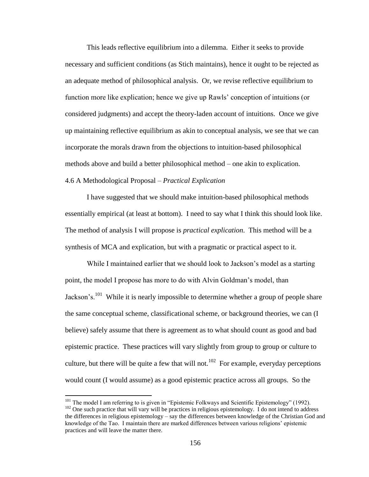This leads reflective equilibrium into a dilemma. Either it seeks to provide necessary and sufficient conditions (as Stich maintains), hence it ought to be rejected as an adequate method of philosophical analysis. Or, we revise reflective equilibrium to function more like explication; hence we give up Rawls" conception of intuitions (or considered judgments) and accept the theory-laden account of intuitions. Once we give up maintaining reflective equilibrium as akin to conceptual analysis, we see that we can incorporate the morals drawn from the objections to intuition-based philosophical methods above and build a better philosophical method – one akin to explication. 4.6 A Methodological Proposal – *Practical Explication*

I have suggested that we should make intuition-based philosophical methods essentially empirical (at least at bottom). I need to say what I think this should look like. The method of analysis I will propose is *practical explication*. This method will be a synthesis of MCA and explication, but with a pragmatic or practical aspect to it.

While I maintained earlier that we should look to Jackson"s model as a starting point, the model I propose has more to do with Alvin Goldman"s model, than Jackson's.<sup>101</sup> While it is nearly impossible to determine whether a group of people share the same conceptual scheme, classificational scheme, or background theories, we can (I believe) safely assume that there is agreement as to what should count as good and bad epistemic practice. These practices will vary slightly from group to group or culture to culture, but there will be quite a few that will not.<sup>102</sup> For example, everyday perceptions would count (I would assume) as a good epistemic practice across all groups. So the

<sup>&</sup>lt;sup>101</sup> The model I am referring to is given in "Epistemic Folkways and Scientific Epistemology" (1992).

 $102$  One such practice that will vary will be practices in religious epistemology. I do not intend to address the differences in religious epistemology – say the differences between knowledge of the Christian God and knowledge of the Tao. I maintain there are marked differences between various religions" epistemic practices and will leave the matter there.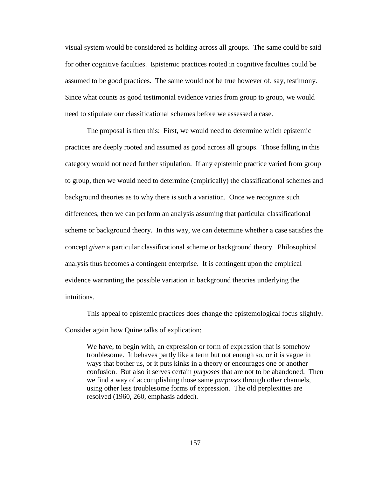visual system would be considered as holding across all groups. The same could be said for other cognitive faculties. Epistemic practices rooted in cognitive faculties could be assumed to be good practices. The same would not be true however of, say, testimony. Since what counts as good testimonial evidence varies from group to group, we would need to stipulate our classificational schemes before we assessed a case.

The proposal is then this: First, we would need to determine which epistemic practices are deeply rooted and assumed as good across all groups. Those falling in this category would not need further stipulation. If any epistemic practice varied from group to group, then we would need to determine (empirically) the classificational schemes and background theories as to why there is such a variation. Once we recognize such differences, then we can perform an analysis assuming that particular classificational scheme or background theory. In this way, we can determine whether a case satisfies the concept *given* a particular classificational scheme or background theory. Philosophical analysis thus becomes a contingent enterprise. It is contingent upon the empirical evidence warranting the possible variation in background theories underlying the intuitions.

This appeal to epistemic practices does change the epistemological focus slightly. Consider again how Quine talks of explication:

We have, to begin with, an expression or form of expression that is somehow troublesome. It behaves partly like a term but not enough so, or it is vague in ways that bother us, or it puts kinks in a theory or encourages one or another confusion. But also it serves certain *purposes* that are not to be abandoned. Then we find a way of accomplishing those same *purposes* through other channels, using other less troublesome forms of expression. The old perplexities are resolved (1960, 260, emphasis added).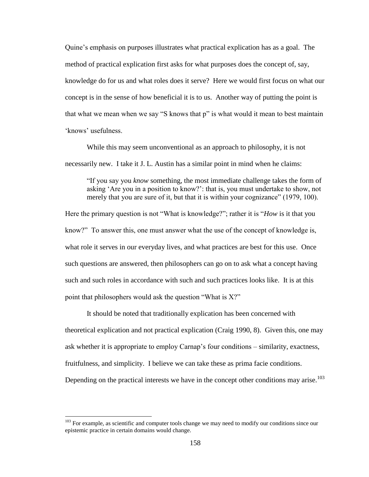Quine"s emphasis on purposes illustrates what practical explication has as a goal. The method of practical explication first asks for what purposes does the concept of, say, knowledge do for us and what roles does it serve? Here we would first focus on what our concept is in the sense of how beneficial it is to us. Another way of putting the point is that what we mean when we say "S knows that p" is what would it mean to best maintain 'knows' usefulness

While this may seem unconventional as an approach to philosophy, it is not necessarily new. I take it J. L. Austin has a similar point in mind when he claims:

"If you say you *know* something, the most immediate challenge takes the form of asking "Are you in a position to know?": that is, you must undertake to show, not merely that you are sure of it, but that it is within your cognizance" (1979, 100).

Here the primary question is not "What is knowledge?"; rather it is "*How* is it that you know?" To answer this, one must answer what the use of the concept of knowledge is, what role it serves in our everyday lives, and what practices are best for this use. Once such questions are answered, then philosophers can go on to ask what a concept having such and such roles in accordance with such and such practices looks like. It is at this point that philosophers would ask the question "What is X?"

It should be noted that traditionally explication has been concerned with theoretical explication and not practical explication (Craig 1990, 8). Given this, one may ask whether it is appropriate to employ Carnap"s four conditions – similarity, exactness, fruitfulness, and simplicity. I believe we can take these as prima facie conditions. Depending on the practical interests we have in the concept other conditions may arise.<sup>103</sup>

 $103$  For example, as scientific and computer tools change we may need to modify our conditions since our epistemic practice in certain domains would change.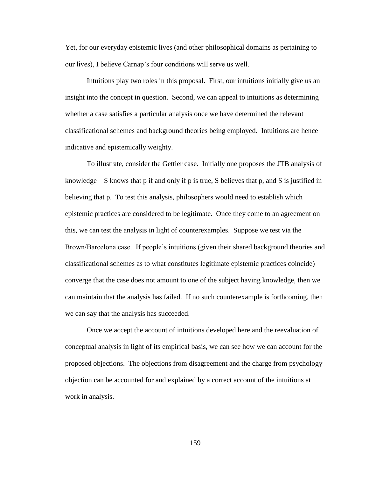Yet, for our everyday epistemic lives (and other philosophical domains as pertaining to our lives), I believe Carnap"s four conditions will serve us well.

Intuitions play two roles in this proposal. First, our intuitions initially give us an insight into the concept in question. Second, we can appeal to intuitions as determining whether a case satisfies a particular analysis once we have determined the relevant classificational schemes and background theories being employed. Intuitions are hence indicative and epistemically weighty.

To illustrate, consider the Gettier case. Initially one proposes the JTB analysis of knowledge  $-$  S knows that p if and only if p is true, S believes that p, and S is justified in believing that p. To test this analysis, philosophers would need to establish which epistemic practices are considered to be legitimate. Once they come to an agreement on this, we can test the analysis in light of counterexamples. Suppose we test via the Brown/Barcelona case. If people"s intuitions (given their shared background theories and classificational schemes as to what constitutes legitimate epistemic practices coincide) converge that the case does not amount to one of the subject having knowledge, then we can maintain that the analysis has failed. If no such counterexample is forthcoming, then we can say that the analysis has succeeded.

Once we accept the account of intuitions developed here and the reevaluation of conceptual analysis in light of its empirical basis, we can see how we can account for the proposed objections. The objections from disagreement and the charge from psychology objection can be accounted for and explained by a correct account of the intuitions at work in analysis.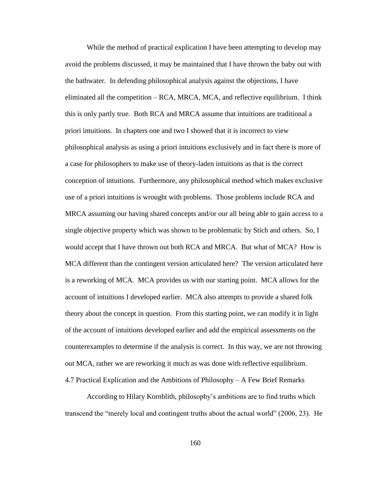While the method of practical explication I have been attempting to develop may avoid the problems discussed, it may be maintained that I have thrown the baby out with the bathwater. In defending philosophical analysis against the objections, I have eliminated all the competition – RCA, MRCA, MCA, and reflective equilibrium. I think this is only partly true. Both RCA and MRCA assume that intuitions are traditional a priori intuitions. In chapters one and two I showed that it is incorrect to view philosophical analysis as using a priori intuitions exclusively and in fact there is more of a case for philosophers to make use of theory-laden intuitions as that is the correct conception of intuitions. Furthermore, any philosophical method which makes exclusive use of a priori intuitions is wrought with problems. Those problems include RCA and MRCA assuming our having shared concepts and/or our all being able to gain access to a single objective property which was shown to be problematic by Stich and others. So, I would accept that I have thrown out both RCA and MRCA. But what of MCA? How is MCA different than the contingent version articulated here? The version articulated here is a reworking of MCA. MCA provides us with our starting point. MCA allows for the account of intuitions I developed earlier. MCA also attempts to provide a shared folk theory about the concept in question. From this starting point, we can modify it in light of the account of intuitions developed earlier and add the empirical assessments on the counterexamples to determine if the analysis is correct. In this way, we are not throwing out MCA, rather we are reworking it much as was done with reflective equilibrium. 4.7 Practical Explication and the Ambitions of Philosophy – A Few Brief Remarks

According to Hilary Kornblith, philosophy"s ambitions are to find truths which transcend the "merely local and contingent truths about the actual world" (2006, 23). He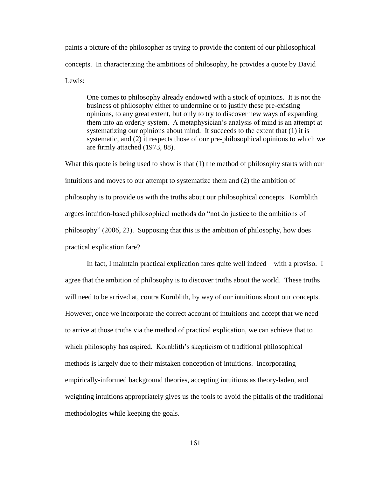paints a picture of the philosopher as trying to provide the content of our philosophical concepts. In characterizing the ambitions of philosophy, he provides a quote by David Lewis:

One comes to philosophy already endowed with a stock of opinions. It is not the business of philosophy either to undermine or to justify these pre-existing opinions, to any great extent, but only to try to discover new ways of expanding them into an orderly system. A metaphysician"s analysis of mind is an attempt at systematizing our opinions about mind. It succeeds to the extent that (1) it is systematic, and (2) it respects those of our pre-philosophical opinions to which we are firmly attached (1973, 88).

What this quote is being used to show is that (1) the method of philosophy starts with our intuitions and moves to our attempt to systematize them and (2) the ambition of philosophy is to provide us with the truths about our philosophical concepts. Kornblith argues intuition-based philosophical methods do "not do justice to the ambitions of philosophy" (2006, 23). Supposing that this is the ambition of philosophy, how does practical explication fare?

In fact, I maintain practical explication fares quite well indeed – with a proviso. I agree that the ambition of philosophy is to discover truths about the world. These truths will need to be arrived at, contra Kornblith, by way of our intuitions about our concepts. However, once we incorporate the correct account of intuitions and accept that we need to arrive at those truths via the method of practical explication, we can achieve that to which philosophy has aspired. Kornblith's skepticism of traditional philosophical methods is largely due to their mistaken conception of intuitions. Incorporating empirically-informed background theories, accepting intuitions as theory-laden, and weighting intuitions appropriately gives us the tools to avoid the pitfalls of the traditional methodologies while keeping the goals.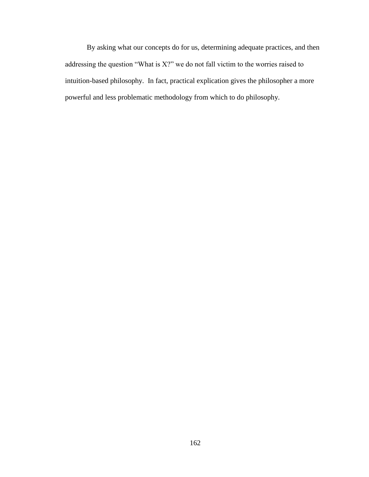By asking what our concepts do for us, determining adequate practices, and then addressing the question "What is X?" we do not fall victim to the worries raised to intuition-based philosophy. In fact, practical explication gives the philosopher a more powerful and less problematic methodology from which to do philosophy.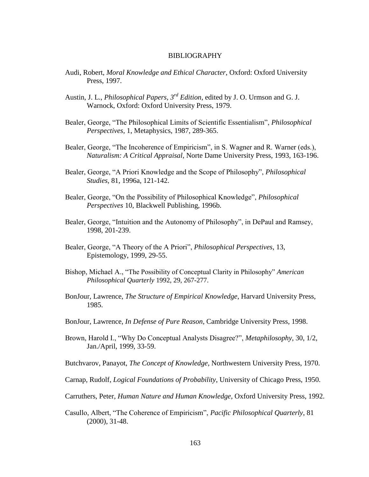## BIBLIOGRAPHY

- Audi, Robert, *Moral Knowledge and Ethical Character*, Oxford: Oxford University Press, 1997.
- Austin, J. L., *Philosophical Papers, 3rd Edition*, edited by J. O. Urmson and G. J. Warnock, Oxford: Oxford University Press, 1979.
- Bealer, George, "The Philosophical Limits of Scientific Essentialism", *Philosophical Perspectives*, 1, Metaphysics, 1987, 289-365.
- Bealer, George, "The Incoherence of Empiricism", in S. Wagner and R. Warner (eds.), *Naturalism: A Critical Appraisal*, Norte Dame University Press, 1993, 163-196.
- Bealer, George, "A Priori Knowledge and the Scope of Philosophy", *Philosophical Studies*, 81, 1996a, 121-142.
- Bealer, George, "On the Possibility of Philosophical Knowledge", *Philosophical Perspectives* 10, Blackwell Publishing, 1996b.
- Bealer, George, "Intuition and the Autonomy of Philosophy", in DePaul and Ramsey, 1998, 201-239.
- Bealer, George, "A Theory of the A Priori", *Philosophical Perspectives*, 13, Epistemology, 1999, 29-55.
- Bishop, Michael A., "The Possibility of Conceptual Clarity in Philosophy" *American Philosophical Quarterly* 1992, 29, 267-277.
- BonJour, Lawrence, *The Structure of Empirical Knowledge*, Harvard University Press, 1985.
- BonJour, Lawrence, *In Defense of Pure Reason*, Cambridge University Press, 1998.
- Brown, Harold I., "Why Do Conceptual Analysts Disagree?", *Metaphilosophy*, 30, 1/2, Jan./April, 1999, 33-59.
- Butchvarov, Panayot, *The Concept of Knowledge*, Northwestern University Press, 1970.
- Carnap, Rudolf, *Logical Foundations of Probability*, University of Chicago Press, 1950.
- Carruthers, Peter, *Human Nature and Human Knowledge*, Oxford University Press, 1992.
- Casullo, Albert, "The Coherence of Empiricism", *Pacific Philosophical Quarterly*, 81 (2000), 31-48.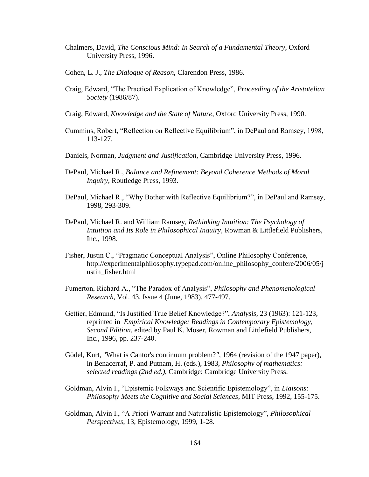- Chalmers, David, *The Conscious Mind: In Search of a Fundamental Theory*, Oxford University Press, 1996.
- Cohen, L. J., *The Dialogue of Reason*, Clarendon Press, 1986.
- Craig, Edward, "The Practical Explication of Knowledge", *Proceeding of the Aristotelian Society* (1986/87).
- Craig, Edward, *Knowledge and the State of Nature*, Oxford University Press, 1990.
- Cummins, Robert, "Reflection on Reflective Equilibrium", in DePaul and Ramsey, 1998, 113-127.
- Daniels, Norman, *Judgment and Justification*, Cambridge University Press, 1996.
- DePaul, Michael R., *Balance and Refinement: Beyond Coherence Methods of Moral Inquiry*, Routledge Press, 1993.
- DePaul, Michael R., "Why Bother with Reflective Equilibrium?", in DePaul and Ramsey, 1998, 293-309.
- DePaul, Michael R. and William Ramsey, *Rethinking Intuition: The Psychology of Intuition and Its Role in Philosophical Inquiry*, Rowman & Littlefield Publishers, Inc., 1998.
- Fisher, Justin C., "Pragmatic Conceptual Analysis", Online Philosophy Conference, http://experimentalphilosophy.typepad.com/online\_philosophy\_confere/2006/05/j ustin\_fisher.html
- Fumerton, Richard A., "The Paradox of Analysis", *Philosophy and Phenomenological Research*, Vol. 43, Issue 4 (June, 1983), 477-497.
- Gettier, Edmund, "Is Justified True Belief Knowledge?", *Analysis*, 23 (1963): 121-123, reprinted in *Empirical Knowledge: Readings in Contemporary Epistemology, Second Edition*, edited by Paul K. Moser, Rowman and Littlefield Publishers, Inc., 1996, pp. 237-240.
- Gödel, Kurt, "What is Cantor's continuum problem?*"*, 1964 (revision of the 1947 paper), in Benacerraf, P. and Putnam, H. (eds.), 1983, *Philosophy of mathematics: selected readings (2nd ed.)*, Cambridge: Cambridge University Press.
- Goldman, Alvin I., "Epistemic Folkways and Scientific Epistemology", in *Liaisons: Philosophy Meets the Cognitive and Social Sciences*, MIT Press, 1992, 155-175.
- Goldman, Alvin I., "A Priori Warrant and Naturalistic Epistemology", *Philosophical Perspectives*, 13, Epistemology, 1999, 1-28.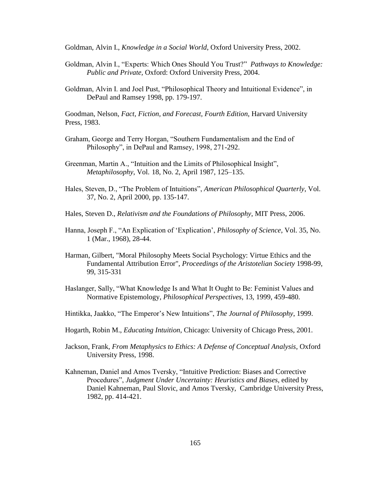Goldman, Alvin I., *Knowledge in a Social World*, Oxford University Press, 2002.

- Goldman, Alvin I., "Experts: Which Ones Should You Trust?" *Pathways to Knowledge: Public and Private,* Oxford: Oxford University Press, 2004.
- Goldman, Alvin I. and Joel Pust, "Philosophical Theory and Intuitional Evidence", in DePaul and Ramsey 1998, pp. 179-197.

Goodman, Nelson, *Fact, Fiction, and Forecast, Fourth Edition*, Harvard University Press, 1983.

- Graham, George and Terry Horgan, "Southern Fundamentalism and the End of Philosophy", in DePaul and Ramsey, 1998, 271-292.
- Greenman, Martin A., "Intuition and the Limits of Philosophical Insight", *Metaphilosophy*, Vol. 18, No. 2, April 1987, 125–135.
- Hales, Steven, D., "The Problem of Intuitions", *American Philosophical Quarterly*, Vol. 37, No. 2, April 2000, pp. 135-147.
- Hales, Steven D., *Relativism and the Foundations of Philosophy*, MIT Press, 2006.
- Hanna, Joseph F., "An Explication of "Explication", *Philosophy of Science*, Vol. 35, No. 1 (Mar., 1968), 28-44.
- Harman, Gilbert, "Moral Philosophy Meets Social Psychology: Virtue Ethics and the Fundamental Attribution Error", *Proceedings of the Aristotelian Society* 1998-99, 99, 315-331
- Haslanger, Sally, "What Knowledge Is and What It Ought to Be: Feminist Values and Normative Epistemology, *Philosophical Perspectives*, 13, 1999, 459-480.
- Hintikka, Jaakko, "The Emperor"s New Intuitions", *The Journal of Philosophy*, 1999.
- Hogarth, Robin M., *Educating Intuition*, Chicago: University of Chicago Press, 2001.
- Jackson, Frank, *From Metaphysics to Ethics: A Defense of Conceptual Analysis*, Oxford University Press, 1998.
- Kahneman, Daniel and Amos Tversky, "Intuitive Prediction: Biases and Corrective Procedures", *Judgment Under Uncertainty: Heuristics and Biases*, edited by Daniel Kahneman, Paul Slovic, and Amos Tversky, Cambridge University Press, 1982, pp. 414-421.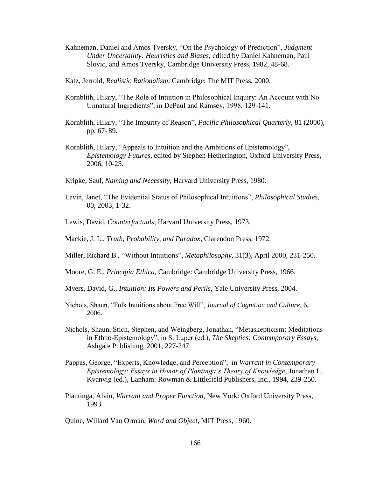- Kahneman, Daniel and Amos Tversky, "On the Psychology of Prediction", *Judgment Under Uncertainty: Heuristics and Biases*, edited by Daniel Kahneman, Paul Slovic, and Amos Tversky, Cambridge University Press, 1982, 48-68.
- Katz, Jerrold, *Realistic Rationalism*, Cambridge: The MIT Press, 2000.
- Kornblith, Hilary, "The Role of Intuition in Philosophical Inquiry: An Account with No Unnatural Ingredients", in DePaul and Ramsey, 1998, 129-141.
- Kornblith, Hilary, "The Impurity of Reason", *Pacific Philosophical Quarterly*, 81 (2000), pp. 67- 89.
- Kornblith, Hilary, "Appeals to Intuition and the Ambitions of Epistemology", *Epistemology Futures*, edited by Stephen Hetherington, Oxford University Press, 2006, 10-25.
- Kripke, Saul, *Naming and Necessity*, Harvard University Press, 1980.
- Levin, Janet, "The Evidential Status of Philosophical Intuitions", *Philosophical Studies*, 00, 2003, 1-32.
- Lewis, David, *Counterfactuals*, Harvard University Press, 1973.
- Mackie, J. L., *Truth, Probability, and Paradox*, Clarendon Press, 1972.
- Miller, Richard B., "Without Intuitions", *Metaphilosophy*, 31(3), April 2000, 231-250.
- Moore, G. E., *Principia Ethica*, Cambridge: Cambridge University Press, 1966.
- Myers, David, G., *Intuition: Its Powers and Perils*, Yale University Press, 2004.
- Nichols, Shaun, "Folk Intuitions about Free Will", *Journal of Cognition and Culture,* 6, 2006.
- Nichols, Shaun, Stich, Stephen, and Weingberg, Jonathan, "Metaskepticism: Meditations in Ethno-Epistemology", in S. Luper (ed.), *The Skeptics: Contemporary Essays*, Ashgate Publishing, 2001, 227-247.
- Pappas, George, "Experts, Knowledge, and Perception", in *Warrant in Contemporary Epistemology: Essays in Honor of Plantinga's Theory of Knowledge*, Jonathan L. Kvanvig (ed.), Lanham: Rowman & Littlefield Publishers, Inc., 1994, 239-250.
- Plantinga, Alvin, *Warrant and Proper Function*, New York: Oxford University Press, 1993.

Quine, Willard Van Orman, *Word and Object*, MIT Press, 1960.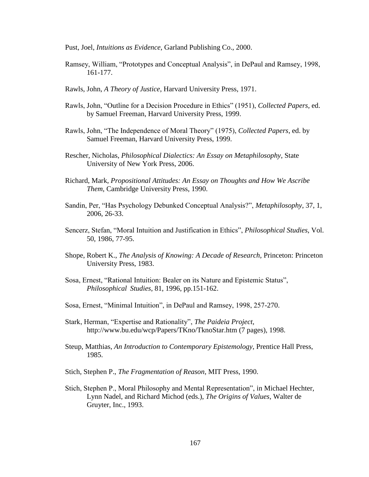Pust, Joel, *Intuitions as Evidence*, Garland Publishing Co., 2000.

- Ramsey, William, "Prototypes and Conceptual Analysis", in DePaul and Ramsey, 1998, 161-177.
- Rawls, John, *A Theory of Justice*, Harvard University Press, 1971.
- Rawls, John, "Outline for a Decision Procedure in Ethics" (1951), *Collected Papers*, ed. by Samuel Freeman, Harvard University Press, 1999.
- Rawls, John, "The Independence of Moral Theory" (1975), *Collected Papers*, ed. by Samuel Freeman, Harvard University Press, 1999.
- Rescher, Nicholas, *Philosophical Dialectics: An Essay on Metaphilosophy*, State University of New York Press, 2006.
- Richard, Mark, *Propositional Attitudes: An Essay on Thoughts and How We Ascribe Them*, Cambridge University Press, 1990.
- Sandin, Per, "Has Psychology Debunked Conceptual Analysis?", *Metaphilosophy*, 37, 1, 2006, 26-33.
- Sencerz, Stefan, "Moral Intuition and Justification in Ethics", *Philosophical Studies*, Vol. 50, 1986, 77-95.
- Shope, Robert K., *The Analysis of Knowing: A Decade of Research*, Princeton: Princeton University Press, 1983.
- Sosa, Ernest, "Rational Intuition: Bealer on its Nature and Epistemic Status", *Philosophical Studies*, 81, 1996, pp.151-162.
- Sosa, Ernest, "Minimal Intuition", in DePaul and Ramsey, 1998, 257-270.
- Stark, Herman, "Expertise and Rationality", *The Paideia Project*, http://www.bu.edu/wcp/Papers/TKno/TknoStar.htm (7 pages), 1998.
- Steup, Matthias, *An Introduction to Contemporary Epistemology*, Prentice Hall Press, 1985.
- Stich, Stephen P., *The Fragmentation of Reason*, MIT Press, 1990.
- Stich, Stephen P., Moral Philosophy and Mental Representation", in Michael Hechter, Lynn Nadel, and Richard Michod (eds.), *The Origins of Values*, Walter de Gruyter, Inc., 1993.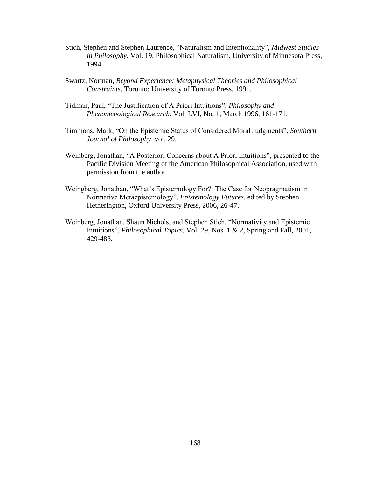- Stich, Stephen and Stephen Laurence, "Naturalism and Intentionality", *Midwest Studies in Philosophy*, Vol. 19, Philosophical Naturalism, University of Minnesota Press, 1994.
- Swartz, Norman, *Beyond Experience: Metaphysical Theories and Philosophical Constraints*, Toronto: University of Toronto Press, 1991.
- Tidman, Paul, "The Justification of A Priori Intuitions", *Philosophy and Phenomenological Research*, Vol. LVI, No. 1, March 1996, 161-171.
- Timmons, Mark, "On the Epistemic Status of Considered Moral Judgments", *Southern Journal of Philosophy*, vol. 29.
- Weinberg, Jonathan, "A Posteriori Concerns about A Priori Intuitions", presented to the Pacific Division Meeting of the American Philosophical Association, used with permission from the author.
- Weingberg, Jonathan, "What"s Epistemology For?: The Case for Neopragmatism in Normative Metaepistemology", *Epistemology Futures*, edited by Stephen Hetherington, Oxford University Press, 2006, 26-47.
- Weinberg, Jonathan, Shaun Nichols, and Stephen Stich, "Normativity and Epistemic Intuitions", *Philosophical Topics*, Vol. 29, Nos. 1 & 2, Spring and Fall, 2001, 429-483.